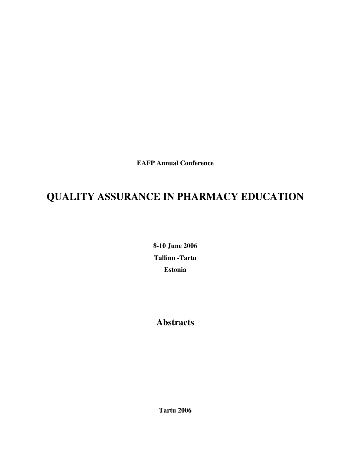**EAFP Annual Conference** 

# **QUALITY ASSURANCE IN PHARMACY EDUCATION**

**8-10 June 2006 Tallinn -Tartu Estonia** 

**Abstracts** 

**Tartu 2006**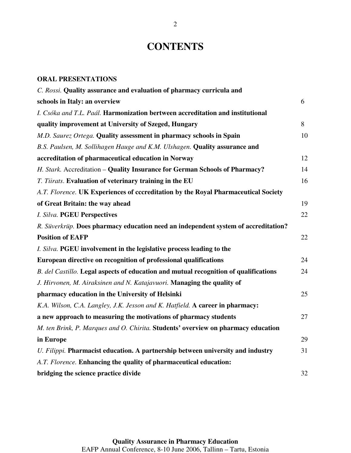# **CONTENTS**

# **ORAL PRESENTATIONS**

| C. Rossi. Quality assurance and evaluation of pharmacy curricula and                 |    |
|--------------------------------------------------------------------------------------|----|
| schools in Italy: an overview                                                        | 6  |
| I. Csóka and T.L. Paál. Harmonization bertween accreditation and institutional       |    |
| quality improvement at University of Szeged, Hungary                                 | 8  |
| M.D. Saurez Ortega. Quality assessment in pharmacy schools in Spain                  | 10 |
| B.S. Paulsen, M. Sollihagen Hauge and K.M. Ulshagen. Quality assurance and           |    |
| accreditation of pharmaceutical education in Norway                                  | 12 |
| H. Stark. Accreditation - Quality Insurance for German Schools of Pharmacy?          | 14 |
| T. Tiirats. Evaluation of veterinary training in the EU                              | 16 |
| A.T. Florence. UK Experiences of cccreditation by the Royal Pharmaceutical Society   |    |
| of Great Britain: the way ahead                                                      | 19 |
| I. Silva. PGEU Perspectives                                                          | 22 |
| R. Süverkrüp. Does pharmacy education need an independent system of accreditation?   |    |
| <b>Position of EAFP</b>                                                              | 22 |
| I. Silva. PGEU involvement in the legislative process leading to the                 |    |
| European directive on recognition of professional qualifications                     | 24 |
| B. del Castillo. Legal aspects of education and mutual recognition of qualifications | 24 |
| J. Hirvonen, M. Airaksinen and N. Katajavuori. Managing the quality of               |    |
| pharmacy education in the University of Helsinki                                     | 25 |
| K.A. Wilson, C.A. Langley, J.K. Jesson and K. Hatfield. A career in pharmacy:        |    |
| a new approach to measuring the motivations of pharmacy students                     | 27 |
| M. ten Brink, P. Marques and O. Chirita. Students' overview on pharmacy education    |    |
| in Europe                                                                            | 29 |
| U. Filippi. Pharmacist education. A partnership between university and industry      | 31 |
| A.T. Florence. Enhancing the quality of pharmaceutical education:                    |    |
| bridging the science practice divide                                                 | 32 |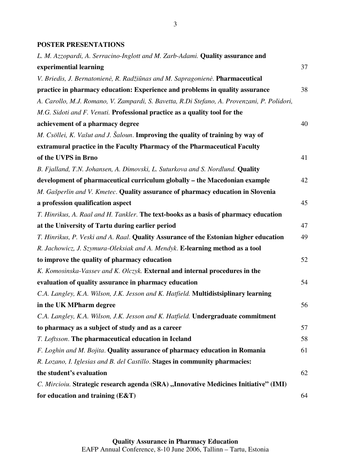# **POSTER PRESENTATIONS**

| L. M. Azzopardi, A. Serracino-Inglott and M. Zarb-Adami. Quality assurance and              |    |
|---------------------------------------------------------------------------------------------|----|
| experimential learning                                                                      | 37 |
| V. Briedis, J. Bernatonienė, R. Radžiūnas and M. Sapragonienė. Pharmaceutical               |    |
| practice in pharmacy education: Experience and problems in quality assurance                | 38 |
| A. Carollo, M.J. Romano, V. Zampardi, S. Bavetta, R.Di Stefano, A. Provenzani, P. Polidori, |    |
| M.G. Sidoti and F. Venuti. Professional practice as a quality tool for the                  |    |
| achievement of a pharmacy degree                                                            | 40 |
| M. Csöllei, K. Vašut and J. Šaloun. Improving the quality of training by way of             |    |
| extramural practice in the Faculty Pharmacy of the Pharmaceutical Faculty                   |    |
| of the UVPS in Brno                                                                         | 41 |
| B. Fjalland, T.N. Johansen, A. Dimovski, L. Suturkova and S. Nordlund. Quality              |    |
| development of pharmaceutical curriculum globally – the Macedonian example                  | 42 |
| M. Gašperlin and V. Kmetec. Quality assurance of pharmacy education in Slovenia             |    |
| a profession qualification aspect                                                           | 45 |
| T. Hinrikus, A. Raal and H. Tankler. The text-books as a basis of pharmacy education        |    |
| at the University of Tartu during earlier period                                            | 47 |
| T. Hinrikus, P. Veski and A. Raal. Quality Assurance of the Estonian higher education       | 49 |
| R. Jachowicz, J. Szymura-Oleksiak and A. Mendyk. E-learning method as a tool                |    |
| to improve the quality of pharmacy education                                                | 52 |
| K. Komosinska-Vassev and K. Olczyk. External and internal procedures in the                 |    |
| evaluation of quality assurance in pharmacy education                                       | 54 |
| C.A. Langley, K.A. Wilson, J.K. Jesson and K. Hatfield. Multidistsiplinary learning         |    |
| in the UK MPharm degree                                                                     | 56 |
| C.A. Langley, K.A. Wilson, J.K. Jesson and K. Hatfield. Undergraduate commitment            |    |
| to pharmacy as a subject of study and as a career                                           | 57 |
| T. Loftsson. The pharmaceutical education in Iceland                                        | 58 |
| F. Loghin and M. Bojita. Quality assurance of pharmacy education in Romania                 | 61 |
| R. Lozano, I. Iglesias and B. del Castillo. Stages in community pharmacies:                 |    |
| the student's evaluation                                                                    | 62 |
| C. Mircioiu. Strategic research agenda (SRA), Innovative Medicines Initiative" (IMI)        |    |
| for education and training $(E&T)$                                                          | 64 |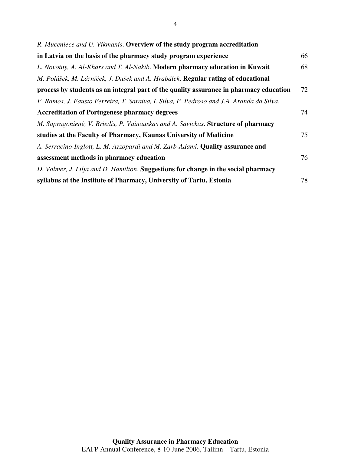| R. Muceniece and U. Vikmanis. Overview of the study program accreditation                |    |
|------------------------------------------------------------------------------------------|----|
| in Latvia on the basis of the pharmacy study program experience                          | 66 |
| L. Novotny, A. Al-Khars and T. Al-Nakib. Modern pharmacy education in Kuwait             | 68 |
| M. Polášek, M. Lázníček, J. Dušek and A. Hrabálek. Regular rating of educational         |    |
| process by students as an integral part of the quality assurance in pharmacy education   | 72 |
| F. Ramos, J. Fausto Ferreira, T. Saraiva, I. Silva, P. Pedroso and J.A. Aranda da Silva. |    |
| <b>Accreditation of Portugenese pharmacy degrees</b>                                     | 74 |
| M. Sapragonienė, V. Briedis, P. Vainauskas and A. Savickas. Structure of pharmacy        |    |
| studies at the Faculty of Pharmacy, Kaunas University of Medicine                        | 75 |
| A. Serracino-Inglott, L. M. Azzopardi and M. Zarb-Adami. Quality assurance and           |    |
| assessment methods in pharmacy education                                                 | 76 |
| D. Volmer, J. Lilja and D. Hamilton. Suggestions for change in the social pharmacy       |    |
| syllabus at the Institute of Pharmacy, University of Tartu, Estonia                      | 78 |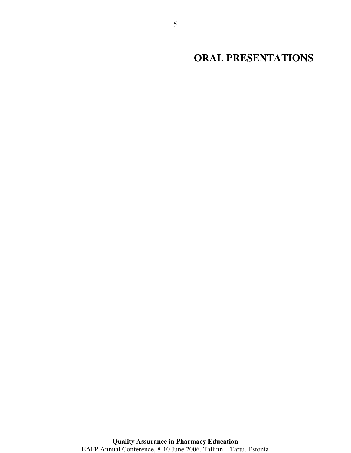**ORAL PRESENTATIONS**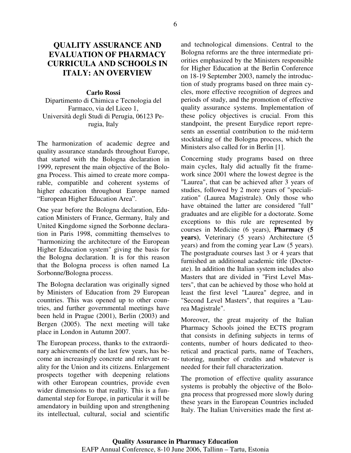# **QUALITY ASSURANCE AND EVALUATION OF PHARMACY CURRICULA AND SCHOOLS IN ITALY: AN OVERVIEW**

### **Carlo Rossi**

Dipartimento di Chimica e Tecnologia del Farmaco, via del Liceo 1, Università degli Studi di Perugia, 06123 Perugia, Italy

The harmonization of academic degree and quality assurance standards throughout Europe, that started with the Bologna declaration in 1999, represent the main objective of the Bologna Process. This aimed to create more comparable, compatible and coherent systems of higher education throughout Europe named "European Higher Education Area".

One year before the Bologna declaration, Education Ministers of France, Germany, Italy and United Kingdome signed the Sorbonne declaration in Paris 1998, committing themselves to "harmonizing the architecture of the European Higher Education system" giving the basis for the Bologna declaration. It is for this reason that the Bologna process is often named La Sorbonne/Bologna process.

The Bologna declaration was originally signed by Ministers of Education from 29 European countries. This was opened up to other countries, and further governmental meetings have been held in Prague (2001), Berlin (2003) and Bergen (2005). The next meeting will take place in London in Autumn 2007.

The European process, thanks to the extraordinary achievements of the last few years, has become an increasingly concrete and relevant reality for the Union and its citizens. Enlargement prospects together with deepening relations with other European countries, provide even wider dimensions to that reality. This is a fundamental step for Europe, in particular it will be amendatory in building upon and strengthening its intellectual, cultural, social and scientific and technological dimensions. Central to the Bologna reforms are the three intermediate priorities emphasized by the Ministers responsible for Higher Education at the Berlin Conference on 18-19 September 2003, namely the introduction of study programs based on three main cycles, more effective recognition of degrees and periods of study, and the promotion of effective quality assurance systems. Implementation of these policy objectives is crucial. From this standpoint, the present Eurydice report represents an essential contribution to the mid-term stocktaking of the Bologna process, which the Ministers also called for in Berlin [1].

Concerning study programs based on three main cycles, Italy did actually fit the framework since 2001 where the lowest degree is the "Laurea", that can be achieved after 3 years of studies, followed by 2 more years of "specialization" (Laurea Magistrale). Only those who have obtained the latter are considered "full" graduates and are eligible for a doctorate. Some exceptions to this rule are represented by courses in Medicine (6 years), **Pharmacy (5 years)**, Veterinary (5 years) Architecture (5 years) and from the coming year Law (5 years). The postgraduate courses last 3 or 4 years that furnished an additional academic title (Doctorate). In addition the Italian system includes also Masters that are divided in "First Level Masters", that can be achieved by those who hold at least the first level "Laurea" degree, and in "Second Level Masters", that requires a "Laurea Magistrale".

Moreover, the great majority of the Italian Pharmacy Schools joined the ECTS program that consists in defining subjects in terms of contents, number of hours dedicated to theoretical and practical parts, name of Teachers, tutoring, number of credits and whatever is needed for their full characterization.

The promotion of effective quality assurance systems is probably the objective of the Bologna process that progressed more slowly during these years in the European Countries included Italy. The Italian Universities made the first at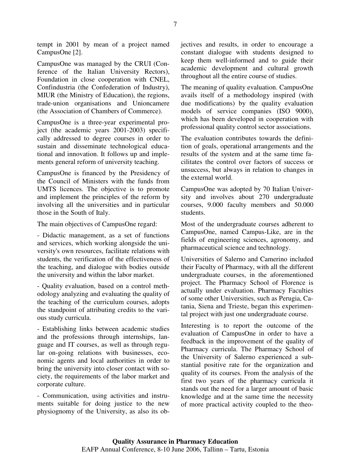tempt in 2001 by mean of a project named CampusOne [2].

CampusOne was managed by the CRUI (Conference of the Italian University Rectors), Foundation in close cooperation with CNEL, Confindustria (the Confederation of Industry), MIUR (the Ministry of Education), the regions, trade-union organisations and Unioncamere (the Association of Chambers of Commerce).

CampusOne is a three-year experimental project (the academic years 2001-2003) specifically addressed to degree courses in order to sustain and disseminate technological educational and innovation. It follows up and implements general reform of university teaching.

CampusOne is financed by the Presidency of the Council of Ministers with the funds from UMTS licences. The objective is to promote and implement the principles of the reform by involving all the universities and in particular those in the South of Italy.

The main objectives of CampusOne regard:

- Didactic management, as a set of functions and services, which working alongside the university's own resources, facilitate relations with students, the verification of the effectiveness of the teaching, and dialogue with bodies outside the university and within the labor market.

- Quality evaluation, based on a control methodology analyzing and evaluating the quality of the teaching of the curriculum courses, adopts the standpoint of attributing credits to the various study curricula.

- Establishing links between academic studies and the professions through internships, language and IT courses, as well as through regular on-going relations with businesses, economic agents and local authorities in order to bring the university into closer contact with society, the requirements of the labor market and corporate culture.

- Communication, using activities and instruments suitable for doing justice to the new physiognomy of the University, as also its objectives and results, in order to encourage a constant dialogue with students designed to keep them well-informed and to guide their academic development and cultural growth throughout all the entire course of studies.

The meaning of quality evaluation. CampusOne avails itself of a methodology inspired (with due modifications) by the quality evaluation models of service companies (ISO 9000), which has been developed in cooperation with professional quality control sector associations.

The evaluation contributes towards the definition of goals, operational arrangements and the results of the system and at the same time facilitates the control over factors of success or unsuccess, but always in relation to changes in the external world.

CampusOne was adopted by 70 Italian University and involves about 270 undergraduate courses, 9.000 faculty members and 50.000 students.

Most of the undergraduate courses adherent to CampusOne, named Campus-Like, are in the fields of engineering sciences, agronomy, and pharmaceutical science and technology.

Universities of Salerno and Camerino included their Faculty of Pharmacy, with all the different undergraduate courses, in the aforementioned project. The Pharmacy School of Florence is actually under evaluation. Pharmacy Faculties of some other Universities, such as Perugia, Catania, Siena and Trieste, began this experimental project with just one undergraduate course.

Interesting is to report the outcome of the evaluation of CampusOne in order to have a feedback in the improvement of the quality of Pharmacy curricula. The Pharmacy School of the University of Salerno experienced a substantial positive rate for the organization and quality of its courses. From the analysis of the first two years of the pharmacy curricula it stands out the need for a larger amount of basic knowledge and at the same time the necessity of more practical activity coupled to the theo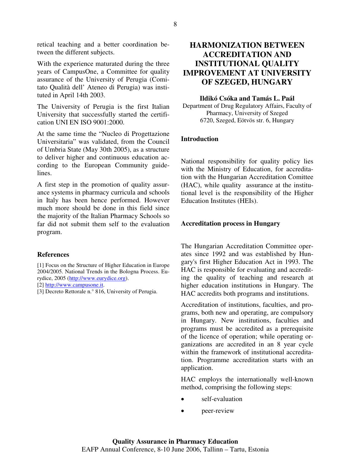retical teaching and a better coordination between the different subjects.

With the experience maturated during the three years of CampusOne, a Committee for quality assurance of the University of Perugia (Comitato Qualità dell' Ateneo di Perugia) was instituted in April 14th 2003.

The University of Perugia is the first Italian University that successfully started the certification UNI EN ISO 9001:2000.

At the same time the "Nucleo di Progettazione Universitaria" was validated, from the Council of Umbria State (May 30th 2005), as a structure to deliver higher and continuous education according to the European Community guidelines.

A first step in the promotion of quality assurance systems in pharmacy curricula and schools in Italy has been hence performed. However much more should be done in this field since the majority of the Italian Pharmacy Schools so far did not submit them self to the evaluation program.

# **References**

[1] Focus on the Structure of Higher Education in Europe 2004/2005. National Trends in the Bologna Process. Eurydice, 2005 (http://www.eurydice.org).

[2] http://www.campusone.it.

[3] Decreto Rettorale n.º 816, University of Perugia.

# **HARMONIZATION BETWEEN ACCREDITATION AND INSTITUTIONAL QUALITY IMPROVEMENT AT UNIVERSITY OF SZEGED, HUNGARY**

### **Ildikó Csóka and Tamás L. Paál**

Department of Drug Regulatory Affairs, Faculty of Pharmacy, University of Szeged 6720, Szeged, Eötvös str. 6, Hungary

### **Introduction**

National responsibility for quality policy lies with the Ministry of Education, for accreditation with the Hungarian Accreditation Comittee (HAC), while quality assurance at the institutional level is the responsibility of the Higher Education Institutes (HEIs).

### **Accreditation process in Hungary**

The Hungarian Accreditation Committee operates since 1992 and was established by Hungary's first Higher Education Act in 1993. The HAC is responsible for evaluating and accrediting the quality of teaching and research at higher education institutions in Hungary. The HAC accredits both programs and institutions.

Accreditation of institutions, faculties, and programs, both new and operating, are compulsory in Hungary. New institutions, faculties and programs must be accredited as a prerequisite of the licence of operation; while operating organizations are accredited in an 8 year cycle within the framework of institutional accreditation. Programme accreditation starts with an application.

HAC employs the internationally well-known method, comprising the following steps:

- self-evaluation
- peer-review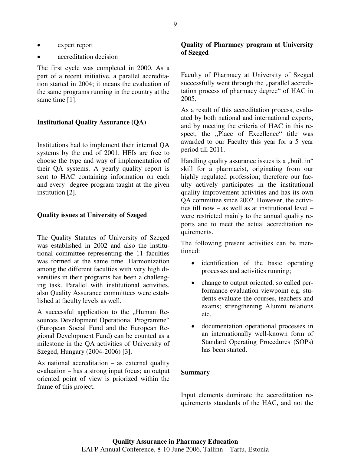- expert report
- accreditation decision

The first cycle was completed in 2000. As a part of a recent initiative, a parallel accreditation started in 2004; it means the evaluation of the same programs running in the country at the same time [1].

# **Institutional Quality Assurance (QA)**

Institutions had to implement their internal QA systems by the end of 2001. HEIs are free to choose the type and way of implementation of their QA systems. A yearly quality report is sent to HAC containing information on each and every degree program taught at the given institution [2].

# **Quality issues at University of Szeged**

The Quality Statutes of University of Szeged was established in 2002 and also the institutional committee representing the 11 faculties was formed at the same time. Harmonization among the different faculties with very high diversities in their programs has been a challenging task. Parallel with institutional activities, also Quality Assurance committees were established at faculty levels as well.

A successful application to the "Human Resources Development Operational Programme" (European Social Fund and the European Regional Development Fund) can be counted as a milestone in the QA activities of University of Szeged, Hungary (2004-2006) [3].

As national accreditation – as external quality evaluation – has a strong input focus; an output oriented point of view is priorized within the frame of this project.

# **Quality of Pharmacy program at University of Szeged**

Faculty of Pharmacy at University of Szeged successfully went through the "parallel accreditation process of pharmacy degree" of HAC in 2005.

As a result of this accreditation process, evaluated by both national and international experts, and by meeting the criteria of HAC in this respect, the "Place of Excellence" title was awarded to our Faculty this year for a 5 year period till 2011.

Handling quality assurance issues is a "built in" skill for a pharmacist, originating from our highly regulated profession; therefore our faculty actively participates in the institutional quality improvement activities and has its own QA committee since 2002. However, the activities till now – as well as at institutional level – were restricted mainly to the annual quality reports and to meet the actual accreditation requirements.

The following present activities can be mentioned:

- identification of the basic operating processes and activities running;
- change to output oriented, so called performance evaluation viewpoint e.g. students evaluate the courses, teachers and exams; strengthening Alumni relations etc.
- documentation operational processes in an internationally well-known form of Standard Operating Procedures (SOPs) has been started.

# **Summary**

Input elements dominate the accreditation requirements standards of the HAC, and not the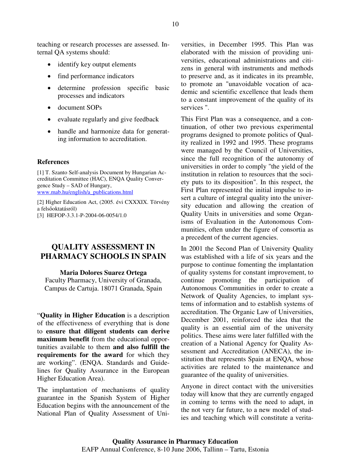teaching or research processes are assessed. Internal QA systems should:

- identify key output elements
- find performance indicators
- determine profession specific basic processes and indicators
- document SOPs
- evaluate regularly and give feedback
- handle and harmonize data for generating information to accreditation.

### **References**

[1] T. Szanto Self-analysis Document by Hungarian Accreditation Committee (HAC), ENQA Quality Convergence Study – SAD of Hungary, www.mab.hu/english/a\_publications.html

[2] Higher Education Act, (2005. évi CXXXIX. Törvény a felsőoktatásról) [3] HEFOP-3.3.1-P-2004-06-0054/1.0

# **QUALITY ASSESSMENT IN PHARMACY SCHOOLS IN SPAIN**

#### **Maria Dolores Suarez Ortega**

Faculty Pharmacy, University of Granada, Campus de Cartuja. 18071 Granada, Spain

"**Quality in Higher Education** is a description of the effectiveness of everything that is done to **ensure that diligent students can derive maximum benefit** from the educational opportunities available to them **and also fulfill the requirements for the award** for which they are working". (ENQA. Standards and Guidelines for Quality Assurance in the European Higher Education Area).

The implantation of mechanisms of quality guarantee in the Spanish System of Higher Education begins with the announcement of the National Plan of Quality Assessment of Universities, in December 1995. This Plan was elaborated with the mission of providing universities, educational administrations and citizens in general with instruments and methods to preserve and, as it indicates in its preamble, to promote an "unavoidable vocation of academic and scientific excellence that leads them to a constant improvement of the quality of its services ".

This First Plan was a consequence, and a continuation, of other two previous experimental programs designed to promote politics of Quality realized in 1992 and 1995. These programs were managed by the Council of Universities, since the full recognition of the autonomy of universities in order to comply "the yield of the institution in relation to resources that the society puts to its disposition". In this respect, the First Plan represented the initial impulse to insert a culture of integral quality into the university education and allowing the creation of Quality Units in universities and some Organisms of Evaluation in the Autonomous Communities, often under the figure of consortia as a precedent of the current agencies.

In 2001 the Second Plan of University Quality was established with a life of six years and the purpose to continue fomenting the implantation of quality systems for constant improvement, to continue promoting the participation of Autonomous Communities in order to create a Network of Quality Agencies, to implant systems of information and to establish systems of accreditation. The Organic Law of Universities, December 2001, reinforced the idea that the quality is an essential aim of the university politics. These aims were later fulfilled with the creation of a National Agency for Quality Assessment and Accreditation (ANECA), the institution that represents Spain at ENQA, whose activities are related to the maintenance and guarantee of the quality of universities.

Anyone in direct contact with the universities today will know that they are currently engaged in coming to terms with the need to adapt, in the not very far future, to a new model of studies and teaching which will constitute a verita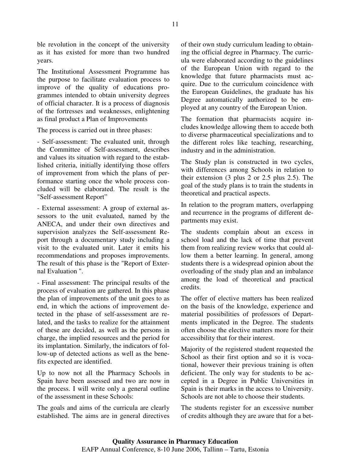ble revolution in the concept of the university as it has existed for more than two hundred years.

The Institutional Assessment Programme has the purpose to facilitate evaluation process to improve of the quality of educations programmes intended to obtain university degrees of official character. It is a process of diagnosis of the fortresses and weaknesses, enlightening as final product a Plan of Improvements

The process is carried out in three phases:

- Self-assessment: The evaluated unit, through the Committee of Self-assessment, describes and values its situation with regard to the established criteria, initially identifying those offers of improvement from which the plans of performance starting once the whole process concluded will be elaborated. The result is the "Self-assessment Report"

- External assessment: A group of external assessors to the unit evaluated, named by the ANECA, and under their own directives and supervision analyzes the Self-assessment Report through a documentary study including a visit to the evaluated unit. Later it emits his recommendations and proposes improvements. The result of this phase is the "Report of External Evaluation ".

- Final assessment: The principal results of the process of evaluation are gathered. In this phase the plan of improvements of the unit goes to as end, in which the actions of improvement detected in the phase of self-assessment are related, and the tasks to realize for the attainment of these are decided, as well as the persons in charge, the implied resources and the period for its implantation. Similarly, the indicators of follow-up of detected actions as well as the benefits expected are identified.

Up to now not all the Pharmacy Schools in Spain have been assessed and two are now in the process. I will write only a general outline of the assessment in these Schools:

The goals and aims of the curricula are clearly established. The aims are in general directives of their own study curriculum leading to obtaining the official degree in Pharmacy. The curricula were elaborated according to the guidelines of the European Union with regard to the knowledge that future pharmacists must acquire. Due to the curriculum coincidence with the European Guidelines, the graduate has his Degree automatically authorized to be employed at any country of the European Union.

The formation that pharmacists acquire includes knowledge allowing them to accede both to diverse pharmaceutical specializations and to the different roles like teaching, researching, industry and in the administration.

The Study plan is constructed in two cycles, with differences among Schools in relation to their extension (3 plus 2 or 2.5 plus 2.5). The goal of the study plans is to train the students in theoretical and practical aspects.

In relation to the program matters, overlapping and recurrence in the programs of different departments may exist.

The students complain about an excess in school load and the lack of time that prevent them from realizing review works that could allow them a better learning. In general, among students there is a widespread opinion about the overloading of the study plan and an imbalance among the load of theoretical and practical credits.

The offer of elective matters has been realized on the basis of the knowledge, experience and material possibilities of professors of Departments implicated in the Degree. The students often choose the elective matters more for their accessibility that for their interest.

Majority of the registered student requested the School as their first option and so it is vocational, however their previous training is often deficient. The only way for students to be accepted in a Degree in Public Universities in Spain is their marks in the access to University. Schools are not able to choose their students.

The students register for an excessive number of credits although they are aware that for a bet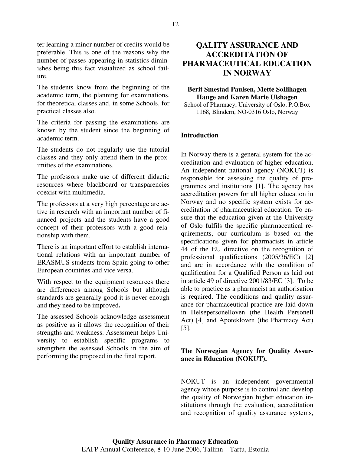ter learning a minor number of credits would be preferable. This is one of the reasons why the number of passes appearing in statistics diminishes being this fact visualized as school failure.

The students know from the beginning of the academic term, the planning for examinations, for theoretical classes and, in some Schools, for practical classes also.

The criteria for passing the examinations are known by the student since the beginning of academic term.

The students do not regularly use the tutorial classes and they only attend them in the proximities of the examinations.

The professors make use of different didactic resources where blackboard or transparencies coexist with multimedia.

The professors at a very high percentage are active in research with an important number of financed projects and the students have a good concept of their professors with a good relationship with them.

There is an important effort to establish international relations with an important number of ERASMUS students from Spain going to other European countries and vice versa.

With respect to the equipment resources there are differences among Schools but although standards are generally good it is never enough and they need to be improved**.** 

The assessed Schools acknowledge assessment as positive as it allows the recognition of their strengths and weakness. Assessment helps University to establish specific programs to strengthen the assessed Schools in the aim of performing the proposed in the final report.

# **QALITY ASSURANCE AND ACCREDITATION OF PHARMACEUTICAL EDUCATION IN NORWAY**

# **Berit Smestad Paulsen, Mette Sollihagen Hauge and Karen Marie Ulshagen**

School of Pharmacy, University of Oslo, P.O.Box 1168, Blindern, NO-0316 Oslo, Norway

## **Introduction**

In Norway there is a general system for the accreditation and evaluation of higher education. An independent national agency (NOKUT) is responsible for assessing the quality of programmes and institutions [1]. The agency has accreditation powers for all higher education in Norway and no specific system exists for accreditation of pharmaceutical education. To ensure that the education given at the University of Oslo fulfils the specific pharmaceutical requirements, our curriculum is based on the specifications given for pharmacists in article 44 of the EU directive on the recognition of professional qualifications (2005/36/EC) [2] and are in accordance with the condition of qualification for a Qualified Person as laid out in article 49 of directive 2001/83/EC [3]. To be able to practice as a pharmacist an authorisation is required. The conditions and quality assurance for pharmaceutical practice are laid down in Helsepersonelloven (the Health Personell Act) [4] and Apotekloven (the Pharmacy Act) [5].

# **The Norwegian Agency for Quality Assurance in Education (NOKUT).**

NOKUT is an independent governmental agency whose purpose is to control and develop the quality of Norwegian higher education institutions through the evaluation, accreditation and recognition of quality assurance systems,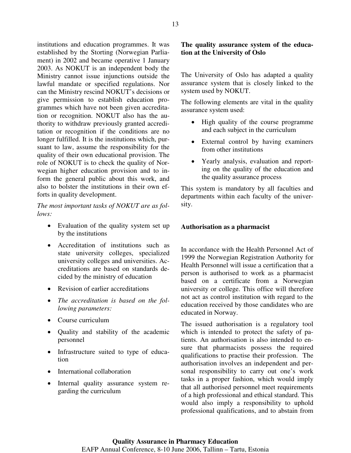institutions and education programmes. It was established by the Storting (Norwegian Parliament) in 2002 and became operative 1 January 2003. As NOKUT is an independent body the Ministry cannot issue injunctions outside the lawful mandate or specified regulations. Nor can the Ministry rescind NOKUT's decisions or give permission to establish education programmes which have not been given accreditation or recognition. NOKUT also has the authority to withdraw previously granted accreditation or recognition if the conditions are no longer fulfilled. It is the institutions which, pursuant to law, assume the responsibility for the quality of their own educational provision. The role of NOKUT is to check the quality of Norwegian higher education provision and to inform the general public about this work, and also to bolster the institutions in their own efforts in quality development.

*The most important tasks of NOKUT are as follows:* 

- Evaluation of the quality system set up by the institutions
- Accreditation of institutions such as state university colleges, specialized university colleges and universities. Accreditations are based on standards decided by the ministry of education
- Revision of earlier accreditations
- *The accreditation is based on the following parameters:*
- Course curriculum
- Quality and stability of the academic personnel
- Infrastructure suited to type of education
- International collaboration
- Internal quality assurance system regarding the curriculum

# **The quality assurance system of the education at the University of Oslo**

The University of Oslo has adapted a quality assurance system that is closely linked to the system used by NOKUT.

The following elements are vital in the quality assurance system used:

- High quality of the course programme and each subject in the curriculum
- External control by having examiners from other institutions
- Yearly analysis, evaluation and reporting on the quality of the education and the quality assurance process

This system is mandatory by all faculties and departments within each faculty of the university.

### **Authorisation as a pharmacist**

In accordance with the Health Personnel Act of 1999 the Norwegian Registration Authority for Health Personnel will issue a certification that a person is authorised to work as a pharmacist based on a certificate from a Norwegian university or college. This office will therefore not act as control institution with regard to the education received by those candidates who are educated in Norway.

The issued authorisation is a regulatory tool which is intended to protect the safety of patients. An authorisation is also intended to ensure that pharmacists possess the required qualifications to practise their profession. The authorisation involves an independent and personal responsibility to carry out one's work tasks in a proper fashion, which would imply that all authorised personnel meet requirements of a high professional and ethical standard. This would also imply a responsibility to uphold professional qualifications, and to abstain from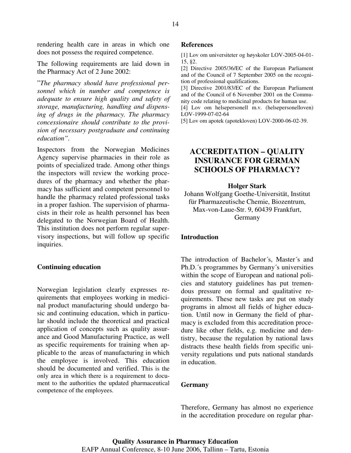rendering health care in areas in which one does not possess the required competence.

The following requirements are laid down in the Pharmacy Act of 2 June 2002:

"*The pharmacy should have professional personnel which in number and competence is adequate to ensure high quality and safety of storage, manufacturing, handling and dispensing of drugs in the pharmacy. The pharmacy concessionaire should contribute to the provision of necessary postgraduate and continuing education".*

Inspectors from the Norwegian Medicines Agency supervise pharmacies in their role as points of specialized trade. Among other things the inspectors will review the working procedures of the pharmacy and whether the pharmacy has sufficient and competent personnel to handle the pharmacy related professional tasks in a proper fashion. The supervision of pharmacists in their role as health personnel has been delegated to the Norwegian Board of Health. This institution does not perform regular supervisory inspections, but will follow up specific inquiries.

#### **Continuing education**

Norwegian legislation clearly expresses requirements that employees working in medicinal product manufacturing should undergo basic and continuing education, which in particular should include the theoretical and practical application of concepts such as quality assurance and Good Manufacturing Practice, as well as specific requirements for training when applicable to the areas of manufacturing in which the employee is involved. This education should be documented and verified. This is the only area in which there is a requirement to document to the authorities the updated pharmaceutical competence of the employees.

#### **References**

[1] Lov om universiteter og høyskoler LOV-2005-04-01- 15, §2.

[2] Directive 2005/36/EC of the European Parliament and of the Council of 7 September 2005 on the recognition of professional qualifications.

[3] Directive 2001/83/EC of the European Parliament and of the Council of 6 November 2001 on the Community code relating to medicinal products for human use.

[4] Lov om helsepersonell m.v. (helsepersonelloven) LOV-1999-07-02-64

[5] Lov om apotek (apotekloven) LOV-2000-06-02-39.

# **ACCREDITATION – QUALITY INSURANCE FOR GERMAN SCHOOLS OF PHARMACY?**

### **Holger Stark**

Johann Wolfgang Goethe-Universität, Institut für Pharmazeutische Chemie, Biozentrum, Max-von-Laue-Str. 9, 60439 Frankfurt, Germany

### **Introduction**

The introduction of Bachelor´s, Master´s and Ph.D.´s programmes by Germany´s universities within the scope of European and national policies and statutory guidelines has put tremendous pressure on formal and qualitative requirements. These new tasks are put on study programs in almost all fields of higher education. Until now in Germany the field of pharmacy is excluded from this accreditation procedure like other fields, e.g. medicine and dentistry, because the regulation by national laws distracts these health fields from specific university regulations und puts national standards in education.

#### **Germany**

Therefore, Germany has almost no experience in the accreditation procedure on regular phar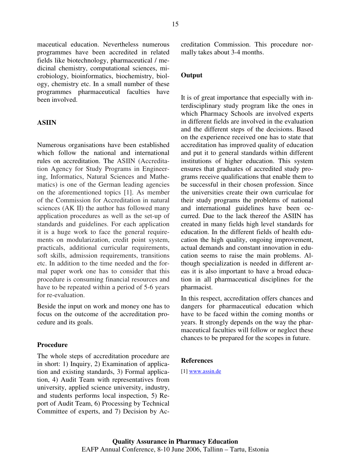maceutical education. Nevertheless numerous programmes have been accredited in related fields like biotechnology, pharmaceutical / medicinal chemistry, computational sciences, microbiology, bioinformatics, biochemistry, biology, chemistry etc. In a small number of these programmes pharmaceutical faculties have been involved.

### **ASIIN**

Numerous organisations have been established which follow the national and international rules on accreditation. The ASIIN (Accreditation Agency for Study Programs in Engineering, Informatics, Natural Sciences and Mathematics) is one of the German leading agencies on the aforementioned topics [1]. As member of the Commission for Accreditation in natural sciences (AK II) the author has followed many application procedures as well as the set-up of standards and guidelines. For each application it is a huge work to face the general requirements on modularization, credit point system, practicals, additional curricular requirements, soft skills, admission requirements, transitions etc. In addition to the time needed and the formal paper work one has to consider that this procedure is consuming financial resources and have to be repeated within a period of 5-6 years for re-evaluation.

Beside the input on work and money one has to focus on the outcome of the accreditation procedure and its goals.

### **Procedure**

The whole steps of accreditation procedure are in short: 1) Inquiry, 2) Examination of application and existing standards, 3) Formal application, 4) Audit Team with representatives from university, applied science university, industry, and students performs local inspection, 5) Report of Audit Team, 6) Processing by Technical Committee of experts, and 7) Decision by Accreditation Commission. This procedure normally takes about 3-4 months.

### **Output**

It is of great importance that especially with interdisciplinary study program like the ones in which Pharmacy Schools are involved experts in different fields are involved in the evaluation and the different steps of the decisions. Based on the experience received one has to state that accreditation has improved quality of education and put it to general standards within different institutions of higher education. This system ensures that graduates of accredited study programs receive qualifications that enable them to be successful in their chosen profession. Since the universities create their own curriculae for their study programs the problems of national and international guidelines have been occurred. Due to the lack thereof the ASIIN has created in many fields high level standards for education. In the different fields of health education the high quality, ongoing improvement, actual demands and constant innovation in education seems to raise the main problems. Although specialization is needed in different areas it is also important to have a broad education in all pharmaceutical disciplines for the pharmacist.

In this respect, accreditation offers chances and dangers for pharmaceutical education which have to be faced within the coming months or years. It strongly depends on the way the pharmaceutical faculties will follow or neglect these chances to be prepared for the scopes in future.

#### **References**

### [1] www.assin.de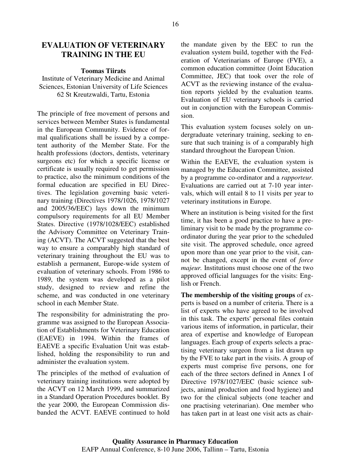# **EVALUATION OF VETERINARY TRAINING IN THE EU**

### **Toomas Tiirats**

Institute of Veterinary Medicine and Animal Sciences, Estonian University of Life Sciences 62 St Kreutzwaldi, Tartu, Estonia

The principle of free movement of persons and services between Member States is fundamental in the European Community. Evidence of formal qualifications shall be issued by a competent authority of the Member State. For the health professions (doctors, dentists, veterinary surgeons etc) for which a specific license or certificate is usually required to get permission to practice, also the minimum conditions of the formal education are specified in EU Directives. The legislation governing basic veterinary training (Directives 1978/1026, 1978/1027 and 2005/36/EEC) lays down the minimum compulsory requirements for all EU Member States. Directive (1978/1028/EEC) established the Advisory Committee on Veterinary Training (ACVT). The ACVT suggested that the best way to ensure a comparably high standard of veterinary training throughout the EU was to establish a permanent, Europe-wide system of evaluation of veterinary schools. From 1986 to 1989, the system was developed as a pilot study, designed to review and refine the scheme, and was conducted in one veterinary school in each Member State.

The responsibility for administrating the programme was assigned to the European Association of Establishments for Veterinary Education (EAEVE) in 1994. Within the frames of EAEVE a specific Evaluation Unit was established, holding the responsibility to run and administer the evaluation system.

The principles of the method of evaluation of veterinary training institutions were adopted by the ACVT on 12 March 1999, and summarized in a Standard Operation Procedures booklet. By the year 2000, the European Commission disbanded the ACVT. EAEVE continued to hold the mandate given by the EEC to run the evaluation system build, together with the Federation of Veterinarians of Europe (FVE), a common education committee (Joint Education Committee, JEC) that took over the role of ACVT as the reviewing instance of the evaluation reports yielded by the evaluation teams. Evaluation of EU veterinary schools is carried out in conjunction with the European Commission.

This evaluation system focuses solely on undergraduate veterinary training, seeking to ensure that such training is of a comparably high standard throughout the European Union.

Within the EAEVE, the evaluation system is managed by the Education Committee, assisted by a programme co-ordinator and a *rapporteur.*  Evaluations are carried out at 7-10 year intervals, which will entail 8 to 11 visits per year to veterinary institutions in Europe.

Where an institution is being visited for the first time, it has been a good practice to have a preliminary visit to be made by the programme coordinator during the year prior to the scheduled site visit. The approved schedule, once agreed upon more than one year prior to the visit, cannot be changed, except in the event of *force majeur.* Institutions must choose one of the two approved official languages for the visits: English or French.

**The membership of the visiting groups** of experts is based on a number of criteria. There is a list of experts who have agreed to be involved in this task. The experts' personal files contain various items of information, in particular, their area of expertise and knowledge of European languages. Each group of experts selects a practising veterinary surgeon from a list drawn up by the FVE to take part in the visits. A group of experts must comprise five persons, one for each of the three sectors defined in Annex I of Directive 1978/1027/EEC (basic science subjects, animal production and food hygiene) and two for the clinical subjects (one teacher and one practising veterinarian). One member who has taken part in at least one visit acts as chair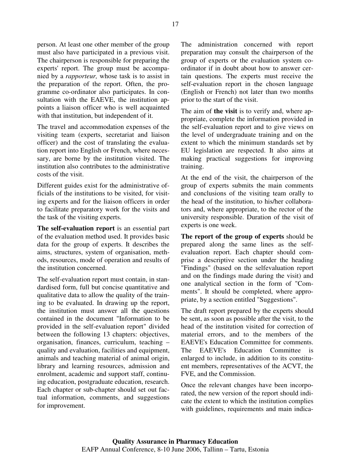person. At least one other member of the group must also have participated in a previous visit. The chairperson is responsible for preparing the experts' report. The group must be accompanied by a *rapporteur,* whose task is to assist in the preparation of the report. Often, the programme co-ordinator also participates. In consultation with the EAEVE, the institution appoints a liaison officer who is well acquainted with that institution, but independent of it.

The travel and accommodation expenses of the visiting team (experts, secretariat and liaison officer) and the cost of translating the evaluation report into English or French, where necessary, are borne by the institution visited. The institution also contributes to the administrative costs of the visit.

Different guides exist for the administrative officials of the institutions to be visited, for visiting experts and for the liaison officers in order to facilitate preparatory work for the visits and the task of the visiting experts.

**The self-evaluation report** is an essential part of the evaluation method used. It provides basic data for the group of experts. It describes the aims, structures, system of organisation, methods, resources, mode of operation and results of the institution concerned.

The self-evaluation report must contain, in standardised form, full but concise quantitative and qualitative data to allow the quality of the training to be evaluated. In drawing up the report, the institution must answer all the questions contained in the document "Information to be provided in the self-evaluation report" divided between the following 13 chapters: objectives, organisation, finances, curriculum, teaching – quality and evaluation, facilities and equipment, animals and teaching material of animal origin, library and learning resources, admission and enrolment, academic and support staff, continuing education, postgraduate education, research. Each chapter or sub-chapter should set out factual information, comments, and suggestions for improvement.

The administration concerned with report preparation may consult the chairperson of the group of experts or the evaluation system coordinator if in doubt about how to answer certain questions. The experts must receive the self-evaluation report in the chosen language (English or French) not later than two months prior to the start of the visit.

The aim of **the visit** is to verify and, where appropriate, complete the information provided in the self-evaluation report and to give views on the level of undergraduate training and on the extent to which the minimum standards set by EU legislation are respected. It also aims at making practical suggestions for improving training.

At the end of the visit, the chairperson of the group of experts submits the main comments and conclusions of the visiting team orally to the head of the institution, to his/her collaborators and, where appropriate, to the rector of the university responsible. Duration of the visit of experts is one week.

**The report of the group of experts** should be prepared along the same lines as the selfevaluation report. Each chapter should comprise a descriptive section under the heading "Findings" (based on the selfevaluation report and on the findings made during the visit) and one analytical section in the form of "Comments". It should be completed, where appropriate, by a section entitled "Suggestions".

The draft report prepared by the experts should be sent, as soon as possible after the visit, to the head of the institution visited for correction of material errors, and to the members of the EAEVE's Education Committee for comments. The EAEVE's Education Committee is enlarged to include, in addition to its constituent members, representatives of the ACVT, the FVE, and the Commission.

Once the relevant changes have been incorporated, the new version of the report should indicate the extent to which the institution complies with guidelines, requirements and main indica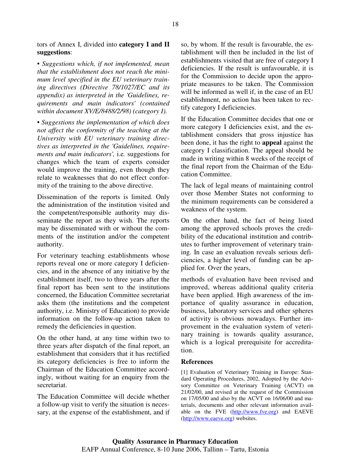tors of Annex I, divided into **category I and II suggestions**:

• *Suggestions which, if not implemented, mean that the establishment does not reach the minimum level specified in the EU veterinary training directives (Directive 78/1027/EC and its appendix) as interpreted in the 'Guidelines, requirements and main indicators' (contained within document XV/E/8488/2/98) (category I).*

• *Suggestions the implementation of which does not affect the conformity of the teaching at the University with EU veterinary training directives as interpreted in the 'Guidelines, requirements and main indicators',* i.e*.* suggestions for changes which the team of experts consider would improve the training, even though they relate to weaknesses that do not effect conformity of the training to the above directive.

Dissemination of the reports is limited. Only the administration of the institution visited and the competent/responsible authority may disseminate the report as they wish. The reports may be disseminated with or without the comments of the institution and/or the competent authority.

For veterinary teaching establishments whose reports reveal one or more category I deficiencies, and in the absence of any initiative by the establishment itself, two to three years after the final report has been sent to the institutions concerned, the Education Committee secretariat asks them (the institutions and the competent authority, i.e. Ministry of Education) to provide information on the follow-up action taken to remedy the deficiencies in question.

On the other hand, at any time within two to three years after dispatch of the final report, an establishment that considers that it has rectified its category deficiencies is free to inform the Chairman of the Education Committee accordingly, without waiting for an enquiry from the secretariat.

The Education Committee will decide whether a follow-up visit to verify the situation is necessary, at the expense of the establishment, and if so, by whom. If the result is favourable, the establishment will then be included in the list of establishments visited that are free of category I deficiencies. If the result is unfavourable, it is for the Commission to decide upon the appropriate measures to be taken. The Commission will be informed as well if, in the case of an EU establishment, no action has been taken to rectify category I deficiencies.

If the Education Committee decides that one or more category I deficiencies exist, and the establishment considers that gross injustice has been done, it has the right to **appeal** against the category I classification. The appeal should be made in writing within 8 weeks of the receipt of the final report from the Chairman of the Education Committee.

The lack of legal means of maintaining control over those Member States not conforming to the minimum requirements can be considered a weakness of the system.

On the other hand, the fact of being listed among the approved schools proves the credibility of the educational institution and contributes to further improvement of veterinary training. In case an evaluation reveals serious deficiencies, a higher level of funding can be applied for. Over the years,

methods of evaluation have been revised and improved, whereas additional quality criteria have been applied. High awareness of the importance of quality assurance in education, business, laboratory services and other spheres of activity is obvious nowadays. Further improvement in the evaluation system of veterinary training is towards quality assurance, which is a logical prerequisite for accreditation.

## **References**

[1] Evaluation of Veterinary Training in Europe: Standard Operating Procedures, 2002, Adopted by the Advisory Committee on Veterinary Training (ACVT) on 21/02/00, and revised at the request of the Commission on 17/05/00 and also by the ACVT on 16/06/00 and materials, documents and other relevant information available on the FVE (http://www.fve.org) and EAEVE (http://www.eaeve.org) websites.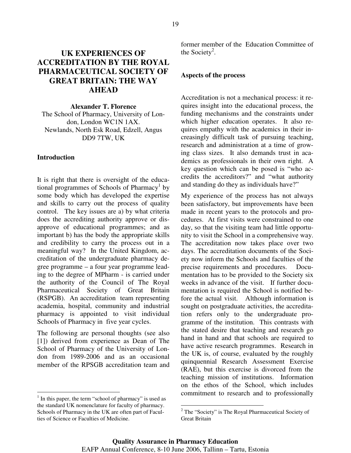# **UK EXPERIENCES OF ACCREDITATION BY THE ROYAL PHARMACEUTICAL SOCIETY OF GREAT BRITAIN: THE WAY AHEAD**

### **Alexander T. Florence**

The School of Pharmacy, University of London, London WC1N 1AX. Newlands, North Esk Road, Edzell, Angus DD9 7TW, UK

### **Introduction**

It is right that there is oversight of the educational programmes of Schools of Pharmacy<sup>1</sup> by some body which has developed the expertise and skills to carry out the process of quality control. The key issues are a) by what criteria does the accrediting authority approve or disapprove of educational programmes; and as important b) has the body the appropriate skills and credibility to carry the process out in a meaningful way? In the United Kingdom, accreditation of the undergraduate pharmacy degree programme – a four year programme leading to the degree of MPharm - is carried under the authority of the Council of The Royal Pharmaceutical Society of Great Britain (RSPGB). An accreditation team representing academia, hospital, community and industrial pharmacy is appointed to visit individual Schools of Pharmacy in five year cycles.

The following are personal thoughts (see also [1]) derived from experience as Dean of The School of Pharmacy of the University of London from 1989-2006 and as an occasional member of the RPSGB accreditation team and former member of the Education Committee of the Society<sup>2</sup>.

### **Aspects of the process**

Accreditation is not a mechanical process: it requires insight into the educational process, the funding mechanisms and the constraints under which higher education operates. It also requires empathy with the academics in their increasingly difficult task of pursuing teaching, research and administration at a time of growing class sizes. It also demands trust in academics as professionals in their own right. A key question which can be posed is "who accredits the accreditors?" and "what authority and standing do they as individuals have?"

My experience of the process has not always been satisfactory, but improvements have been made in recent years to the protocols and procedures. At first visits were constrained to one day, so that the visiting team had little opportunity to visit the School in a comprehensive way. The accreditation now takes place over two days. The accreditation documents of the Society now inform the Schools and faculties of the precise requirements and procedures. Documentation has to be provided to the Society six weeks in advance of the visit. If further documentation is required the School is notified before the actual visit. Although information is sought on postgraduate activities, the accreditation refers only to the undergraduate programme of the institution. This contrasts with the stated desire that teaching and research go hand in hand and that schools are required to have active research programmes. Research in the UK is, of course, evaluated by the roughly quinquennial Research Assessment Exercise (RAE), but this exercise is divorced from the teaching mission of institutions. Information on the ethos of the School, which includes commitment to research and to professionally

 $\overline{a}$ 

 $<sup>1</sup>$  In this paper, the term "school of pharmacy" is used as</sup> the standard UK nomenclature for faculty of pharmacy. Schools of Pharmacy in the UK are often part of Faculties of Science or Faculties of Medicine.

<sup>&</sup>lt;sup>2</sup> The "Society" is The Royal Pharmaceutical Society of Great Britain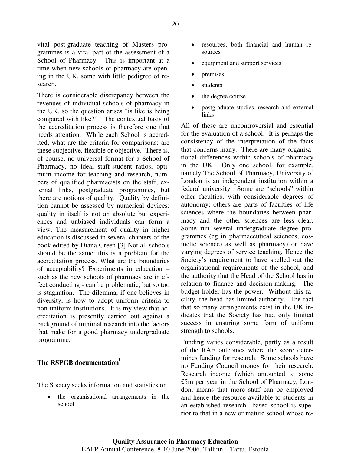vital post-graduate teaching of Masters programmes is a vital part of the assessment of a School of Pharmacy. This is important at a time when new schools of pharmacy are opening in the UK, some with little pedigree of research.

There is considerable discrepancy between the revenues of individual schools of pharmacy in the UK, so the question arises "is like is being compared with like?" The contextual basis of the accreditation process is therefore one that needs attention. While each School is accredited, what are the criteria for comparisons: are these subjective, flexible or objective. There is, of course, no universal format for a School of Pharmacy, no ideal staff-student ratios, optimum income for teaching and research, numbers of qualified pharmacists on the staff, external links, postgraduate programmes, but there are notions of quality. Quality by definition cannot be assessed by numerical devices: quality in itself is not an absolute but experiences and unbiased individuals can form a view. The measurement of quality in higher education is discussed in several chapters of the book edited by Diana Green [3] Not all schools should be the same: this is a problem for the accreditation process. What are the boundaries of acceptability? Experiments in education – such as the new schools of pharmacy are in effect conducting - can be problematic, but so too is stagnation. The dilemma, if one believes in diversity, is how to adopt uniform criteria to non-uniform institutions. It is my view that accreditation is presently carried out against a background of minimal research into the factors that make for a good pharmacy undergraduate programme.

### **The RSPGB documentation<sup>i</sup>**

The Society seeks information and statistics on

• the organisational arrangements in the school

- resources, both financial and human resources
- equipment and support services
- premises
- **students**
- the degree course
- postgraduate studies, research and external links

All of these are uncontroversial and essential for the evaluation of a school. It is perhaps the consistency of the interpretation of the facts that concerns many. There are many organisational differences within schools of pharmacy in the UK. Only one school, for example, namely The School of Pharmacy, University of London is an independent institution within a federal university. Some are "schools" within other faculties, with considerable degrees of autonomy; others are parts of faculties of life sciences where the boundaries between pharmacy and the other sciences are less clear. Some run several undergraduate degree programmes (eg in pharmaceutical sciences, cosmetic science) as well as pharmacy) or have varying degrees of service teaching. Hence the Society's requirement to have spelled out the organisational requirements of the school, and the authority that the Head of the School has in relation to finance and decision-making. The budget holder has the power. Without this facility, the head has limited authority. The fact that so many arrangements exist in the UK indicates that the Society has had only limited success in ensuring some form of uniform strength to schools.

Funding varies considerable, partly as a result of the RAE outcomes where the score determines funding for research. Some schools have no Funding Council money for their research. Research income (which amounted to some £5m per year in the School of Pharmacy, London, means that more staff can be employed and hence the resource available to students in an established research –based school is superior to that in a new or mature school whose re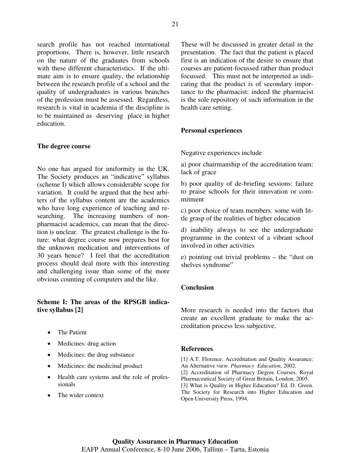search profile has not reached international proportions. There is, however, little research on the nature of the graduates from schools with these different characteristics. If the ultimate aim is to ensure quality, the relationship between the research profile of a school and the quality of undergraduates in various branches of the profession must be assessed. Regardless, research is vital in academia if the discipline is to be maintained as deserving place in higher education.

### **The degree course**

No one has argued for uniformity in the UK. The Society produces an "indicative" syllabus (scheme I) which allows considerable scope for variation. It could be argued that the best arbiters of the syllabus content are the academics who have long experience of teaching and researching. The increasing numbers of nonpharmacist academics, can mean that the direction is unclear. The greatest challenge is the future: what degree course now prepares best for the unknown medication and interventions of 30 years hence? I feel that the accreditation process should deal more with this interesting and challenging issue than some of the more obvious counting of computers and the like.

# **Scheme I: The areas of the RPSGB indicative syllabus [2]**

- The Patient
- Medicines: drug action
- Medicines: the drug substance
- Medicines: the medicinal product
- Health care systems and the role of professionals
- The wider context

These will be discussed in greater detail in the presentation. The fact that the patient is placed first is an indication of the desire to ensure that courses are patient-focussed rather than product focussed. This must not be interpreted as indicating that the product is of secondary importance to the pharmacist: indeed the pharmacist is the sole repository of such information in the health care setting.

### **Personal experiences**

Negative experiences include

a) poor chairmanship of the accreditation team: lack of grace

b) poor quality of de-briefing sessions: failure to praise schools for their innovation or commitment

c) poor choice of team members: some with little grasp of the realities of higher education

d) inability always to see the undergraduate programme in the context of a vibrant school involved in other activities

e) pointing out trivial problems – the "dust on shelves syndrome"

### **Conclusion**

More research is needed into the factors that create an excellent graduate to make the accreditation process less subjective.

### **References**

- [1] A.T. Florence. Accreditation and Quality Assurance: An Alternative view. *Pharmacy Education,* 2002.
- [2] Accreditation of Pharmacy Degree Courses, Royal Pharmaceutical Society of Great Britain, London, 2005.
- [3] What is Quality in Higher Education? Ed. D. Green. The Society for Research into Higher Education and Open University Press, 1994.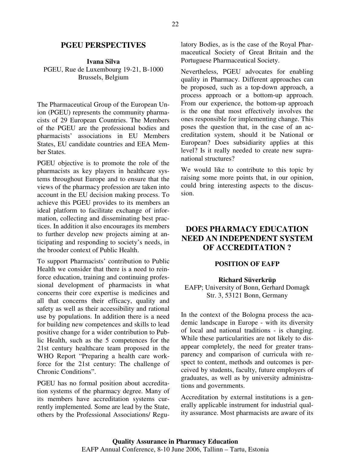# **PGEU PERSPECTIVES**

**Ivana Silva**  PGEU, Rue de Luxembourg 19-21, B-1000 Brussels, Belgium

The Pharmaceutical Group of the European Union (PGEU) represents the community pharmacists of 29 European Countries. The Members of the PGEU are the professional bodies and pharmacists' associations in EU Members States, EU candidate countries and EEA Member States.

PGEU objective is to promote the role of the pharmacists as key players in healthcare systems throughout Europe and to ensure that the views of the pharmacy profession are taken into account in the EU decision making process. To achieve this PGEU provides to its members an ideal platform to facilitate exchange of information, collecting and disseminating best practices. In addition it also encourages its members to further develop new projects aiming at anticipating and responding to society's needs, in the brooder context of Public Health.

To support Pharmacists' contribution to Public Health we consider that there is a need to reinforce education, training and continuing professional development of pharmacists in what concerns their core expertise is medicines and all that concerns their efficacy, quality and safety as well as their accessibility and rational use by populations. In addition there is a need for building new competences and skills to lead positive change for a wider contribution to Public Health, such as the 5 competences for the 21st century healthcare team proposed in the WHO Report "Preparing a health care workforce for the 21st century: The challenge of Chronic Conditions".

PGEU has no formal position about accreditation systems of the pharmacy degree. Many of its members have accreditation systems currently implemented. Some are lead by the State, others by the Professional Associations/ Regulatory Bodies, as is the case of the Royal Pharmaceutical Society of Great Britain and the Portuguese Pharmaceutical Society.

Nevertheless, PGEU advocates for enabling quality in Pharmacy. Different approaches can be proposed, such as a top-down approach, a process approach or a bottom-up approach. From our experience, the bottom-up approach is the one that most effectively involves the ones responsible for implementing change. This poses the question that, in the case of an accreditation system, should it be National or European? Does subsidiarity applies at this level? Is it really needed to create new supranational structures?

We would like to contribute to this topic by raising some more points that, in our opinion, could bring interesting aspects to the discussion.

# **DOES PHARMACY EDUCATION NEED AN INDEPENDENT SYSTEM OF ACCREDITATION ?**

### **POSITION OF EAFP**

### **Richard Süverkrüp**

EAFP; University of Bonn, Gerhard Domagk Str. 3, 53121 Bonn, Germany

In the context of the Bologna process the academic landscape in Europe - with its diversity of local and national traditions - is changing. While these particularities are not likely to disappear completely, the need for greater transparency and comparison of curricula with respect to content, methods and outcomes is perceived by students, faculty, future employers of graduates, as well as by university administrations and governments.

Accreditation by external institutions is a generally applicable instrument for industrial quality assurance. Most pharmacists are aware of its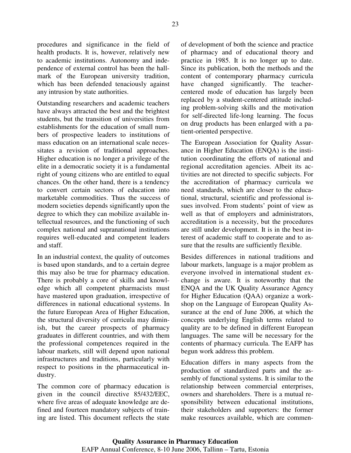procedures and significance in the field of health products. It is, however, relatively new to academic institutions. Autonomy and independence of external control has been the hallmark of the European university tradition, which has been defended tenaciously against any intrusion by state authorities.

Outstanding researchers and academic teachers have always attracted the best and the brightest students, but the transition of universities from establishments for the education of small numbers of prospective leaders to institutions of mass education on an international scale necessitates a revision of traditional approaches. Higher education is no longer a privilege of the elite in a democratic society it is a fundamental right of young citizens who are entitled to equal chances. On the other hand, there is a tendency to convert certain sectors of education into marketable commodities. Thus the success of modern societies depends significantly upon the degree to which they can mobilize available intellectual resources, and the functioning of such complex national and supranational institutions requires well-educated and competent leaders and staff.

In an industrial context, the quality of outcomes is based upon standards, and to a certain degree this may also be true for pharmacy education. There is probably a core of skills and knowledge which all competent pharmacists must have mastered upon graduation, irrespective of differences in national educational systems. In the future European Area of Higher Education, the structural diversity of curricula may diminish, but the career prospects of pharmacy graduates in different countries, and with them the professional competences required in the labour markets, still will depend upon national infrastructures and traditions, particularly with respect to positions in the pharmaceutical industry.

The common core of pharmacy education is given in the council directive 85/432/EEC, where five areas of adequate knowledge are defined and fourteen mandatory subjects of training are listed. This document reflects the state of development of both the science and practice of pharmacy and of educational theory and practice in 1985. It is no longer up to date. Since its publication, both the methods and the content of contemporary pharmacy curricula have changed significantly. The teachercentered mode of education has largely been replaced by a student-centered attitude including problem-solving skills and the motivation for self-directed life-long learning. The focus on drug products has been enlarged with a patient-oriented perspective.

The European Association for Quality Assurance in Higher Education (ENQA) is the institution coordinating the efforts of national and regional accreditation agencies. Albeit its activities are not directed to specific subjects. For the accreditation of pharmacy curricula we need standards, which are closer to the educational, structural, scientific and professional issues involved. From students' point of view as well as that of employers and administrators, accreditation is a necessity, but the procedures are still under development. It is in the best interest of academic staff to cooperate and to assure that the results are sufficiently flexible.

Besides differences in national traditions and labour markets, language is a major problem as everyone involved in international student exchange is aware. It is noteworthy that the ENQA and the UK Quality Assurance Agency for Higher Education (QAA) organize a workshop on the Language of European Quality Assurance at the end of June 2006, at which the concepts underlying English terms related to quality are to be defined in different European languages. The same will be necessary for the contents of pharmacy curricula. The EAFP has begun work address this problem.

Education differs in many aspects from the production of standardized parts and the assembly of functional systems. It is similar to the relationship between commercial enterprises, owners and shareholders. There is a mutual responsibility between educational institutions, their stakeholders and supporters: the former make resources available, which are commen-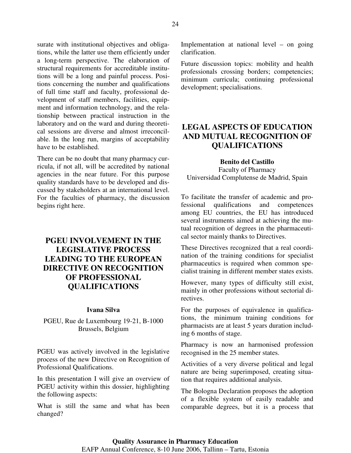surate with institutional objectives and obligations, while the latter use them efficiently under a long-term perspective. The elaboration of structural requirements for accreditable institutions will be a long and painful process. Positions concerning the number and qualifications of full time staff and faculty, professional development of staff members, facilities, equipment and information technology, and the relationship between practical instruction in the laboratory and on the ward and during theoretical sessions are diverse and almost irreconcilable. In the long run, margins of acceptability have to be established.

There can be no doubt that many pharmacy curricula, if not all, will be accredited by national agencies in the near future. For this purpose quality standards have to be developed and discussed by stakeholders at an international level. For the faculties of pharmacy, the discussion begins right here.

# **PGEU INVOLVEMENT IN THE LEGISLATIVE PROCESS LEADING TO THE EUROPEAN DIRECTIVE ON RECOGNITION OF PROFESSIONAL QUALIFICATIONS**

### **Ivana Silva**

PGEU, Rue de Luxembourg 19-21, B-1000 Brussels, Belgium

PGEU was actively involved in the legislative process of the new Directive on Recognition of Professional Qualifications.

In this presentation I will give an overview of PGEU activity within this dossier, highlighting the following aspects:

What is still the same and what has been changed?

Implementation at national level – on going clarification.

Future discussion topics: mobility and health professionals crossing borders; competencies; minimum curricula; continuing professional development; specialisations.

# **LEGAL ASPECTS OF EDUCATION AND MUTUAL RECOGNITION OF QUALIFICATIONS**

### **Benito del Castillo**

Faculty of Pharmacy Universidad Complutense de Madrid, Spain

To facilitate the transfer of academic and professional qualifications and competences among EU countries, the EU has introduced several instruments aimed at achieving the mutual recognition of degrees in the pharmaceutical sector mainly thanks to Directives.

These Directives recognized that a real coordination of the training conditions for specialist pharmaceutics is required when common specialist training in different member states exists.

However, many types of difficulty still exist, mainly in other professions without sectorial directives.

For the purposes of equivalence in qualifications, the minimum training conditions for pharmacists are at least 5 years duration including 6 months of stage.

Pharmacy is now an harmonised profession recognised in the 25 member states.

Activities of a very diverse political and legal nature are being superimposed, creating situation that requires additional analysis.

The Bologna Declaration proposes the adoption of a flexible system of easily readable and comparable degrees, but it is a process that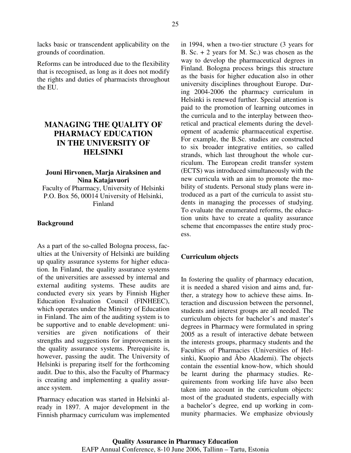lacks basic or transcendent applicability on the grounds of coordination.

Reforms can be introduced due to the flexibility that is recognised, as long as it does not modify the rights and duties of pharmacists throughout the EU.

# **MANAGING THE QUALITY OF PHARMACY EDUCATION IN THE UNIVERSITY OF HELSINKI**

# **Jouni Hirvonen, Marja Airaksinen and Nina Katajavuori**

Faculty of Pharmacy, University of Helsinki P.O. Box 56, 00014 University of Helsinki, Finland

### **Background**

As a part of the so-called Bologna process, faculties at the University of Helsinki are building up quality assurance systems for higher education. In Finland, the quality assurance systems of the universities are assessed by internal and external auditing systems. These audits are conducted every six years by Finnish Higher Education Evaluation Council (FINHEEC), which operates under the Ministry of Education in Finland. The aim of the auditing system is to be supportive and to enable development: universities are given notifications of their strengths and suggestions for improvements in the quality assurance systems. Prerequisite is, however, passing the audit. The University of Helsinki is preparing itself for the forthcoming audit. Due to this, also the Faculty of Pharmacy is creating and implementing a quality assurance system.

Pharmacy education was started in Helsinki already in 1897. A major development in the Finnish pharmacy curriculum was implemented in 1994, when a two-tier structure (3 years for B. Sc. + 2 years for M. Sc.) was chosen as the way to develop the pharmaceutical degrees in Finland. Bologna process brings this structure as the basis for higher education also in other university disciplines throughout Europe. During 2004-2006 the pharmacy curriculum in Helsinki is renewed further. Special attention is paid to the promotion of learning outcomes in the curricula and to the interplay between theoretical and practical elements during the development of academic pharmaceutical expertise. For example, the B.Sc. studies are constructed to six broader integrative entities, so called strands, which last throughout the whole curriculum. The European credit transfer system (ECTS) was introduced simultaneously with the new curricula with an aim to promote the mobility of students. Personal study plans were introduced as a part of the curricula to assist students in managing the processes of studying. To evaluate the enumerated reforms, the education units have to create a quality assurance scheme that encompasses the entire study process.

### **Curriculum objects**

In fostering the quality of pharmacy education, it is needed a shared vision and aims and, further, a strategy how to achieve these aims. Interaction and discussion between the personnel, students and interest groups are all needed. The curriculum objects for bachelor's and master's degrees in Pharmacy were formulated in spring 2005 as a result of interactive debate between the interests groups, pharmacy students and the Faculties of Pharmacies (Universities of Helsinki, Kuopio and Åbo Akademi). The objects contain the essential know-how, which should be learnt during the pharmacy studies. Requirements from working life have also been taken into account in the curriculum objects: most of the graduated students, especially with a bachelor's degree, end up working in community pharmacies. We emphasize obviously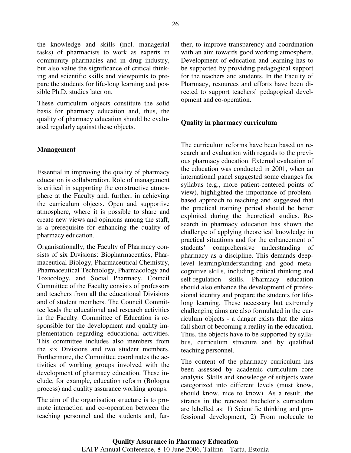the knowledge and skills (incl. managerial tasks) of pharmacists to work as experts in community pharmacies and in drug industry, but also value the significance of critical thinking and scientific skills and viewpoints to prepare the students for life-long learning and possible Ph.D. studies later on.

These curriculum objects constitute the solid basis for pharmacy education and, thus, the quality of pharmacy education should be evaluated regularly against these objects.

### **Management**

Essential in improving the quality of pharmacy education is collaboration. Role of management is critical in supporting the constructive atmosphere at the Faculty and, further, in achieving the curriculum objects. Open and supportive atmosphere, where it is possible to share and create new views and opinions among the staff, is a prerequisite for enhancing the quality of pharmacy education.

Organisationally, the Faculty of Pharmacy consists of six Divisions: Biopharmaceutics, Pharmaceutical Biology, Pharmaceutical Chemistry, Pharmaceutical Technology, Pharmacology and Toxicology, and Social Pharmacy. Council Committee of the Faculty consists of professors and teachers from all the educational Divisions and of student members. The Council Committee leads the educational and research activities in the Faculty. Committee of Education is responsible for the development and quality implementation regarding educational activities. This committee includes also members from the six Divisions and two student members. Furthermore, the Committee coordinates the activities of working groups involved with the development of pharmacy education. These include, for example, education reform (Bologna process) and quality assurance working groups.

The aim of the organisation structure is to promote interaction and co-operation between the teaching personnel and the students and, further, to improve transparency and coordination with an aim towards good working atmosphere. Development of education and learning has to be supported by providing pedagogical support for the teachers and students. In the Faculty of Pharmacy, resources and efforts have been directed to support teachers' pedagogical development and co-operation.

# **Quality in pharmacy curriculum**

The curriculum reforms have been based on research and evaluation with regards to the previous pharmacy education. External evaluation of the education was conducted in 2001, when an international panel suggested some changes for syllabus (e.g., more patient-centered points of view), highlighted the importance of problembased approach to teaching and suggested that the practical training period should be better exploited during the theoretical studies. Research in pharmacy education has shown the challenge of applying theoretical knowledge in practical situations and for the enhancement of students' comprehensive understanding of pharmacy as a discipline. This demands deeplevel learning/understanding and good metacognitive skills, including critical thinking and self-regulation skills. Pharmacy education should also enhance the development of professional identity and prepare the students for lifelong learning. These necessary but extremely challenging aims are also formulated in the curriculum objects - a danger exists that the aims fall short of becoming a reality in the education. Thus, the objects have to be supported by syllabus, curriculum structure and by qualified teaching personnel.

The content of the pharmacy curriculum has been assessed by academic curriculum core analysis. Skills and knowledge of subjects were categorized into different levels (must know, should know, nice to know). As a result, the strands in the renewed bachelor's curriculum are labelled as: 1) Scientific thinking and professional development, 2) From molecule to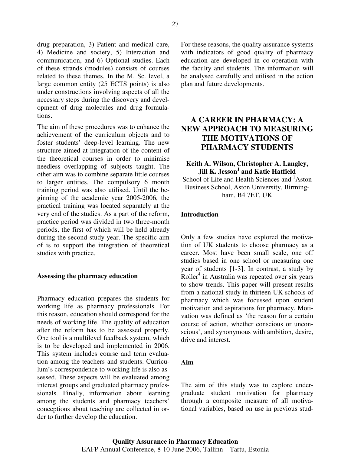drug preparation, 3) Patient and medical care, 4) Medicine and society, 5) Interaction and communication, and 6) Optional studies. Each of these strands (modules) consists of courses related to these themes. In the M. Sc. level, a large common entity (25 ECTS points) is also under constructions involving aspects of all the necessary steps during the discovery and development of drug molecules and drug formulations.

The aim of these procedures was to enhance the achievement of the curriculum objects and to foster students' deep-level learning. The new structure aimed at integration of the content of the theoretical courses in order to minimise needless overlapping of subjects taught. The other aim was to combine separate little courses to larger entities. The compulsory 6 month training period was also utilised. Until the beginning of the academic year 2005-2006, the practical training was located separately at the very end of the studies. As a part of the reform, practice period was divided in two three-month periods, the first of which will be held already during the second study year. The specific aim of is to support the integration of theoretical studies with practice.

### **Assessing the pharmacy education**

Pharmacy education prepares the students for working life as pharmacy professionals. For this reason, education should correspond for the needs of working life. The quality of education after the reform has to be assessed properly. One tool is a multilevel feedback system, which is to be developed and implemented in 2006. This system includes course and term evaluation among the teachers and students. Curriculum's correspondence to working life is also assessed. These aspects will be evaluated among interest groups and graduated pharmacy professionals. Finally, information about learning among the students and pharmacy teachers' conceptions about teaching are collected in order to further develop the education.

For these reasons, the quality assurance systems with indicators of good quality of pharmacy education are developed in co-operation with the faculty and students. The information will be analysed carefully and utilised in the action plan and future developments.

# **A CAREER IN PHARMACY: A NEW APPROACH TO MEASURING THE MOTIVATIONS OF PHARMACY STUDENTS**

# **Keith A. Wilson, Christopher A. Langley, Jill K. Jesson<sup>1</sup> and Katie Hatfield**

School of Life and Health Sciences and <sup>1</sup>Aston Business School, Aston University, Birmingham, B4 7ET, UK

### **Introduction**

Only a few studies have explored the motivation of UK students to choose pharmacy as a career. Most have been small scale, one off studies based in one school or measuring one year of students [1-3]. In contrast, a study by  $Roller<sup>4</sup>$  in Australia was repeated over six years to show trends. This paper will present results from a national study in thirteen UK schools of pharmacy which was focussed upon student motivation and aspirations for pharmacy. Motivation was defined as 'the reason for a certain course of action, whether conscious or unconscious', and synonymous with ambition, desire, drive and interest.

# **Aim**

The aim of this study was to explore undergraduate student motivation for pharmacy through a composite measure of all motivational variables, based on use in previous stud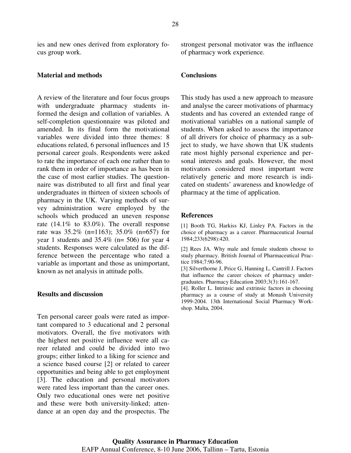ies and new ones derived from exploratory focus group work.

### **Material and methods**

A review of the literature and four focus groups with undergraduate pharmacy students informed the design and collation of variables. A self-completion questionnaire was piloted and amended. In its final form the motivational variables were divided into three themes: 8 educations related, 6 personal influences and 15 personal career goals. Respondents were asked to rate the importance of each one rather than to rank them in order of importance as has been in the case of most earlier studies. The questionnaire was distributed to all first and final year undergraduates in thirteen of sixteen schools of pharmacy in the UK. Varying methods of survey administration were employed by the schools which produced an uneven response rate  $(14.1\%$  to 83.0%). The overall response rate was 35.2% (n=1163); 35.0% (n=657) for year 1 students and 35.4% (n= 506) for year 4 students. Responses were calculated as the difference between the percentage who rated a variable as important and those as unimportant, known as net analysis in attitude polls.

### **Results and discussion**

Ten personal career goals were rated as important compared to 3 educational and 2 personal motivators. Overall, the five motivators with the highest net positive influence were all career related and could be divided into two groups; either linked to a liking for science and a science based course [2] or related to career opportunities and being able to get employment [3]. The education and personal motivators were rated less important than the career ones. Only two educational ones were net positive and these were both university-linked; attendance at an open day and the prospectus. The strongest personal motivator was the influence of pharmacy work experience.

### **Conclusions**

This study has used a new approach to measure and analyse the career motivations of pharmacy students and has covered an extended range of motivational variables on a national sample of students. When asked to assess the importance of all drivers for choice of pharmacy as a subject to study, we have shown that UK students rate most highly personal experience and personal interests and goals. However, the most motivators considered most important were relatively generic and more research is indicated on students' awareness and knowledge of pharmacy at the time of application.

#### **References**

[1] Booth TG, Harkiss KJ, Linley PA. Factors in the choice of pharmacy as a career. Pharmaceutical Journal 1984;233(6298):420.

[2] Rees JA. Why male and female students choose to study pharmacy. British Journal of Pharmaceutical Practice 1984;7:90-96.

[3] Silverthorne J, Price G, Hanning L, Cantrill J. Factors that influence the career choices of pharmacy undergraduates. Pharmacy Education 2003;3(3):161-167.

[4]. Roller L. Intrinsic and extrinsic factors in choosing pharmacy as a course of study at Monash University 1999-2004. 13th International Social Pharmacy Workshop. Malta, 2004.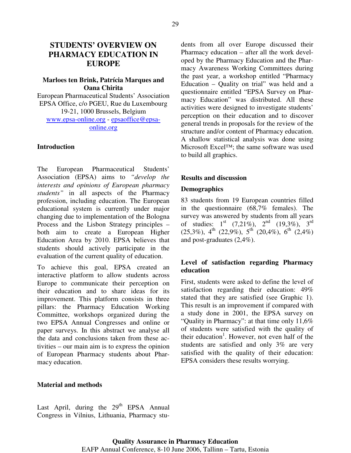# **STUDENTS' OVERVIEW ON PHARMACY EDUCATION IN EUROPE**

### **Marloes ten Brink, Patrícia Marques and Oana Chirita**

European Pharmaceutical Students' Association EPSA Office, c/o PGEU, Rue du Luxembourg 19-21, 1000 Brussels, Belgium www.epsa-online.org - epsaoffice@epsa-

online.org

### **Introduction**

The European Pharmaceutical Students' Association (EPSA) aims to *"develop the interests and opinions of European pharmacy students"* in all aspects of the Pharmacy profession, including education. The European educational system is currently under major changing due to implementation of the Bologna Process and the Lisbon Strategy principles – both aim to create a European Higher Education Area by 2010. EPSA believes that students should actively participate in the evaluation of the current quality of education.

To achieve this goal, EPSA created an interactive platform to allow students across Europe to communicate their perception on their education and to share ideas for its improvement. This platform consists in three pillars: the Pharmacy Education Working Committee, workshops organized during the two EPSA Annual Congresses and online or paper surveys. In this abstract we analyse all the data and conclusions taken from these activities – our main aim is to express the opinion of European Pharmacy students about Pharmacy education.

dents from all over Europe discussed their Pharmacy education – after all the work developed by the Pharmacy Education and the Pharmacy Awareness Working Committees during the past year, a workshop entitled "Pharmacy Education – Quality on trial" was held and a questionnaire entitled "EPSA Survey on Pharmacy Education" was distributed. All these activities were designed to investigate students' perception on their education and to discover general trends in proposals for the review of the structure and/or content of Pharmacy education. A shallow statistical analysis was done using Microsoft Excel™; the same software was used to build all graphics.

#### **Results and discussion**

### **Demographics**

83 students from 19 European countries filled in the questionnaire (68,7% females). The survey was answered by students from all years of studies:  $1^{st}$  (7,21%),  $2^{nd}$  (19,3%),  $3^{rd}$ (25,3%),  $4^{\text{th}}$  (22,9%),  $5^{\text{th}}$  (20,4%),  $6^{\text{th}}$  (2,4%) and post-graduates (2,4%).

### **Level of satisfaction regarding Pharmacy education**

First, students were asked to define the level of satisfaction regarding their education: 49% stated that they are satisfied (see Graphic 1). This result is an improvement if compared with a study done in 2001, the EPSA survey on "Quality in Pharmacy": at that time only 11,6% of students were satisfied with the quality of their education<sup>1</sup>. However, not even half of the students are satisfied and only 3% are very satisfied with the quality of their education: EPSA considers these results worrying.

### **Material and methods**

Last April, during the  $29<sup>th</sup>$  EPSA Annual Congress in Vilnius, Lithuania, Pharmacy stu-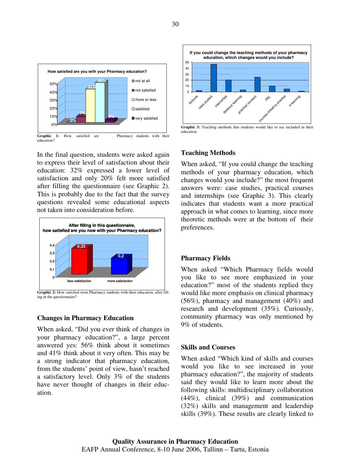

In the final question, students were asked again to express their level of satisfaction about their education: 32% expressed a lower level of satisfaction and only 20% felt more satisfied after filling the questionnaire (see Graphic 2). This is probably due to the fact that the survey questions revealed some educational aspects not taken into consideration before.



**Graphic 2:** How satisfied were Pharmacy students with their education, after filling in the questionnaire?

### **Changes in Pharmacy Education**

When asked, "Did you ever think of changes in your pharmacy education?", a large percent answered yes: 56% think about it sometimes and 41% think about it very often. This may be a strong indicator that pharmacy education, from the students' point of view, hasn't reached a satisfactory level. Only 3% of the students have never thought of changes in their education.



Graphic 3: Teaching methods that students would like to see included in their education.

### **Teaching Methods**

When asked, "If you could change the teaching methods of your pharmacy education, which changes would you include?" the most frequent answers were: case studies, practical courses and internships (see Graphic 3). This clearly indicates that students want a more practical approach in what comes to learning, since more theoretic methods were at the bottom of their preferences.

### **Pharmacy Fields**

When asked "Which Pharmacy fields would you like to see more emphasized in your education?" most of the students replied they would like more emphasis on clinical pharmacy (56%), pharmacy and management (40%) and research and development (35%). Curiously, community pharmacy was only mentioned by 9% of students.

### **Skills and Courses**

When asked "Which kind of skills and courses would you like to see increased in your pharmacy education?", the majority of students said they would like to learn more about the following skills: multidisciplinary collaboration (44%), clinical (39%) and communication (32%) skills and management and leadership skills (39%). These results are clearly linked to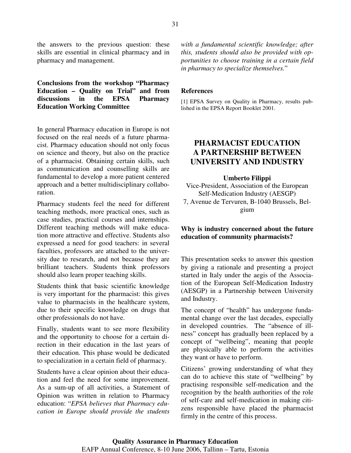the answers to the previous question: these skills are essential in clinical pharmacy and in pharmacy and management.

**Conclusions from the workshop "Pharmacy Education – Quality on Trial" and from discussions in the EPSA Pharmacy Education Working Committee** 

In general Pharmacy education in Europe is not focused on the real needs of a future pharmacist. Pharmacy education should not only focus on science and theory, but also on the practice of a pharmacist. Obtaining certain skills, such as communication and counselling skills are fundamental to develop a more patient centered approach and a better multidisciplinary collaboration.

Pharmacy students feel the need for different teaching methods, more practical ones, such as case studies, practical courses and internships. Different teaching methods will make education more attractive and effective. Students also expressed a need for good teachers: in several faculties, professors are attached to the university due to research, and not because they are brilliant teachers. Students think professors should also learn proper teaching skills.

Students think that basic scientific knowledge is very important for the pharmacist: this gives value to pharmacists in the healthcare system, due to their specific knowledge on drugs that other professionals do not have.

Finally, students want to see more flexibility and the opportunity to choose for a certain direction in their education in the last years of their education. This phase would be dedicated to specialization in a certain field of pharmacy.

Students have a clear opinion about their education and feel the need for some improvement. As a sum-up of all activities, a Statement of Opinion was written in relation to Pharmacy education: "*EPSA believes that Pharmacy education in Europe should provide the students*  *with a fundamental scientific knowledge; after this, students should also be provided with opportunities to choose training in a certain field in pharmacy to specialize themselves.*"

### **References**

[1] EPSA Survey on Quality in Pharmacy, results published in the EPSA Report Booklet 2001.

# **PHARMACIST EDUCATION A PARTNERSHIP BETWEEN UNIVERSITY AND INDUSTRY**

#### **Umberto Filippi**

Vice-President, Association of the European Self-Medication Industry (AESGP) 7, Avenue de Tervuren, B-1040 Brussels, Bel-

gium

### **Why is industry concerned about the future education of community pharmacists?**

This presentation seeks to answer this question by giving a rationale and presenting a project started in Italy under the aegis of the Association of the European Self-Medication Industry (AESGP) in a Partnership between University and Industry.

The concept of "health" has undergone fundamental change over the last decades, especially in developed countries. The "absence of illness" concept has gradually been replaced by a concept of "wellbeing", meaning that people are physically able to perform the activities they want or have to perform.

Citizens' growing understanding of what they can do to achieve this state of "wellbeing" by practising responsible self-medication and the recognition by the health authorities of the role of self-care and self-medication in making citizens responsible have placed the pharmacist firmly in the centre of this process.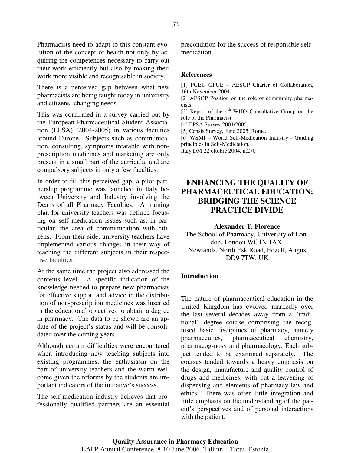Pharmacists need to adapt to this constant evolution of the concept of health not only by acquiring the competences necessary to carry out their work efficiently but also by making their work more visible and recognisable in society.

There is a perceived gap between what new pharmacists are being taught today in university and citizens' changing needs.

This was confirmed in a survey carried out by the European Pharmaceutical Student Association (EPSA) (2004-2005) in various faculties around Europe. Subjects such as communication, consulting, symptoms treatable with nonprescription medicines and marketing are only present in a small part of the curricula, and are compulsory subjects in only a few faculties.

In order to fill this perceived gap, a pilot partnership programme was launched in Italy between University and Industry involving the Deans of all Pharmacy Faculties. A training plan for university teachers was defined focusing on self medication issues such as, in particular, the area of communication with citizens. From their side, university teachers have implemented various changes in their way of teaching the different subjects in their respective faculties.

At the same time the project also addressed the contents level. A specific indication of the knowledge needed to prepare new pharmacists for effective support and advice in the distribution of non-prescription medicines was inserted in the educational objectives to obtain a degree in pharmacy. The data to be shown are an update of the project's status and will be consolidated over the coming years.

Although certain difficulties were encountered when introducing new teaching subjects into existing programmes, the enthusiasm on the part of university teachers and the warm welcome given the reforms by the students are important indicators of the initiative's success.

The self-medication industry believes that professionally qualified partners are an essential precondition for the success of responsible selfmedication.

#### **References**

[1] PGEU GPUE – AESGP Charter of Collaboration, 16th November 2004.

[2] AESGP Position on the role of community pharmacists.

[3] Report of the  $4<sup>th</sup>$  WHO Consultative Group on the role of the Pharmacist.

[4] EPSA Survey 2004/2005.

[5] Censis Survey, June 2005, Rome.

[6] WSMI – World Self-Medication Industry - Guiding principles in Self-Medication.

Italy DM 22 ottobre 2004, n.270 .

# **ENHANCING THE QUALITY OF PHARMACEUTICAL EDUCATION: BRIDGING THE SCIENCE PRACTICE DIVIDE**

### **Alexander T. Florence**

The School of Pharmacy, University of London, London WC1N 1AX. Newlands, North Esk Road, Edzell, Angus DD9 7TW, UK

#### **Introduction**

The nature of pharmaceutical education in the United Kingdom has evolved markedly over the last several decades away from a "traditional" degree course comprising the recognised basic disciplines of pharmacy, namely pharmaceutics, pharmaceutical chemistry, pharmacog-nosy and pharmacology. Each subject tended to be examined separately. The courses tended towards a heavy emphasis on the design, manufacture and quality control of drugs and medicines, with but a leavening of dispensing and elements of pharmacy law and ethics. There was often little integration and little emphasis on the understanding of the patent's perspectives and of personal interactions with the patient.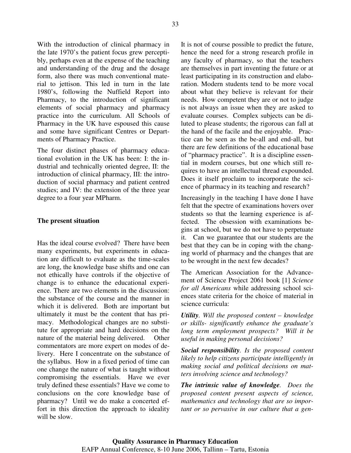With the introduction of clinical pharmacy in the late 1970's the patient focus grew perceptibly, perhaps even at the expense of the teaching and understanding of the drug and the dosage form, also there was much conventional material to jettison. This led in turn in the late 1980's, following the Nuffield Report into Pharmacy, to the introduction of significant elements of social pharmacy and pharmacy practice into the curriculum. All Schools of Pharmacy in the UK have espoused this cause and some have significant Centres or Departments of Pharmacy Practice.

The four distinct phases of pharmacy educational evolution in the UK has been: I: the industrial and technically oriented degree, II: the introduction of clinical pharmacy, III: the introduction of social pharmacy and patient centred studies; and IV: the extension of the three year degree to a four year MPharm.

### **The present situation**

Has the ideal course evolved? There have been many experiments, but experiments in education are difficult to evaluate as the time-scales are long, the knowledge base shifts and one can not ethically have controls if the objective of change is to enhance the educational experience. There are two elements in the discussion: the substance of the course and the manner in which it is delivered. Both are important but ultimately it must be the content that has primacy. Methodological changes are no substitute for appropriate and hard decisions on the nature of the material being delivered. Other commentators are more expert on modes of delivery. Here I concentrate on the substance of the syllabus. How in a fixed period of time can one change the nature of what is taught without compromising the essentials. Have we ever truly defined these essentials? Have we come to conclusions on the core knowledge base of pharmacy? Until we do make a concerted effort in this direction the approach to ideality will be slow.

It is not of course possible to predict the future, hence the need for a strong research profile in any faculty of pharmacy, so that the teachers are themselves in part inventing the future or at least participating in its construction and elaboration. Modern students tend to be more vocal about what they believe is relevant for their needs. How competent they are or not to judge is not always an issue when they are asked to evaluate courses. Complex subjects can be diluted to please students; the rigorous can fall at the hand of the facile and the enjoyable. Practice can be seen as the be-all and end-all, but there are few definitions of the educational base of "pharmacy practice". It is a discipline essential in modern courses, but one which still requires to have an intellectual thread expounded. Does it itself proclaim to incorporate the science of pharmacy in its teaching and research?

Increasingly in the teaching I have done I have felt that the spectre of examinations hovers over students so that the learning experience is affected. The obsession with examinations begins at school, but we do not have to perpetuate it. Can we guarantee that our students are the best that they can be in coping with the changing world of pharmacy and the changes that are to be wrought in the next few decades?

The American Association for the Advancement of Science Project 2061 book [1] *Science for all Americans* while addressing school sciences state criteria for the choice of material in science curricula:

*Utility. Will the proposed content – knowledge or skills- significantly enhance the graduate's long term employment prospects? Will it be useful in making personal decisions?* 

*Social responsibility. Is the proposed content likely to help citizens participate intelligently in making social and political decisions on matters involving science and technology?* 

*The intrinsic value of knowledge. Does the proposed content present aspects of science, mathematics and technology that are so important or so pervasive in our culture that a gen-*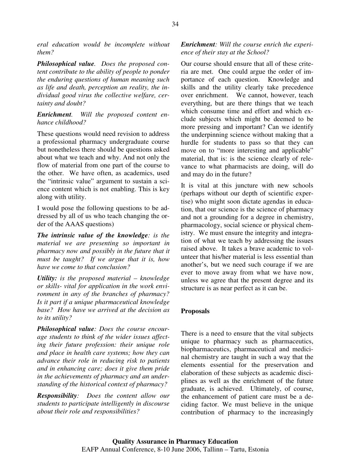*eral education would be incomplete without them?* 

*Philosophical value. Does the proposed content contribute to the ability of people to ponder the enduring questions of human meaning such as life and death, perception an reality, the individual good virus the collective welfare, certainty and doubt?* 

*Enrichment. Will the proposed content enhance childhood?* 

These questions would need revision to address a professional pharmacy undergraduate course but nonetheless there should be questions asked about what we teach and why. And not only the flow of material from one part of the course to the other. We have often, as academics, used the "intrinsic value" argument to sustain a science content which is not enabling. This is key along with utility.

I would pose the following questions to be addressed by all of us who teach changing the order of the AAAS questions)

*The intrinsic value of the knowledge: is the material we are presenting so important in pharmacy now and possibly in the future that it must be taught? If we argue that it is, how have we come to that conclusion?* 

*Utility: is the proposed material – knowledge or skills- vital for application in the work environment in any of the branches of pharmacy? Is it part if a unique pharmaceutical knowledge base? How have we arrived at the decision as to its utility?* 

*Philosophical value: Does the course encourage students to think of the wider issues affecting their future profession: their unique role and place in health care systems; how they can advance their role in reducing risk to patients and in enhancing care; does it give them pride in the achievements of pharmacy and an understanding of the historical context of pharmacy?* 

*Responsibility: Does the content allow our students to participate intelligently in discourse about their role and responsibilities?* 

## *Enrichment: Will the course enrich the experience of their stay at the School?*

Our course should ensure that all of these criteria are met. One could argue the order of importance of each question. Knowledge and skills and the utility clearly take precedence over enrichment. We cannot, however, teach everything, but are there things that we teach which consume time and effort and which exclude subjects which might be deemed to be more pressing and important? Can we identify the underpinning science without making that a hurdle for students to pass so that they can move on to "more interesting and applicable" material, that is: is the science clearly of relevance to what pharmacists are doing, will do and may do in the future?

It is vital at this juncture with new schools (perhaps without our depth of scientific expertise) who might soon dictate agendas in education, that our science is the science of pharmacy and not a grounding for a degree in chemistry, pharmacology, social science or physical chemistry. We must ensure the integrity and integration of what we teach by addressing the issues raised above. It takes a brave academic to volunteer that his/her material is less essential than another's, but we need such courage if we are ever to move away from what we have now, unless we agree that the present degree and its structure is as near perfect as it can be.

# **Proposals**

There is a need to ensure that the vital subjects unique to pharmacy such as pharmaceutics, biopharmaceutics, pharmaceutical and medicinal chemistry are taught in such a way that the elements essential for the preservation and elaboration of these subjects as academic disciplines as well as the enrichment of the future graduate, is achieved. Ultimately, of course, the enhancement of patient care must be a deciding factor. We must believe in the unique contribution of pharmacy to the increasingly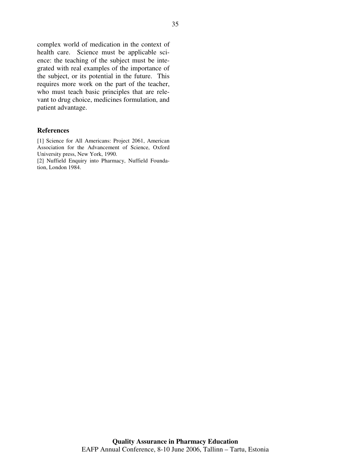complex world of medication in the context of health care. Science must be applicable science: the teaching of the subject must be integrated with real examples of the importance of the subject, or its potential in the future. This requires more work on the part of the teacher, who must teach basic principles that are relevant to drug choice, medicines formulation, and patient advantage.

### **References**

[1] Science for All Americans: Project 2061, American Association for the Advancement of Science, Oxford University press, New York, 1990.

[2] Nuffield Enquiry into Pharmacy, Nuffield Foundation, London 1984.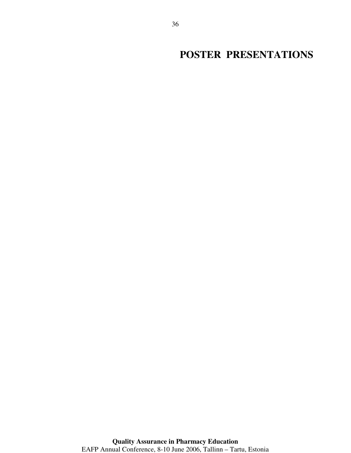# **POSTER PRESENTATIONS**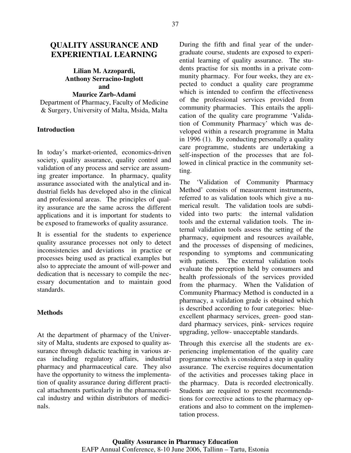# **QUALITY ASSURANCE AND EXPERIENTIAL LEARNING**

**Lilian M. Azzopardi, Anthony Serracino-Inglott and Maurice Zarb-Adami**

Department of Pharmacy, Faculty of Medicine & Surgery, University of Malta, Msida, Malta

# **Introduction**

In today's market-oriented, economics-driven society, quality assurance, quality control and validation of any process and service are assuming greater importance. In pharmacy, quality assurance associated with the analytical and industrial fields has developed also in the clinical and professional areas. The principles of quality assurance are the same across the different applications and it is important for students to be exposed to frameworks of quality assurance.

It is essential for the students to experience quality assurance processes not only to detect inconsistencies and deviations in practice or processes being used as practical examples but also to appreciate the amount of will-power and dedication that is necessary to compile the necessary documentation and to maintain good standards.

# **Methods**

At the department of pharmacy of the University of Malta, students are exposed to quality assurance through didactic teaching in various areas including regulatory affairs, industrial pharmacy and pharmaceutical care. They also have the opportunity to witness the implementation of quality assurance during different practical attachments particularly in the pharmaceutical industry and within distributors of medicinals.

During the fifth and final year of the undergraduate course, students are exposed to experiential learning of quality assurance. The students practise for six months in a private community pharmacy. For four weeks, they are expected to conduct a quality care programme which is intended to confirm the effectiveness of the professional services provided from community pharmacies. This entails the application of the quality care programme 'Validation of Community Pharmacy' which was developed within a research programme in Malta in 1996 (1). By conducting personally a quality care programme, students are undertaking a self-inspection of the processes that are followed in clinical practice in the community setting.

The 'Validation of Community Pharmacy Method' consists of measurement instruments, referred to as validation tools which give a numerical result. The validation tools are subdivided into two parts: the internal validation tools and the external validation tools. The internal validation tools assess the setting of the pharmacy, equipment and resources available, and the processes of dispensing of medicines, responding to symptoms and communicating with patients. The external validation tools evaluate the perception held by consumers and health professionals of the services provided from the pharmacy. When the Validation of Community Pharmacy Method is conducted in a pharmacy, a validation grade is obtained which is described according to four categories: blueexcellent pharmacy services, green- good standard pharmacy services, pink- services require upgrading, yellow- unacceptable standards.

Through this exercise all the students are experiencing implementation of the quality care programme which is considered a step in quality assurance. The exercise requires documentation of the activities and processes taking place in the pharmacy. Data is recorded electronically. Students are required to present recommendations for corrective actions to the pharmacy operations and also to comment on the implementation process.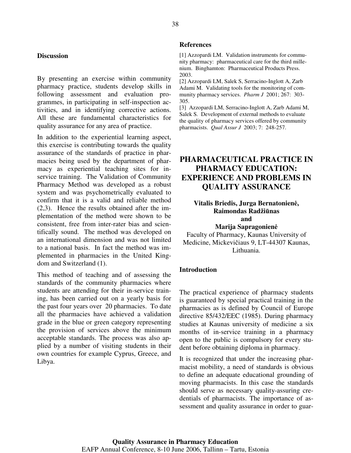### **Discussion**

By presenting an exercise within community pharmacy practice, students develop skills in following assessment and evaluation programmes, in participating in self-inspection activities, and in identifying corrective actions. All these are fundamental characteristics for quality assurance for any area of practice.

In addition to the experiential learning aspect, this exercise is contributing towards the quality assurance of the standards of practice in pharmacies being used by the department of pharmacy as experiential teaching sites for inservice training. The Validation of Community Pharmacy Method was developed as a robust system and was psychometrically evaluated to confirm that it is a valid and reliable method (2,3). Hence the results obtained after the implementation of the method were shown to be consistent, free from inter-rater bias and scientifically sound. The method was developed on an international dimension and was not limited to a national basis. In fact the method was implemented in pharmacies in the United Kingdom and Switzerland (1).

This method of teaching and of assessing the standards of the community pharmacies where students are attending for their in-service training, has been carried out on a yearly basis for the past four years over 20 pharmacies. To date all the pharmacies have achieved a validation grade in the blue or green category representing the provision of services above the minimum acceptable standards. The process was also applied by a number of visiting students in their own countries for example Cyprus, Greece, and Libya.

#### **References**

[1] Azzopardi LM. Validation instruments for community pharmacy: pharmaceutical care for the third millenium. Binghamton: Pharmaceutical Products Press. 2003.

[2] Azzopardi LM, Salek S, Serracino-Inglott A, Zarb Adami M. Validating tools for the monitoring of community pharmacy services. *Pharm J* 2001; 267: 303- 305.

[3] Azzopardi LM, Serracino-Inglott A, Zarb Adami M, Salek S. Development of external methods to evaluate the quality of pharmacy services offered by community pharmacists. *Qual Assur J* 2003; 7: 248-257.

# **PHARMACEUTICAL PRACTICE IN PHARMACY EDUCATION: EXPERIENCE AND PROBLEMS IN QUALITY ASSURANCE**

#### **Vitalis Briedis, Jurga Bernatonien**÷**, Raimondas Radži**ū**nas and**

**Marija Sapragonien**÷ Faculty of Pharmacy, Kaunas University of Medicine, Mickevičiaus 9, LT-44307 Kaunas, Lithuania.

#### **Introduction**

The practical experience of pharmacy students is guaranteed by special practical training in the pharmacies as is defined by Council of Europe directive 85/432/EEC (1985). During pharmacy studies at Kaunas university of medicine a six months of in-service training in a pharmacy open to the public is compulsory for every student before obtaining diploma in pharmacy.

It is recognized that under the increasing pharmacist mobility, a need of standards is obvious to define an adequate educational grounding of moving pharmacists. In this case the standards should serve as necessary quality-assuring credentials of pharmacists. The importance of assessment and quality assurance in order to guar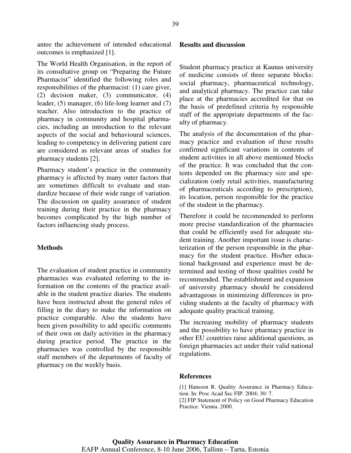antee the achievement of intended educational outcomes is emphasized [1].

The World Health Organisation, in the report of its consultative group on "Preparing the Future Pharmacist" identified the following roles and responsibilities of the pharmacist: (1) care giver, (2) decision maker, (3) communicator, (4) leader, (5) manager, (6) life-long learner and (7) teacher. Also introduction to the practice of pharmacy in community and hospital pharmacies, including an introduction to the relevant aspects of the social and behavioural sciences, leading to competency in delivering patient care are considered as relevant areas of studies for pharmacy students [2].

Pharmacy student's practice in the community pharmacy is affected by many outer factors that are sometimes difficult to evaluate and standardize because of their wide range of variation. The discussion on quality assurance of student training during their practice in the pharmacy becomes complicated by the high number of factors influencing study process.

### **Methods**

The evaluation of student practice in community pharmacies was evaluated referring to the information on the contents of the practice available in the student practice diaries. The students have been instructed about the general rules of filling in the diary to make the information on practice comparable. Also the students have been given possibility to add specific comments of their own on daily activities in the pharmacy during practice period. The practice in the pharmacies was controlled by the responsible staff members of the departments of faculty of pharmacy on the weekly basis.

### **Results and discussion**

Student pharmacy practice at Kaunas university of medicine consists of three separate blocks: social pharmacy, pharmaceutical technology, and analytical pharmacy. The practice can take place at the pharmacies accredited for that on the basis of predefined criteria by responsible staff of the appropriate departments of the faculty of pharmacy.

The analysis of the documentation of the pharmacy practice and evaluation of these results confirmed significant variations in contents of student activities in all above mentioned blocks of the practice. It was concluded that the contents depended on the pharmacy size and specialization (only retail activities, manufacturing of pharmaceuticals according to prescription), its location, person responsible for the practice of the student in the pharmacy.

Therefore it could be recommended to perform more precise standardization of the pharmacies that could be efficiently used for adequate student training. Another important issue is characterization of the person responsible in the pharmacy for the student practice. His/her educational background and experience must be determined and testing of those qualities could be recommended. The establishment and expansion of university pharmacy should be considered advantageous in minimizing differences in providing students at the faculty of pharmacy with adequate quality practical training.

The increasing mobility of pharmacy students and the possibility to have pharmacy practice in other EU countries raise additional questions, as foreign pharmacies act under their valid national regulations.

### **References**

[1] Hansson R. Quality Assurance in Pharmacy Education. In: Proc Acad Sec FIP. 2004; 30: 7. [2] FIP Statement of Policy on Good Pharmacy Education Practice. Vienna. 2000.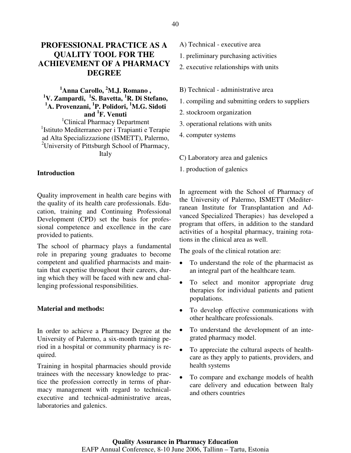# **PROFESSIONAL PRACTICE AS A QUALITY TOOL FOR THE ACHIEVEMENT OF A PHARMACY DEGREE**

# **<sup>1</sup>Anna Carollo, <sup>2</sup>M.J. Romano , <sup>1</sup>V. Zampardi, <sup>1</sup> S. Bavetta, <sup>1</sup>R. Di Stefano, <sup>1</sup>A. Provenzani, <sup>1</sup> P. Polidori, <sup>1</sup>M.G. Sidoti and <sup>1</sup> F. Venuti**

<sup>1</sup>Clinical Pharmacy Department <sup>1</sup>Istituto Mediterraneo per i Trapianti e Terapie ad Alta Specializzazione (ISMETT), Palermo, <sup>2</sup>University of Pittsburgh School of Pharmacy, Italy

# **Introduction**

Quality improvement in health care begins with the quality of its health care professionals. Education, training and Continuing Professional Development (CPD) set the basis for professional competence and excellence in the care provided to patients.

The school of pharmacy plays a fundamental role in preparing young graduates to become competent and qualified pharmacists and maintain that expertise throughout their careers, during which they will be faced with new and challenging professional responsibilities.

# **Material and methods:**

In order to achieve a Pharmacy Degree at the University of Palermo, a six-month training period in a hospital or community pharmacy is required.

Training in hospital pharmacies should provide trainees with the necessary knowledge to practice the profession correctly in terms of pharmacy management with regard to technicalexecutive and technical-administrative areas, laboratories and galenics.

- A) Technical executive area
- 1. preliminary purchasing activities
- 2. executive relationships with units
- B) Technical administrative area
- 1. compiling and submitting orders to suppliers
- 2. stockroom organization
- 3. operational relations with units
- 4. computer systems

C) Laboratory area and galenics

1. production of galenics

In agreement with the School of Pharmacy of the University of Palermo, ISMETT (Mediterranean Institute for Transplantation and Advanced Specialized Therapies) has developed a program that offers, in addition to the standard activities of a hospital pharmacy, training rotations in the clinical area as well.

The goals of the clinical rotation are:

- To understand the role of the pharmacist as an integral part of the healthcare team.
- To select and monitor appropriate drug therapies for individual patients and patient populations.
- To develop effective communications with other healthcare professionals.
- To understand the development of an integrated pharmacy model.
- To appreciate the cultural aspects of healthcare as they apply to patients, providers, and health systems
- To compare and exchange models of health care delivery and education between Italy and others countries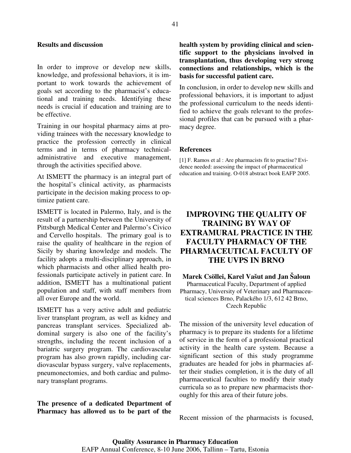#### **Results and discussion**

In order to improve or develop new skills, knowledge, and professional behaviors, it is important to work towards the achievement of goals set according to the pharmacist's educational and training needs. Identifying these needs is crucial if education and training are to be effective.

Training in our hospital pharmacy aims at providing trainees with the necessary knowledge to practice the profession correctly in clinical terms and in terms of pharmacy technicaladministrative and executive management, through the activities specified above.

At ISMETT the pharmacy is an integral part of the hospital's clinical activity, as pharmacists participate in the decision making process to optimize patient care.

ISMETT is located in Palermo, Italy, and is the result of a partnership between the University of Pittsburgh Medical Center and Palermo's Civico and Cervello hospitals. The primary goal is to raise the quality of healthcare in the region of Sicily by sharing knowledge and models. The facility adopts a multi-disciplinary approach, in which pharmacists and other allied health professionals participate actively in patient care. In addition, ISMETT has a multinational patient population and staff, with staff members from all over Europe and the world.

ISMETT has a very active adult and pediatric liver transplant program, as well as kidney and pancreas transplant services. Specialized abdominal surgery is also one of the facility's strengths, including the recent inclusion of a bariatric surgery program. The cardiovascular program has also grown rapidly, including cardiovascular bypass surgery, valve replacements, pneumonectomies, and both cardiac and pulmonary transplant programs.

**The presence of a dedicated Department of Pharmacy has allowed us to be part of the**  **health system by providing clinical and scientific support to the physicians involved in transplantation, thus developing very strong connections and relationships, which is the basis for successful patient care.** 

In conclusion, in order to develop new skills and professional behaviors, it is important to adjust the professional curriculum to the needs identified to achieve the goals relevant to the professional profiles that can be pursued with a pharmacy degree.

#### **References**

[1] F. Ramos et al : Are pharmacists fit to practise? Evidence needed: assessing the impact of pharmaceutical education and training. O-018 abstract book EAFP 2005.

# **IMPROVING THE QUALITY OF TRAINING BY WAY OF EXTRAMURAL PRACTICE IN THE FACULTY PHARMACY OF THE PHARMACEUTICAL FACULTY OF THE UVPS IN BRNO**

#### **Marek Csöllei, Karel Vašut and Jan Šaloun**

Pharmaceutical Faculty, Department of applied Pharmacy, University of Veterinary and Pharmaceutical sciences Brno, Palackého 1/3, 612 42 Brno, Czech Republic

The mission of the university level education of pharmacy is to prepare its students for a lifetime of service in the form of a professional practical activity in the health care system. Because a significant section of this study programme graduates are headed for jobs in pharmacies after their studies completion, it is the duty of all pharmaceutical faculties to modify their study curricula so as to prepare new pharmacists thoroughly for this area of their future jobs.

Recent mission of the pharmacists is focused,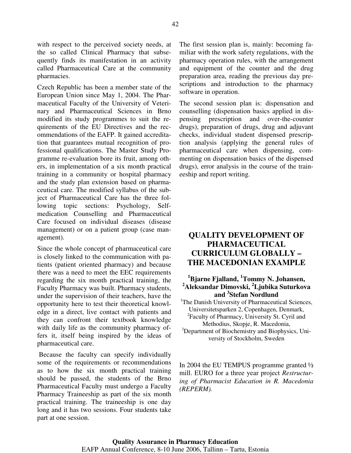with respect to the perceived society needs, at the so called Clinical Pharmacy that subsequently finds its manifestation in an activity called Pharmaceutical Care at the community pharmacies.

Czech Republic has been a member state of the European Union since May 1, 2004. The Pharmaceutical Faculty of the University of Veterinary and Pharmaceutical Sciences in Brno modified its study programmes to suit the requirements of the EU Directives and the recommendations of the EAFP. It gained accreditation that guarantees mutual recognition of professional qualifications. The Master Study Programme re-evaluation bore its fruit, among others, in implementation of a six month practical training in a community or hospital pharmacy and the study plan extension based on pharmaceutical care. The modified syllabus of the subject of Pharmaceutical Care has the three following topic sections: Psychology, Selfmedication Counselling and Pharmaceutical Care focused on individual diseases (disease management) or on a patient group (case management).

Since the whole concept of pharmaceutical care is closely linked to the communication with patients (patient oriented pharmacy) and because there was a need to meet the EEC requirements regarding the six month practical training, the Faculty Pharmacy was built. Pharmacy students, under the supervision of their teachers, have the opportunity here to test their theoretical knowledge in a direct, live contact with patients and they can confront their textbook knowledge with daily life as the community pharmacy offers it, itself being inspired by the ideas of pharmaceutical care.

 Because the faculty can specify individually some of the requirements or recommendations as to how the six month practical training should be passed, the students of the Brno Pharmaceutical Faculty must undergo a Faculty Pharmacy Traineeship as part of the six month practical training. The traineeship is one day long and it has two sessions. Four students take part at one session.

The first session plan is, mainly: becoming familiar with the work safety regulations, with the pharmacy operation rules, with the arrangement and equipment of the counter and the drug preparation area, reading the previous day prescriptions and introduction to the pharmacy software in operation.

The second session plan is: dispensation and counselling (dispensation basics applied in dispensing prescription and over-the-counter drugs), preparation of drugs, drug and adjuvant checks, individual student dispensed prescription analysis (applying the general rules of pharmaceutical care when dispensing, commenting on dispensation basics of the dispensed drugs), error analysis in the course of the traineeship and report writing.

# **QUALITY DEVELOPMENT OF PHARMACEUTICAL CURRICULUM GLOBALLY – THE MACEDONIAN EXAMPLE**

# **<sup>1</sup>Bjarne Fjalland, <sup>1</sup>Tommy N. Johansen, <sup>2</sup>Aleksandar Dimovski, <sup>2</sup>Ljubika Suturkova and <sup>3</sup> Stefan Nordlund**

<sup>1</sup>The Danish University of Pharmaceutical Sciences, Universitetsparken 2, Copenhagen, Denmark, 2 Faculty of Pharmacy, University St. Cyril and Methodius, Skopje, R. Macedonia,

<sup>3</sup>Department of Biochemistry and Biophysics, University of Stockholm, Sweden

In 2004 the EU TEMPUS programme granted ½ mill. EURO for a three year project *Restructuring of Pharmacist Education in R. Macedonia (REPERM).*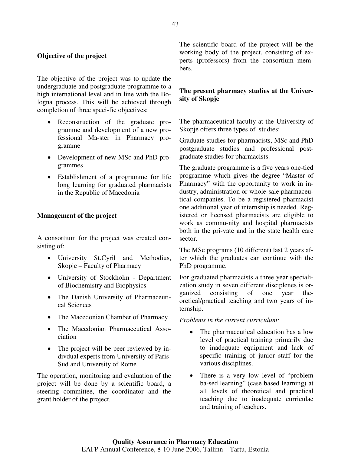### **Objective of the project**

The objective of the project was to update the undergraduate and postgraduate programme to a high international level and in line with the Bologna process. This will be achieved through completion of three speci-fic objectives:

- Reconstruction of the graduate programme and development of a new professional Ma-ster in Pharmacy programme
- Development of new MSc and PhD programmes
- Establishment of a programme for life long learning for graduated pharmacists in the Republic of Macedonia

### **Management of the project**

A consortium for the project was created consisting of:

- University St.Cyril and Methodius, Skopje – Faculty of Pharmacy
- University of Stockholm Department of Biochemistry and Biophysics
- The Danish University of Pharmaceutical Sciences
- The Macedonian Chamber of Pharmacy
- The Macedonian Pharmaceutical Association
- The project will be peer reviewed by indivdual experts from University of Paris-Sud and University of Rome

The operation, monitoring and evaluation of the project will be done by a scientific board, a steering committee, the coordinator and the grant holder of the project.

The scientific board of the project will be the working body of the project, consisting of experts (professors) from the consortium members.

# **The present pharmacy studies at the University of Skopje**

The pharmaceutical faculty at the University of Skopje offers three types of studies:

Graduate studies for pharmacists, MSc and PhD postgraduate studies and professional postgraduate studies for pharmacists.

The graduate programme is a five years one-tied programme which gives the degree "Master of Pharmacy" with the opportunity to work in industry, administration or whole-sale pharmaceutical companies. To be a registered pharmacist one additional year of internship is needed. Registered or licensed pharmacists are eligible to work as commu-nity and hospital pharmacists both in the pri-vate and in the state health care sector.

The MSc programs (10 different) last 2 years after which the graduates can continue with the PhD programme.

For graduated pharmacists a three year specialization study in seven different disciplenes is organized consisting of one year theoretical/practical teaching and two years of internship.

#### *Problems in the current curriculum:*

- The pharmaceutical education has a low level of practical training primarily due to inadequate equipment and lack of specific training of junior staff for the various disciplines.
- There is a very low level of "problem" ba-sed learning" (case based learning) at all levels of theoretical and practical teaching due to inadequate curriculae and training of teachers.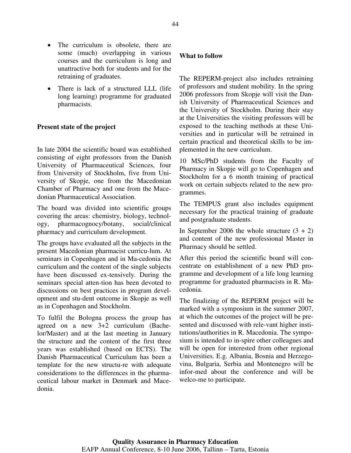- The curriculum is obsolete, there are some (much) overlapping in various courses and the curriculum is long and unattractive both for students and for the retraining of graduates.
- There is lack of a structured LLL (life long learning) programme for graduated pharmacists.

# **Present state of the project**

In late 2004 the scientific board was established consisting of eight professors from the Danish University of Pharmaceutical Sciences, four from University of Stockholm, five from University of Skopje, one from the Macedonian Chamber of Pharmacy and one from the Macedonian Pharmaceutical Association.

The board was divided into scientific groups covering the areas: chemistry, biology, technology, pharmacognocy/botany, social/clinical pharmacy and curriculum development.

The groups have evaluated all the subjects in the present Macedonian pharmacist curricu-lum. At seminars in Copenhagen and in Ma-cedonia the curriculum and the content of the single subjects have been discussed ex-tensively. During the seminars special atten-tion has been devoted to discussions on best practices in program development and stu-dent outcome in Skopje as well as in Copenhagen and Stockholm.

To fulfil the Bologna process the group has agreed on a new 3+2 curriculum (Bachelor/Master) and at the last meeting in January the structure and the content of the first three years was established (based on ECTS). The Danish Pharmaceutical Curriculum has been a template for the new structu-re with adequate considerations to the differences in the pharmaceutical labour market in Denmark and Macedonia.

## **What to follow**

The REPERM-project also includes retraining of professors and student mobility. In the spring 2006 professors from Skopje will visit the Danish University of Pharmaceutical Sciences and the University of Stockholm. During their stay at the Universities the visiting professors will be exposed to the teaching methods at these Universities and in particular will be retrained in certain practical and theoretical skills to be implemented in the new curriculum.

10 MSc/PhD students from the Faculty of Pharmacy in Skopje will go to Copenhagen and Stockholm for a 6 month training of practical work on certain subjects related to the new programmes.

The TEMPUS grant also includes equipment necessary for the practical training of graduate and postgraduate students.

In September 2006 the whole structure  $(3 + 2)$ and content of the new professional Master in Pharmacy should be settled.

After this period the scientific board will concentrate on establishment of a new PhD programme and development of a life long learning programme for graduated pharmacists in R. Macedonia.

The finalizing of the REPERM project will be marked with a symposium in the summer 2007, at which the outcomes of the project will be presented and discussed with rele-vant higher institutions/authorities in R. Macedonia. The symposium is intended to in-spire other colleagues and will be open for interested from other regional Universities. E.g. Albania, Bosnia and Herzegovina, Bulgaria, Serbia and Montenegro will be infor-med about the conference and will be welco-me to participate.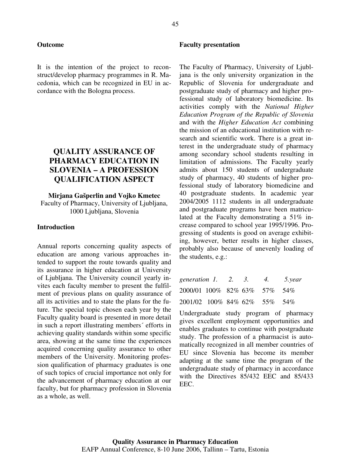### **Outcome**

It is the intention of the project to reconstruct/develop pharmacy programmes in R. Macedonia, which can be recognized in EU in accordance with the Bologna process.

# **QUALITY ASSURANCE OF PHARMACY EDUCATION IN SLOVENIA – A PROFESSION QUALIFICATION ASPECT**

### **Mirjana Gašperlin and Vojko Kmetec**

Faculty of Pharmacy, University of Ljubljana, 1000 Ljubljana, Slovenia

### **Introduction**

Annual reports concerning quality aspects of education are among various approaches intended to support the route towards quality and its assurance in higher education at University of Ljubljana. The University council yearly invites each faculty member to present the fulfilment of previous plans on quality assurance of all its activities and to state the plans for the future. The special topic chosen each year by the Faculty quality board is presented in more detail in such a report illustrating members´ efforts in achieving quality standards within some specific area, showing at the same time the experiences acquired concerning quality assurance to other members of the University. Monitoring profession qualification of pharmacy graduates is one of such topics of crucial importance not only for the advancement of pharmacy education at our faculty, but for pharmacy profession in Slovenia as a whole, as well.

### **Faculty presentation**

The Faculty of Pharmacy, University of Ljubljana is the only university organization in the Republic of Slovenia for undergraduate and postgraduate study of pharmacy and higher professional study of laboratory biomedicine. Its activities comply with the *National Higher Education Program of the Republic of Slovenia* and with the *Higher Education Act* combining the mission of an educational institution with research and scientific work. There is a great interest in the undergraduate study of pharmacy among secondary school students resulting in limitation of admissions. The Faculty yearly admits about 150 students of undergraduate study of pharmacy, 40 students of higher professional study of laboratory biomedicine and 40 postgraduate students. In academic year 2004/2005 1112 students in all undergraduate and postgraduate programs have been matriculated at the Faculty demonstrating a 51% increase compared to school year 1995/1996. Progressing of students is good on average exhibiting, however, better results in higher classes, probably also because of unevenly loading of the students, e.g.:

| generation 1. 2. 3. 4. 5.year |  |  |  |
|-------------------------------|--|--|--|
| 2000/01 100% 82% 63% 57% 54%  |  |  |  |
| 2001/02 100% 84% 62% 55% 54%  |  |  |  |

Undergraduate study program of pharmacy gives excellent employment opportunities and enables graduates to continue with postgraduate study. The profession of a pharmacist is automatically recognized in all member countries of EU since Slovenia has become its member adapting at the same time the program of the undergraduate study of pharmacy in accordance with the Directives 85/432 EEC and 85/433 EEC.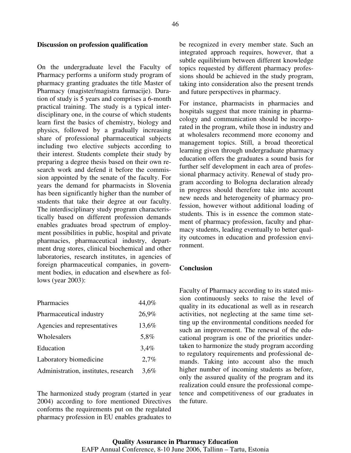#### **Discussion on profession qualification**

On the undergraduate level the Faculty of Pharmacy performs a uniform study program of pharmacy granting graduates the title Master of Pharmacy (magister/magistra farmacije). Duration of study is 5 years and comprises a 6-month practical training. The study is a typical interdisciplinary one, in the course of which students learn first the basics of chemistry, biology and physics, followed by a gradually increasing share of professional pharmaceutical subjects including two elective subjects according to their interest. Students complete their study by preparing a degree thesis based on their own research work and defend it before the commission appointed by the senate of the faculty. For years the demand for pharmacists in Slovenia has been significantly higher than the number of students that take their degree at our faculty. The interdisciplinary study program characteristically based on different profession demands enables graduates broad spectrum of employment possibilities in public, hospital and private pharmacies, pharmaceutical industry, department drug stores, clinical biochemical and other laboratories, research institutes, in agencies of foreign pharmaceutical companies, in government bodies, in education and elsewhere as follows (year 2003):

| Pharmacies                           | 44,0%   |
|--------------------------------------|---------|
| Pharmaceutical industry              | 26,9%   |
| Agencies and representatives         | 13,6%   |
| Wholesalers                          | 5,8%    |
| Education                            | 3.4%    |
| Laboratory biomedicine               | 2,7%    |
| Administration, institutes, research | $3.6\%$ |

The harmonized study program (started in year 2004) according to fore mentioned Directives conforms the requirements put on the regulated pharmacy profession in EU enables graduates to be recognized in every member state. Such an integrated approach requires, however, that a subtle equilibrium between different knowledge topics requested by different pharmacy professions should be achieved in the study program, taking into consideration also the present trends and future perspectives in pharmacy.

For instance, pharmacists in pharmacies and hospitals suggest that more training in pharmacology and communication should be incorporated in the program, while those in industry and at wholesalers recommend more economy and management topics. Still, a broad theoretical learning given through undergraduate pharmacy education offers the graduates a sound basis for further self development in each area of professional pharmacy activity. Renewal of study program according to Bologna declaration already in progress should therefore take into account new needs and heterogeneity of pharmacy profession, however without additional loading of students. This is in essence the common statement of pharmacy profession, faculty and pharmacy students, leading eventually to better quality outcomes in education and profession environment.

## **Conclusion**

Faculty of Pharmacy according to its stated mission continuously seeks to raise the level of quality in its educational as well as in research activities, not neglecting at the same time setting up the environmental conditions needed for such an improvement. The renewal of the educational program is one of the priorities undertaken to harmonize the study program according to regulatory requirements and professional demands. Taking into account also the much higher number of incoming students as before, only the assured quality of the program and its realization could ensure the professional competence and competitiveness of our graduates in the future.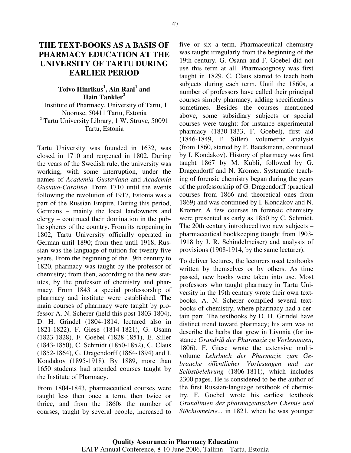# **THE TEXT-BOOKS AS A BASIS OF PHARMACY EDUCATION AT THE UNIVERSITY OF TARTU DURING EARLIER PERIOD**

# **Toivo Hinrikus<sup>1</sup> , Ain Raal<sup>1</sup> and Hain Tankler<sup>2</sup>**

<sup>1</sup> Institute of Pharmacy, University of Tartu, 1 Nooruse, 50411 Tartu, Estonia <sup>2</sup> Tartu University Library, 1 W. Struve, 50091 Tartu, Estonia

Tartu University was founded in 1632, was closed in 1710 and reopened in 1802. During the years of the Swedish rule, the university was working, with some interruption, under the names of *Academia Gustaviana* and *Academia Gustavo-Carolina*. From 1710 until the events following the revolution of 1917, Estonia was a part of the Russian Empire. During this period, Germans – mainly the local landowners and clergy – continued their domination in the public spheres of the country. From its reopening in 1802, Tartu University officially operated in German until 1890; from then until 1918, Russian was the language of tuition for twenty-five years. From the beginning of the 19th century to 1820, pharmacy was taught by the professor of chemistry; from then, according to the new statutes, by the professor of chemistry and pharmacy. From 1843 a special professorship of pharmacy and institute were established. The main courses of pharmacy were taught by professor A. N. Scherer (held this post 1803-1804), D. H. Grindel (1804-1814, lectured also in 1821-1822), F. Giese (1814-1821), G. Osann (1823-1828), F. Goebel (1828-1851), E. Siller (1843-1850), C. Schmidt (1850-1852), C. Claus (1852-1864), G. Dragendorff (1864-1894) and I. Kondakov (1895-1918). By 1889, more than 1650 students had attended courses taught by the Institute of Pharmacy.

From 1804-1843, pharmaceutical courses were taught less then once a term, then twice or thrice, and from the 1860s the number of courses, taught by several people, increased to

five or six a term. Pharmaceutical chemistry was taught irregularly from the beginning of the 19th century. G. Osann and F. Goebel did not use this term at all. Pharmacognosy was first taught in 1829. C. Claus started to teach both subjects during each term. Until the 1860s, a number of professors have called their principal courses simply pharmacy, adding specifications sometimes. Besides the courses mentioned above, some subsidiary subjects or special courses were taught: for instance experimental pharmacy (1830-1833, F. Goebel), first aid (1846-1849, E. Siller), volumetric analysis (from 1860, started by F. Baeckmann, continued by I. Kondakov). History of pharmacy was first taught 1867 by M. Kubli, followed by G. Dragendorff and N. Kromer. Systematic teaching of forensic chemistry began during the years of the professorship of G. Dragendorff (practical courses from 1866 and theoretical ones from 1869) and was continued by I. Kondakov and N. Kromer. A few courses in forensic chemistry were presented as early as 1850 by C. Schmidt. The 20th century introduced two new subjects – pharmaceutical bookkeeping (taught from 1903- 1918 by J. R. Schindelmeiser) and analysis of provisions (1908-1914, by the same lecturer).

To deliver lectures, the lecturers used textbooks written by themselves or by others. As time passed, new books were taken into use. Most professors who taught pharmacy in Tartu University in the 19th century wrote their own textbooks. A. N. Scherer compiled several textbooks of chemistry, where pharmacy had a certain part. The textbooks by D. H. Grindel have distinct trend toward pharmacy; his aim was to describe the herbs that grew in Livonia (for instance *Grundriß der Pharmazie zu Vorlesungen*, 1806). F. Giese wrote the extensive multivolume *Lehrbuch der Pharmazie zum Gebrauche öffentlicher Vorlesungen und zur Selbstbelehrung* (1806-1811), which includes 2300 pages. He is considered to be the author of the first Russian-language textbook of chemistry. F. Goebel wrote his earliest textbook *Grundlinien der pharmazeutischen Chemie und Stöchiometrie...* in 1821, when he was younger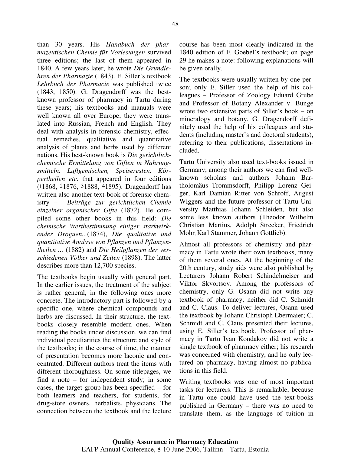than 30 years. His *Handbuch der pharmazeutischen Chemie für Vorlesungen* survived three editions; the last of them appeared in 1840. A few years later, he wrote *Die Grundlehren der Pharmazie* (1843). E. Siller's textbook *Lehrbuch der Pharmacie* was published twice (1843, 1850). G. Dragendorff was the bestknown professor of pharmacy in Tartu during these years; his textbooks and manuals were well known all over Europe; they were translated into Russian, French and English. They deal with analysis in forensic chemistry, effectual remedies, qualitative and quantitative analysis of plants and herbs used by different nations. His best-known book is *Die gerichtlichchemische Ermittelung von Giften in Nahrungsmitteln, Luftgemischen, Speiseresten, Körpertheilen etc.* that appeared in four editions ( <sup>1</sup>1868, 21876, 31888, 41895). Dragendorff has written also another text-book of forensic chemistry – *Beiträge zur gerichtlichen Chemie einzelner organischer Gifte* (1872). He compiled some other books in this field: *Die chemische Wertbestimmung einiger starkwirkender Droguen...*(1874), *Die qualitative und quantitative Analyse von Pflanzen und Pflanzentheilen ...* (1882) and *Die Heilpflanzen der verschiedenen Völker und Zeiten* (1898). The latter describes more than 12,700 species.

The textbooks begin usually with general part. In the earlier issues, the treatment of the subject is rather general, in the following ones more concrete. The introductory part is followed by a specific one, where chemical compounds and herbs are discussed. In their structure, the textbooks closely resemble modern ones. When reading the books under discussion, we can find individual peculiarities the structure and style of the textbooks; in the course of time, the manner of presentation becomes more laconic and concentrated. Different authors treat the items with different thoroughness. On some titlepages, we find a note – for independent study; in some cases, the target group has been specified – for both learners and teachers, for students, for drug-store owners, herbalists, physicians. The connection between the textbook and the lecture course has been most clearly indicated in the 1840 edition of F. Goebel's textbook; on page 29 he makes a note: following explanations will be given orally.

The textbooks were usually written by one person; only E. Siller used the help of his colleagues – Professor of Zoology Eduard Grube and Professor of Botany Alexander v. Bunge wrote two extensive parts of Siller's book – on mineralogy and botany. G. Dragendorff definitely used the help of his colleagues and students (including master's and doctoral students), referring to their publications, dissertations included.

Tartu University also used text-books issued in Germany; among their authors we can find wellknown scholars and authors Johann Bartholomäus Trommsdorff, Philipp Lorenz Geiger, Karl Damian Ritter von Schroff, August Wiggers and the future professor of Tartu University Matthias Johann Schleiden, but also some less known authors (Theodor Wilhelm Christian Martius, Adolph Strecker, Friedrich Mohr, Karl Stammer, Johann Gottlieb).

Almost all professors of chemistry and pharmacy in Tartu wrote their own textbooks, many of them several ones. At the beginning of the 20th century, study aids were also published by Lecturers Johann Robert Schindelmeiser and Viktor Skvortsov. Among the professors of chemistry, only G. Osann did not write any textbook of pharmacy; neither did C. Schmidt and C. Claus. To deliver lectures, Osann used the textbook by Johann Christoph Ebermaier; C. Schmidt and C. Claus presented their lectures, using E. Siller's textbook. Professor of pharmacy in Tartu Ivan Kondakov did not write a single textbook of pharmacy either; his research was concerned with chemistry, and he only lectured on pharmacy, having almost no publications in this field.

Writing textbooks was one of most important tasks for lecturers. This is remarkable, because in Tartu one could have used the text-books published in Germany – there was no need to translate them, as the language of tuition in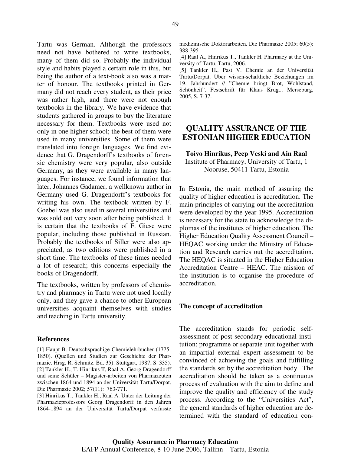Tartu was German. Although the professors need not have bothered to write textbooks, many of them did so. Probably the individual style and habits played a certain role in this, but being the author of a text-book also was a matter of honour. The textbooks printed in Germany did not reach every student, as their price was rather high, and there were not enough textbooks in the library. We have evidence that students gathered in groups to buy the literature necessary for them. Textbooks were used not only in one higher school; the best of them were used in many universities. Some of them were translated into foreign languages. We find evidence that G. Dragendorff's textbooks of forensic chemistry were very popular, also outside Germany, as they were available in many languages. For instance, we found information that later, Johannes Gadamer, a wellknown author in Germany used G. Dragendorff's textbooks for writing his own. The textbook written by F. Goebel was also used in several universities and was sold out very soon after being published. It is certain that the textbooks of F. Giese were popular, including those published in Russian. Probably the textbooks of Siller were also appreciated, as two editions were published in a short time. The textbooks of these times needed a lot of research; this concerns especially the books of Dragendorff.

The textbooks, written by professors of chemistry and pharmacy in Tartu were not used locally only, and they gave a chance to other European universities acquaint themselves with studies and teaching in Tartu university.

#### **References**

[1] Haupt B. Deutschsprachige Chemielehrbücher (1775- 1850). (Quellen und Studien zur Geschichte der Pharmazie. Hrsg. R. Schmitz. Bd. 35). Stuttgart, 1987, S. 335). [2] Tankler H., T. Hinrikus T, Raal A. Georg Dragendorff und seine Schüler – Magister-arbeiten von Pharmazeuten zwischen 1864 und 1894 an der Universität Tartu/Dorpat. Die Pharmazie 2002; 57(11): 763-771.

[3] Hinrikus T., Tankler H., Raal A. Unter der Leitung der Pharmazieprofessors Georg Dragendorff in den Jahren 1864-1894 an der Universität Tartu/Dorpat verfasste medizinische Doktorarbeiten. Die Pharmazie 2005; 60(5): 388-395

[4] Raal A., Hinrikus T., Tankler H. Pharmacy at the University of Tartu. Tartu, 2006.

[5] Tankler H., Past V. Chemie an der Universität Tartu/Dorpat. Über wissen-schaftliche Beziehungen im 19. Jahrhundert // "Chemie bringt Brot, Wohlstand, Schönheit". Festschrift für Klaus Krug... Merseburg, 2005, S. 7-37.

# **QUALITY ASSURANCE OF THE ESTONIAN HIGHER EDUCATION**

**Toivo Hinrikus, Peep Veski and Ain Raal** Institute of Pharmacy, University of Tartu, 1 Nooruse, 50411 Tartu, Estonia

In Estonia, the main method of assuring the quality of higher education is accreditation. The main principles of carrying out the accreditation were developed by the year 1995. Accreditation is necessary for the state to acknowledge the diplomas of the institutes of higher education. The Higher Education Quality Assessment Council – HEQAC working under the Ministry of Education and Research carries out the accreditation. The HEQAC is situated in the Higher Education Accreditation Centre – HEAC. The mission of the institution is to organise the procedure of accreditation.

#### **The concept of accreditation**

The accreditation stands for periodic selfassessment of post-secondary educational institution; programme or separate unit together with an impartial external expert assessment to be convinced of achieving the goals and fulfilling the standards set by the accreditation body. The accreditation should be taken as a continuous process of evaluation with the aim to define and improve the quality and efficiency of the study process. According to the "Universities Act", the general standards of higher education are determined with the standard of education con-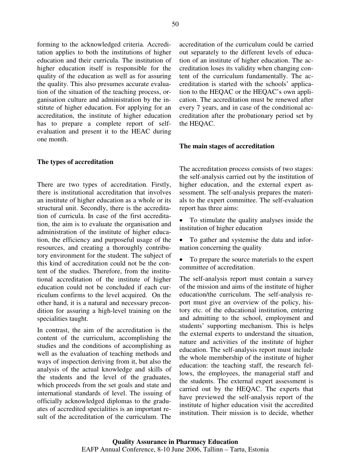forming to the acknowledged criteria. Accreditation applies to both the institutions of higher education and their curricula. The institution of higher education itself is responsible for the quality of the education as well as for assuring the quality. This also presumes accurate evaluation of the situation of the teaching process, organisation culture and administration by the institute of higher education. For applying for an accreditation, the institute of higher education has to prepare a complete report of selfevaluation and present it to the HEAC during one month.

#### **The types of accreditation**

There are two types of accreditation. Firstly, there is institutional accreditation that involves an institute of higher education as a whole or its structural unit. Secondly, there is the accreditation of curricula. In case of the first accreditation, the aim is to evaluate the organisation and administration of the institute of higher education, the efficiency and purposeful usage of the resources, and creating a thoroughly contributory environment for the student. The subject of this kind of accreditation could not be the content of the studies. Therefore, from the institutional accreditation of the institute of higher education could not be concluded if each curriculum confirms to the level acquired. On the other hand, it is a natural and necessary precondition for assuring a high-level training on the specialities taught.

In contrast, the aim of the accreditation is the content of the curriculum, accomplishing the studies and the conditions of accomplishing as well as the evaluation of teaching methods and ways of inspection deriving from it, but also the analysis of the actual knowledge and skills of the students and the level of the graduates, which proceeds from the set goals and state and international standards of level. The issuing of officially acknowledged diplomas to the graduates of accredited specialities is an important result of the accreditation of the curriculum. The accreditation of the curriculum could be carried out separately to the different levels of education of an institute of higher education. The accreditation loses its validity when changing content of the curriculum fundamentally. The accreditation is started with the schools' application to the HEQAC or the HEQAC's own application. The accreditation must be renewed after every 7 years, and in case of the conditional accreditation after the probationary period set by the HEQAC.

#### **The main stages of accreditation**

The accreditation process consists of two stages: the self-analysis carried out by the institution of higher education, and the external expert assessment. The self-analysis prepares the materials to the expert committee. The self-evaluation report has three aims:

- To stimulate the quality analyses inside the institution of higher education
- To gather and systemise the data and information concerning the quality
- To prepare the source materials to the expert committee of accreditation.

The self-analysis report must contain a survey of the mission and aims of the institute of higher education/the curriculum. The self-analysis report must give an overview of the policy, history etc. of the educational institution, entering and admitting to the school, employment and students' supporting mechanism. This is helps the external experts to understand the situation, nature and activities of the institute of higher education. The self-analysis report must include the whole membership of the institute of higher education: the teaching staff, the research fellows, the employees, the managerial staff and the students. The external expert assessment is carried out by the HEQAC. The experts that have previewed the self-analysis report of the institute of higher education visit the accredited institution. Their mission is to decide, whether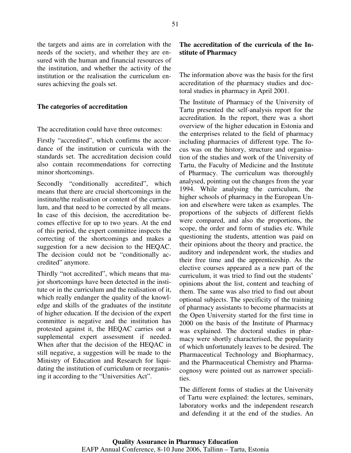the targets and aims are in correlation with the needs of the society, and whether they are ensured with the human and financial resources of the institution, and whether the activity of the institution or the realisation the curriculum ensures achieving the goals set.

## **The categories of accreditation**

The accreditation could have three outcomes:

Firstly "accredited", which confirms the accordance of the institution or curricula with the standards set. The accreditation decision could also contain recommendations for correcting minor shortcomings.

Secondly "conditionally accredited", which means that there are crucial shortcomings in the institute/the realisation or content of the curriculum, and that need to be corrected by all means. In case of this decision, the accreditation becomes effective for up to two years. At the end of this period, the expert committee inspects the correcting of the shortcomings and makes a suggestion for a new decision to the HEQAC. The decision could not be "conditionally accredited" anymore.

Thirdly "not accredited", which means that major shortcomings have been detected in the institute or in the curriculum and the realisation of it, which really endanger the quality of the knowledge and skills of the graduates of the institute of higher education. If the decision of the expert committee is negative and the institution has protested against it, the HEQAC carries out a supplemental expert assessment if needed. When after that the decision of the HEQAC in still negative, a suggestion will be made to the Ministry of Education and Research for liquidating the institution of curriculum or reorganising it according to the "Universities Act".

# **The accreditation of the curricula of the Institute of Pharmacy**

The information above was the basis for the first accreditation of the pharmacy studies and doctoral studies in pharmacy in April 2001.

The Institute of Pharmacy of the University of Tartu presented the self-analysis report for the accreditation. In the report, there was a short overview of the higher education in Estonia and the enterprises related to the field of pharmacy including pharmacies of different type. The focus was on the history, structure and organisation of the studies and work of the University of Tartu, the Faculty of Medicine and the Institute of Pharmacy. The curriculum was thoroughly analysed, pointing out the changes from the year 1994. While analysing the curriculum, the higher schools of pharmacy in the European Union and elsewhere were taken as examples. The proportions of the subjects of different fields were compared, and also the proportions, the scope, the order and form of studies etc. While questioning the students, attention was paid on their opinions about the theory and practice, the auditory and independent work, the studies and their free time and the apprenticeship. As the elective courses appeared as a new part of the curriculum, it was tried to find out the students' opinions about the list, content and teaching of them. The same was also tried to find out about optional subjects. The specificity of the training of pharmacy assistants to become pharmacists at the Open University started for the first time in 2000 on the basis of the Institute of Pharmacy was explained. The doctoral studies in pharmacy were shortly characterised, the popularity of which unfortunately leaves to be desired. The Pharmaceutical Technology and Biopharmacy, and the Pharmaceutical Chemistry and Pharmacognosy were pointed out as narrower specialities.

The different forms of studies at the University of Tartu were explained: the lectures, seminars, laboratory works and the independent research and defending it at the end of the studies. An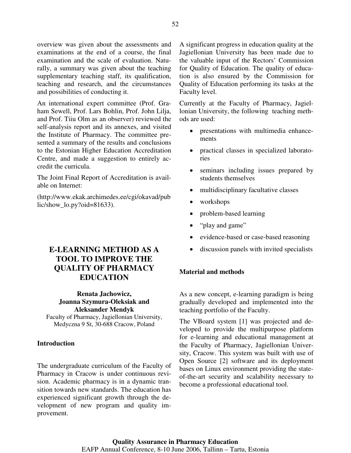overview was given about the assessments and examinations at the end of a course, the final examination and the scale of evaluation. Naturally, a summary was given about the teaching supplementary teaching staff, its qualification, teaching and research, and the circumstances and possibilities of conducting it.

An international expert committee (Prof. Graham Sewell, Prof. Lars Bohlin, Prof. John Lilja, and Prof. Tiiu Olm as an observer) reviewed the self-analysis report and its annexes, and visited the Institute of Pharmacy. The committee presented a summary of the results and conclusions to the Estonian Higher Education Accreditation Centre, and made a suggestion to entirely accredit the curricula.

The Joint Final Report of Accreditation is available on Internet:

(http://www.ekak.archimedes.ee/cgi/okavad/pub  $lic/show\_lo.py?oid=81633$ .

# **E-LEARNING METHOD AS A TOOL TO IMPROVE THE QUALITY OF PHARMACY EDUCATION**

# **Renata Jachowicz, Joanna Szymura-Oleksiak and Aleksander Mendyk**

Faculty of Pharmacy, Jagiellonian University, Medyczna 9 St, 30-688 Cracow, Poland

# **Introduction**

The undergraduate curriculum of the Faculty of Pharmacy in Cracow is under continuous revision. Academic pharmacy is in a dynamic transition towards new standards. The education has experienced significant growth through the development of new program and quality improvement.

A significant progress in education quality at the Jagiellonian University has been made due to the valuable input of the Rectors' Commission for Quality of Education. The quality of education is also ensured by the Commission for Quality of Education performing its tasks at the Faculty level.

Currently at the Faculty of Pharmacy, Jagiellonian University, the following teaching methods are used:

- presentations with multimedia enhancements
- practical classes in specialized laboratories
- seminars including issues prepared by students themselves
- multidisciplinary facultative classes
- workshops
- problem-based learning
- "play and game"
- evidence-based or case-based reasoning
- discussion panels with invited specialists

# **Material and methods**

As a new concept, e-learning paradigm is being gradually developed and implemented into the teaching portfolio of the Faculty.

The VBoard system [1] was projected and developed to provide the multipurpose platform for e-learning and educational management at the Faculty of Pharmacy, Jagiellonian University, Cracow. This system was built with use of Open Source [2] software and its deployment bases on Linux environment providing the stateof-the-art security and scalability necessary to become a professional educational tool.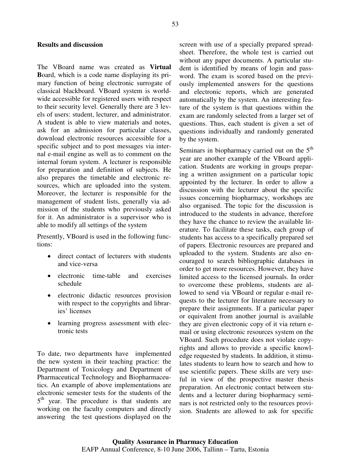#### **Results and discussion**

The VBoard name was created as **Virtual B**oard, which is a code name displaying its primary function of being electronic surrogate of classical blackboard. VBoard system is worldwide accessible for registered users with respect to their security level. Generally there are 3 levels of users: student, lecturer, and administrator. A student is able to view materials and notes, ask for an admission for particular classes, download electronic resources accessible for a specific subject and to post messages via internal e-mail engine as well as to comment on the internal forum system. A lecturer is responsible for preparation and definition of subjects. He also prepares the timetable and electronic resources, which are uploaded into the system. Moreover, the lecturer is responsible for the management of student lists, generally via admission of the students who previously asked for it. An administrator is a supervisor who is able to modify all settings of the system

Presently, VBoard is used in the following functions:

- direct contact of lecturers with students and vice-versa
- electronic time-table and exercises schedule
- electronic didactic resources provision with respect to the copyrights and libraries' licenses
- learning progress assessment with electronic tests

To date, two departments have implemented the new system in their teaching practice: the Department of Toxicology and Department of Pharmaceutical Technology and Biopharmaceutics. An example of above implementations are electronic semester tests for the students of the 5<sup>th</sup> year. The procedure is that students are working on the faculty computers and directly answering the test questions displayed on the

screen with use of a specially prepared spreadsheet. Therefore, the whole test is carried out without any paper documents. A particular student is identified by means of login and password. The exam is scored based on the previously implemented answers for the questions and electronic reports, which are generated automatically by the system. An interesting feature of the system is that questions within the exam are randomly selected from a larger set of questions. Thus, each student is given a set of questions individually and randomly generated by the system.

Seminars in biopharmacy carried out on the  $5<sup>th</sup>$ year are another example of the VBoard application. Students are working in groups preparing a written assignment on a particular topic appointed by the lecturer. In order to allow a discussion with the lecturer about the specific issues concerning biopharmacy, workshops are also organised. The topic for the discussion is introduced to the students in advance, therefore they have the chance to review the available literature. To facilitate these tasks, each group of students has access to a specifically prepared set of papers. Electronic resources are prepared and uploaded to the system. Students are also encouraged to search bibliographic databases in order to get more resources. However, they have limited access to the licensed journals. In order to overcome these problems, students are allowed to send via VBoard or regular e-mail requests to the lecturer for literature necessary to prepare their assignments. If a particular paper or equivalent from another journal is available they are given electronic copy of it via return email or using electronic resources system on the VBoard. Such procedure does not violate copyrights and allows to provide a specific knowledge requested by students. In addition, it stimulates students to learn how to search and how to use scientific papers. These skills are very useful in view of the prospective master thesis preparation. An electronic contact between students and a lecturer during biopharmacy seminars is not restricted only to the resources provision. Students are allowed to ask for specific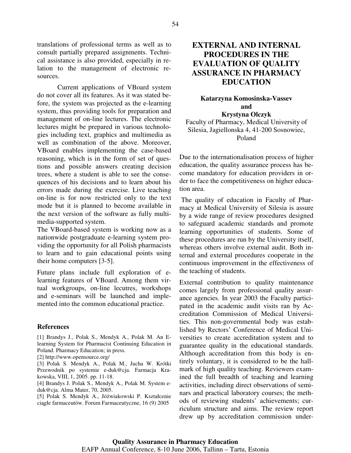translations of professional terms as well as to consult partially prepared assignments. Technical assistance is also provided, especially in relation to the management of electronic resources.

 Current applications of VBoard system do not cover all its features. As it was stated before, the system was projected as the e-learning system, thus providing tools for preparation and management of on-line lectures. The electronic lectures might be prepared in various technologies including text, graphics and multimedia as well as combination of the above. Moreover, VBoard enables implementing the case-based reasoning, which is in the form of set of questions and possible answers creating decision trees, where a student is able to see the consequences of his decisions and to learn about his errors made during the exercise. Live teaching on-line is for now restricted only to the text mode but it is planned to become available in the next version of the software as fully multimedia-supported system.

The VBoard-based system is working now as a nationwide postgraduate e-learning system providing the opportunity for all Polish pharmacists to learn and to gain educational points using their home computers [3-5].

Future plans include full exploration of elearning features of VBoard. Among them virtual workgroups, on-line lecutres, workshops and e-seminars will be launched and implemented into the common educational practice.

### **References**

[1] Brandys J., Polak S., Mendyk A., Polak M. An Elearning System for Pharmacist Continuing Education in Poland. Pharmacy Education; in press.

[2] http://www.opensource.org/

[3] Polak S. Mendyk A., Polak M., Jucha W. Krótki Przewodnik po systemie e-duk@cja. Farmacja Krakowska, VIII, 1, 2005. pp. 11-18.

[4] Brandys J. Polak S., Mendyk A., Polak M. System eduk@cja. Alma Mater, 70, 2005.

[5] Polak S. Mendyk A., Jóźwiakowski P. Kształcenie ciągłe farmaceutów. Forum Farmaceutyczne, 16 (9) 2005

# **EXTERNAL AND INTERNAL PROCEDURES IN THE EVALUATION OF QUALITY ASSURANCE IN PHARMACY EDUCATION**

## **Katarzyna Komosinska-Vassev and Krystyna Olczyk**

Faculty of Pharmacy, Medical University of Silesia, Jagiellonska 4, 41-200 Sosnowiec, Poland

Due to the internationalisation process of higher education, the quality assurance process has become mandatory for education providers in order to face the competitiveness on higher education area.

 The quality of education in Faculty of Pharmacy at Medical University of Silesia is assure by a wide range of review procedures designed to safeguard academic standards and promote learning opportunities of students. Some of these procedures are run by the University itself, whereas others involve external audit. Both internal and external procedures cooperate in the continuous improvement in the effectiveness of the teaching of students.

External contribution to quality maintenance comes largely from professional quality assurance agencies. In year 2003 the Faculty participated in the academic audit visits ran by Accreditation Commission of Medical Universities. This non-governmental body was established by Rectors' Conference of Medical Universities to create accreditation system and to guarantee quality in the educational standards. Although accreditation from this body is entirely voluntary, it is considered to be the hallmark of high quality teaching. Reviewers examined the full breadth of teaching and learning activities, including direct observations of seminars and practical laboratory courses; the methods of reviewing students' achievements; curriculum structure and aims. The review report drew up by accreditation commission under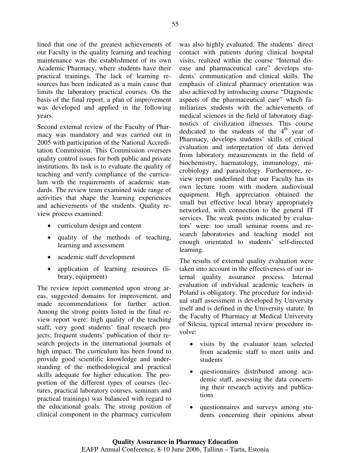lined that one of the greatest achievements of our Faculty in the quality learning and teaching maintenance was the establishment of its own Academic Pharmacy, where students have their practical trainings. The lack of learning resources has been indicated as a main cause that limits the laboratory practical courses. On the basis of the final report, a plan of improvement was developed and applied in the following years.

Second external review of the Faculty of Pharmacy was mandatory and was carried out in 2005 with participation of the National Accreditation Commission. This Commission oversees quality control issues for both public and private institutions. Its task is to evaluate the quality of teaching and verify compliance of the curriculum with the requirements of academic standards. The review team examined wide range of activities that shape the learning experiences and achievements of the students. Quality review process examined:

- curriculum design and content
- quality of the methods of teaching, learning and assessment
- academic staff development
- application of learning resources (library, equipment)

The review report commented upon strong areas, suggested domains for improvement, and made recommendations for further action. Among the strong points listed in the final review report were: high quality of the teaching staff; very good students' final research projects; frequent students' publication of their research projects in the international journals of high impact. The curriculum has been found to provide good scientific knowledge and understanding of the methodological and practical skills adequate for higher education. The proportion of the different types of courses (lectures, practical laboratory courses, seminars and practical trainings) was balanced with regard to the educational goals. The strong position of clinical component in the pharmacy curriculum was also highly evaluated. The students' direct contact with patients during clinical hospital visits, realized within the course "Internal disease and pharmaceutical care" develops students' communication and clinical skills. The emphasis of clinical pharmacy orientation was also achieved by introducing course "Diagnostic aspects of the pharmaceutical care" which familiarizes students with the achievements of medical sciences in the field of laboratory diagnostics of civilization illnesses. This course dedicated to the students of the  $4<sup>th</sup>$  year of Pharmacy, develops students' skills of critical evaluation and interpretation of data derived from laboratory measurements in the field of biochemistry, haematology, immunology, microbiology and parasitology. Furthermore, review report underlined that our Faculty has its own lecture room with modern audiovisual equipment. High appreciation obtained the small but effective local library appropriately networked, with connection to the general IT services. The weak points indicated by evaluators' were: too small seminar rooms and research laboratories and teaching model not enough orientated to students' self-directed learning.

The results of external quality evaluation were taken into account in the effectiveness of our internal quality assurance process. Internal evaluation of individual academic teachers in Poland is obligatory. The procedure for individual staff assessment is developed by University itself and is defined in the University statute. In the Faculty of Pharmacy at Medical University of Silesia, typical internal review procedure involve:

- visits by the evaluator team selected from academic staff to meet units and students
- questionnaires distributed among academic staff, assessing the data concerning their research activity and publications
- questionnaires and surveys among students concerning their opinions about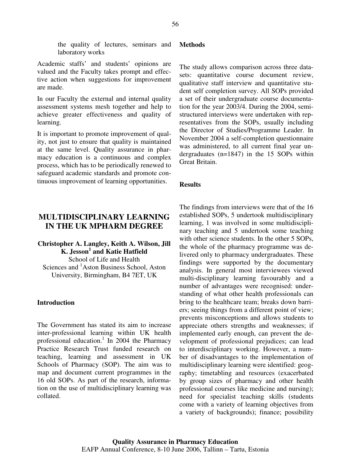the quality of lectures, seminars and laboratory works

Academic staffs' and students' opinions are valued and the Faculty takes prompt and effective action when suggestions for improvement are made.

In our Faculty the external and internal quality assessment systems mesh together and help to achieve greater effectiveness and quality of learning.

It is important to promote improvement of quality, not just to ensure that quality is maintained at the same level. Quality assurance in pharmacy education is a continuous and complex process, which has to be periodically renewed to safeguard academic standards and promote continuous improvement of learning opportunities.

# **MULTIDISCIPLINARY LEARNING IN THE UK MPHARM DEGREE**

# **Christopher A. Langley, Keith A. Wilson, Jill K. Jesson<sup>1</sup> and Katie Hatfield**  School of Life and Health Sciences and <sup>1</sup>Aston Business School, Aston University, Birmingham, B4 7ET, UK

### **Introduction**

The Government has stated its aim to increase inter-professional learning within UK health professional education.<sup>1</sup> In 2004 the Pharmacy Practice Research Trust funded research on teaching, learning and assessment in UK Schools of Pharmacy (SOP). The aim was to map and document current programmes in the 16 old SOPs. As part of the research, information on the use of multidisciplinary learning was collated.

#### **Methods**

The study allows comparison across three datasets: quantitative course document review, qualitative staff interview and quantitative student self completion survey. All SOPs provided a set of their undergraduate course documentation for the year 2003/4. During the 2004, semistructured interviews were undertaken with representatives from the SOPs, usually including the Director of Studies/Programme Leader. In November 2004 a self-completion questionnaire was administered, to all current final year undergraduates (n=1847) in the 15 SOPs within Great Britain.

#### **Results**

The findings from interviews were that of the 16 established SOPs, 5 undertook multidisciplinary learning, 1 was involved in some multidisciplinary teaching and 5 undertook some teaching with other science students. In the other 5 SOPs, the whole of the pharmacy programme was delivered only to pharmacy undergraduates. These findings were supported by the documentary analysis. In general most interviewees viewed multi-disciplinary learning favourably and a number of advantages were recognised: understanding of what other health professionals can bring to the healthcare team; breaks down barriers; seeing things from a different point of view; prevents misconceptions and allows students to appreciate others strengths and weaknesses; if implemented early enough, can prevent the development of professional prejudices; can lead to interdisciplinary working. However, a number of disadvantages to the implementation of multidisciplinary learning were identified: geography; timetabling and resources (exacerbated by group sizes of pharmacy and other health professional courses like medicine and nursing); need for specialist teaching skills (students come with a variety of learning objectives from a variety of backgrounds); finance; possibility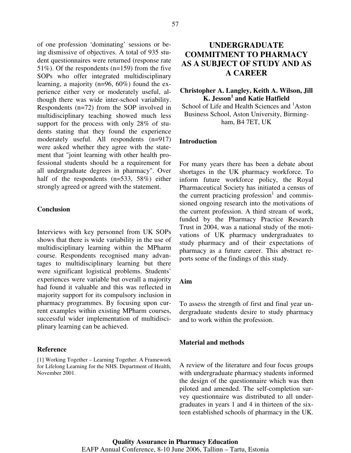of one profession 'dominating' sessions or being dismissive of objectives. A total of 935 student questionnaires were returned (response rate 51%). Of the respondents (n=159) from the five SOPs who offer integrated multidisciplinary learning, a majority (n=96, 60%) found the experience either very or moderately useful, although there was wide inter-school variability. Respondents (n=72) from the SOP involved in multidisciplinary teaching showed much less support for the process with only 28% of students stating that they found the experience moderately useful. All respondents (n=917) were asked whether they agree with the statement that "joint learning with other health professional students should be a requirement for all undergraduate degrees in pharmacy". Over half of the respondents (n=533, 58%) either strongly agreed or agreed with the statement.

## **Conclusion**

Interviews with key personnel from UK SOPs shows that there is wide variability in the use of multidisciplinary learning within the MPharm course. Respondents recognised many advantages to multidisciplinary learning but there were significant logistical problems. Students' experiences were variable but overall a majority had found it valuable and this was reflected in majority support for its compulsory inclusion in pharmacy programmes. By focusing upon current examples within existing MPharm courses, successful wider implementation of multidisciplinary learning can be achieved.

### **Reference**

[1] Working Together – Learning Together. A Framework for Lifelong Learning for the NHS. Department of Health, November 2001.

# **UNDERGRADUATE COMMITMENT TO PHARMACY AS A SUBJECT OF STUDY AND AS A CAREER**

# **Christopher A. Langley, Keith A. Wilson, Jill K. Jesson<sup>1</sup> and Katie Hatfield**

School of Life and Health Sciences and <sup>1</sup>Aston Business School, Aston University, Birmingham, B4 7ET, UK

## **Introduction**

For many years there has been a debate about shortages in the UK pharmacy workforce. To inform future workforce policy, the Royal Pharmaceutical Society has initiated a census of the current practicing  $profession<sup>1</sup>$  and commissioned ongoing research into the motivations of the current profession. A third stream of work, funded by the Pharmacy Practice Research Trust in 2004, was a national study of the motivations of UK pharmacy undergraduates to study pharmacy and of their expectations of pharmacy as a future career. This abstract reports some of the findings of this study.

### **Aim**

To assess the strength of first and final year undergraduate students desire to study pharmacy and to work within the profession.

# **Material and methods**

A review of the literature and four focus groups with undergraduate pharmacy students informed the design of the questionnaire which was then piloted and amended. The self-completion survey questionnaire was distributed to all undergraduates in years 1 and 4 in thirteen of the sixteen established schools of pharmacy in the UK.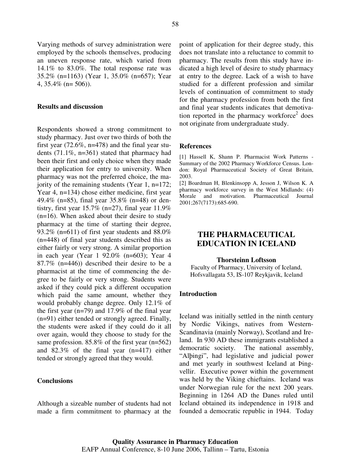Varying methods of survey administration were employed by the schools themselves, producing an uneven response rate, which varied from 14.1% to 83.0%. The total response rate was 35.2% (n=1163) (Year 1, 35.0% (n=657); Year 4,  $35.4\%$  (n= 506)).

#### **Results and discussion**

Respondents showed a strong commitment to study pharmacy. Just over two thirds of both the first year  $(72.6\%, n=478)$  and the final year students (71.1%, n=361) stated that pharmacy had been their first and only choice when they made their application for entry to university. When pharmacy was not the preferred choice, the majority of the remaining students (Year 1, n=172; Year 4, n=134) chose either medicine, first year 49.4% (n=85), final year 35.8% (n=48) or dentistry, first year  $15.7\%$  (n=27), final year  $11.9\%$ (n=16). When asked about their desire to study pharmacy at the time of starting their degree, 93.2% (n=611) of first year students and  $88.0\%$ (n=448) of final year students described this as either fairly or very strong. A similar proportion in each year (Year 1 92.0% (n=603); Year 4 87.7% (n=446)) described their desire to be a pharmacist at the time of commencing the degree to be fairly or very strong. Students were asked if they could pick a different occupation which paid the same amount, whether they would probably change degree. Only 12.1% of the first year (n=79) and 17.9% of the final year (n=91) either tended or strongly agreed. Finally, the students were asked if they could do it all over again, would they choose to study for the same profession. 85.8% of the first year (n=562) and 82.3% of the final year (n=417) either tended or strongly agreed that they would.

### **Conclusions**

Although a sizeable number of students had not made a firm commitment to pharmacy at the

point of application for their degree study, this does not translate into a reluctance to commit to pharmacy. The results from this study have indicated a high level of desire to study pharmacy at entry to the degree. Lack of a wish to have studied for a different profession and similar levels of continuation of commitment to study for the pharmacy profession from both the first and final year students indicates that demotivation reported in the pharmacy workforce<sup>2</sup> does not originate from undergraduate study.

#### **References**

[1] Hassell K, Shann P. Pharmacist Work Patterns - Summary of the 2002 Pharmacy Workforce Census. London: Royal Pharmaceutical Society of Great Britain, 2003.

[2] Boardman H, Blenkinsopp A, Jesson J, Wilson K. A pharmacy workforce survey in the West Midlands: (4) Morale and motivation. Pharmaceutical Journal 2001;267(7173):685-690.

# **THE PHARMACEUTICAL EDUCATION IN ICELAND**

#### **Thorsteinn Loftsson**

Faculty of Pharmacy, University of Iceland, Hofsvallagata 53, IS-107 Reykjavik, Iceland

### **Introduction**

Iceland was initially settled in the ninth century by Nordic Vikings, natives from Western-Scandinavia (mainly Norway), Scotland and Ireland. In 930 AD these immigrants established a democratic society. The national assembly, "Alþingi", had legislative and judicial power and met yearly in southwest Iceland at Þingvellir. Executive power within the government was held by the Viking chieftains. Iceland was under Norwegian rule for the next 200 years. Beginning in 1264 AD the Danes ruled until Iceland obtained its independence in 1918 and founded a democratic republic in 1944. Today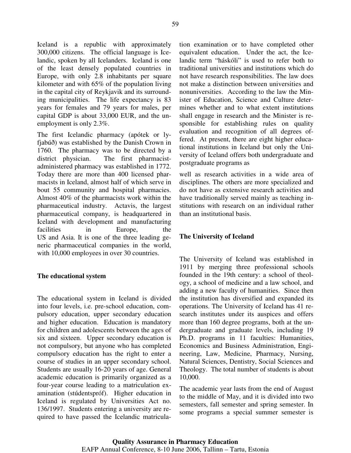Iceland is a republic with approximately 300,000 citizens. The official language is Icelandic, spoken by all Icelanders. Iceland is one of the least densely populated countries in Europe, with only 2.8 inhabitants per square kilometer and with 65% of the population living in the capital city of Reykjavik and its surrounding municipalities. The life expectancy is 83 years for females and 79 years for males, per capital GDP is about 33,000 EUR, and the unemployment is only 2.3%.

The first Icelandic pharmacy (apótek or lyfjabúð) was established by the Danish Crown in 1760. The pharmacy was to be directed by a district physician. The first pharmacistadministered pharmacy was established in 1772. Today there are more than 400 licensed pharmacists in Iceland, almost half of which serve in bout 55 community and hospital pharmacies. Almost 40% of the pharmacists work within the pharmaceutical industry. Actavis, the largest pharmaceutical company, is headquartered in Iceland with development and manufacturing facilities in Europe, the US and Asia. It is one of the three leading generic pharmaceutical companies in the world, with 10,000 employees in over 30 countries.

# **The educational system**

The educational system in Iceland is divided into four levels, i.e. pre-school education, compulsory education, upper secondary education and higher education. Education is mandatory for children and adolescents between the ages of six and sixteen. Upper secondary education is not compulsory, but anyone who has completed compulsory education has the right to enter a course of studies in an upper secondary school. Students are usually 16-20 years of age. General academic education is primarily organized as a four-year course leading to a matriculation examination (stúdentspróf). Higher education in Iceland is regulated by Universities Act no. 136/1997. Students entering a university are required to have passed the Icelandic matriculation examination or to have completed other equivalent education. Under the act, the Icelandic term "háskóli" is used to refer both to traditional universities and institutions which do not have research responsibilities. The law does not make a distinction between universities and nonuniversities. According to the law the Minister of Education, Science and Culture determines whether and to what extent institutions shall engage in research and the Minister is responsible for establishing rules on quality evaluation and recognition of all degrees offered. At present, there are eight higher educational institutions in Iceland but only the University of Iceland offers both undergraduate and postgraduate programs as

well as research activities in a wide area of disciplines. The others are more specialized and do not have as extensive research activities and have traditionally served mainly as teaching institutions with research on an individual rather than an institutional basis.

# **The University of Iceland**

The University of Iceland was established in 1911 by merging three professional schools founded in the 19th century: a school of theology, a school of medicine and a law school, and adding a new faculty of humanities. Since then the institution has diversified and expanded its operations. The University of Iceland has 41 research institutes under its auspices and offers more than 160 degree programs, both at the undergraduate and graduate levels, including 19 Ph.D. programs in 11 faculties: Humanities, Economics and Business Administration, Engineering, Law, Medicine, Pharmacy, Nursing, Natural Sciences, Dentistry, Social Sciences and Theology. The total number of students is about 10,000.

The academic year lasts from the end of August to the middle of May, and it is divided into two semesters, fall semester and spring semester. In some programs a special summer semester is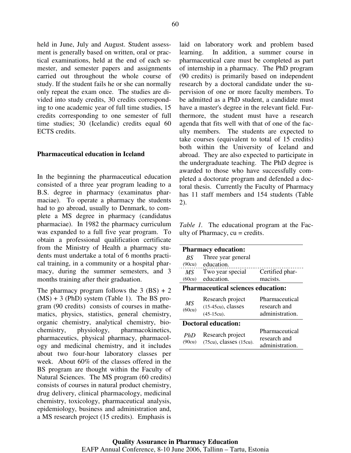tical examinations, held at the end of each semester, and semester papers and assignments carried out throughout the whole course of study. If the student fails he or she can normally only repeat the exam once. The studies are divided into study credits, 30 credits corresponding to one academic year of full time studies, 15 credits corresponding to one semester of full time studies; 30 (Icelandic) credits equal 60 ECTS credits.

## **Pharmaceutical education in Iceland**

In the beginning the pharmaceutical education consisted of a three year program leading to a B.S. degree in pharmacy (examinatus pharmaciae). To operate a pharmacy the students had to go abroad, usually to Denmark, to complete a MS degree in pharmacy (candidatus pharmaciae). In 1982 the pharmacy curriculum was expanded to a full five year program. To obtain a professional qualification certificate from the Ministry of Health a pharmacy students must undertake a total of 6 months practical training, in a community or a hospital pharmacy, during the summer semesters, and 3 months training after their graduation.

The pharmacy program follows the  $3 (BS) + 2$  $(MS) + 3$  (PhD) system (Table 1). The BS program (90 credits) consists of courses in mathematics, physics, statistics, general chemistry, organic chemistry, analytical chemistry, biochemistry, physiology, pharmacokinetics, pharmaceutics, physical pharmacy, pharmacology and medicinal chemistry, and it includes about two four-hour laboratory classes per week. About 60% of the classes offered in the BS program are thought within the Faculty of Natural Sciences. The MS program (60 credits) consists of courses in natural product chemistry, drug delivery, clinical pharmacology, medicinal chemistry, toxicology, pharmaceutical analysis, epidemiology, business and administration and, a MS research project (15 credits). Emphasis is laid on laboratory work and problem based learning. In addition, a summer course in pharmaceutical care must be completed as part of internship in a pharmacy. The PhD program (90 credits) is primarily based on independent research by a doctoral candidate under the supervision of one or more faculty members. To be admitted as a PhD student, a candidate must have a master's degree in the relevant field. Furthermore, the student must have a research agenda that fits well with that of one of the faculty members. The students are expected to take courses (equivalent to total of 15 credits) both within the University of Iceland and abroad. They are also expected to participate in the undergraduate teaching. The PhD degree is awarded to those who have successfully completed a doctorate program and defended a doctoral thesis. Currently the Faculty of Pharmacy has 11 staff members and 154 students (Table 2).

*Table 1.* The educational program at the Faculty of Pharmacy,  $cu = \text{credits.}$ 

| <b>Pharmacy education:</b>                |                                                            |                                                   |  |  |  |
|-------------------------------------------|------------------------------------------------------------|---------------------------------------------------|--|--|--|
| BS.                                       | Three year general                                         |                                                   |  |  |  |
| (90cu)                                    | education.                                                 |                                                   |  |  |  |
|                                           | MS Two year special                                        | Certified phar-                                   |  |  |  |
| (60cu)                                    | education.                                                 | macists.                                          |  |  |  |
| <b>Pharmaceutical sciences education:</b> |                                                            |                                                   |  |  |  |
| MS.<br>(60cu)                             | Research project<br>$(15-45cu)$ , classes<br>$(45-15cu)$ . | Pharmaceutical<br>research and<br>administration. |  |  |  |
| Doctoral education:                       |                                                            |                                                   |  |  |  |
| PhD<br>(90cu)                             | Research project<br>$(75cu)$ , classes $(15cu)$ .          | Pharmaceutical<br>research and<br>administration. |  |  |  |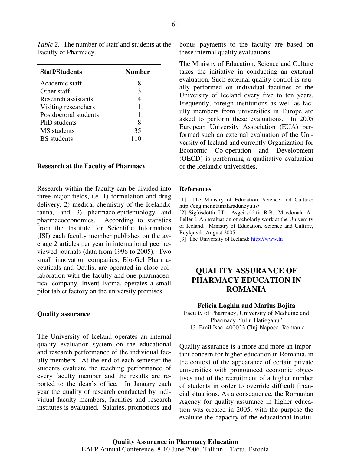| <b>Staff/Students</b> | <b>Number</b> |  |
|-----------------------|---------------|--|
| Academic staff        |               |  |
| Other staff           | 3             |  |
| Research assistants   |               |  |
| Visiting researchers  |               |  |
| Postdoctoral students |               |  |
| PhD students          | 8             |  |
| MS students           | 35            |  |
| <b>BS</b> students    | 110           |  |

*Table 2.* The number of staff and students at the Faculty of Pharmacy.

#### **Research at the Faculty of Pharmacy**

Research within the faculty can be divided into three major fields, i.e. 1) formulation and drug delivery, 2) medical chemistry of the Icelandic fauna, and 3) pharmaco-epidemiology and pharmacoeconomics. According to statistics from the Institute for Scientific Information (ISI) each faculty member publishes on the average 2 articles per year in international peer reviewed journals (data from 1996 to 2005). Two small innovation companies, Bio-Gel Pharmaceuticals and Oculis, are operated in close collaboration with the faculty and one pharmaceutical company, Invent Farma, operates a small pilot tablet factory on the university premises.

#### **Quality assurance**

The University of Iceland operates an internal quality evaluation system on the educational and research performance of the individual faculty members. At the end of each semester the students evaluate the teaching performance of every faculty member and the results are reported to the dean's office. In January each year the quality of research conducted by individual faculty members, faculties and research institutes is evaluated. Salaries, promotions and bonus payments to the faculty are based on these internal quality evaluations.

The Ministry of Education, Science and Culture takes the initiative in conducting an external evaluation. Such external quality control is usually performed on individual faculties of the University of Iceland every five to ten years. Frequently, foreign institutions as well as faculty members from universities in Europe are asked to perform these evaluations. In 2005 European University Association (EUA) performed such an external evaluation of the University of Iceland and currently Organization for Economic Co-operation and Development (OECD) is performing a qualitative evaluation of the Icelandic universities.

#### **References**

[1] The Ministry of Education, Science and Culture: http://eng.menntamalaraduneyti.is/

[2] Sigfúsdóttir I.D., Ásgeirsdóttir B.B., Macdonald A., Feller I. An evaluation of scholarly work at the University of Iceland. Ministry of Education, Science and Culture, Reykjavik, August 2005.

[3] The University of Iceland: http://www.hi

# **QUALITY ASSURANCE OF PHARMACY EDUCATION IN ROMANIA**

#### **Felicia Loghin and Marius Bojita**

Faculty of Pharmacy, University of Medicine and Pharmacy "Iuliu Hatieganu" 13, Emil Isac, 400023 Cluj-Napoca, Romania

Quality assurance is a more and more an important concern for higher education in Romania, in the context of the appearance of certain private universities with pronounced economic objectives and of the recruitment of a higher number of students in order to override difficult financial situations. As a consequence, the Romanian Agency for quality assurance in higher education was created in 2005, with the purpose the evaluate the capacity of the educational institu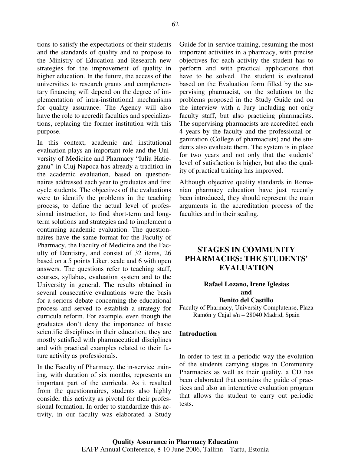tions to satisfy the expectations of their students and the standards of quality and to propose to the Ministry of Education and Research new strategies for the improvement of quality in higher education. In the future, the access of the universities to research grants and complementary financing will depend on the degree of implementation of intra-institutional mechanisms for quality assurance. The Agency will also have the role to accredit faculties and specializations, replacing the former institution with this purpose.

In this context, academic and institutional evaluation plays an important role and the University of Medicine and Pharmacy "Iuliu Hatieganu" in Cluj-Napoca has already a tradition in the academic evaluation, based on questionnaires addressed each year to graduates and first cycle students. The objectives of the evaluations were to identify the problems in the teaching process, to define the actual level of professional instruction, to find short-term and longterm solutions and strategies and to implement a continuing academic evaluation. The questionnaires have the same format for the Faculty of Pharmacy, the Faculty of Medicine and the Faculty of Dentistry, and consist of 32 items, 26 based on a 5 points Likert scale and 6 with open answers. The questions refer to teaching staff, courses, syllabus, evaluation system and to the University in general. The results obtained in several consecutive evaluations were the basis for a serious debate concerning the educational process and served to establish a strategy for curricula reform. For example, even though the graduates don't deny the importance of basic scientific disciplines in their education, they are mostly satisfied with pharmaceutical disciplines and with practical examples related to their future activity as professionals.

In the Faculty of Pharmacy, the in-service training, with duration of six months, represents an important part of the curricula. As it resulted from the questionnaires, students also highly consider this activity as pivotal for their professional formation. In order to standardize this activity, in our faculty was elaborated a Study Guide for in-service training, resuming the most important activities in a pharmacy, with precise objectives for each activity the student has to perform and with practical applications that have to be solved. The student is evaluated based on the Evaluation form filled by the supervising pharmacist, on the solutions to the problems proposed in the Study Guide and on the interview with a Jury including not only faculty staff, but also practicing pharmacists. The supervising pharmacists are accredited each 4 years by the faculty and the professional organization (College of pharmacists) and the students also evaluate them. The system is in place for two years and not only that the students' level of satisfaction is higher, but also the quality of practical training has improved.

Although objective quality standards in Romanian pharmacy education have just recently been introduced, they should represent the main arguments in the accreditation process of the faculties and in their scaling.

# **STAGES IN COMMUNITY PHARMACIES: THE STUDENTS' EVALUATION**

# **Rafael Lozano, Irene Iglesias and**

#### **Benito del Castillo**

Faculty of Pharmacy, University Complutense, Plaza Ramón y Cajal s/n – 28040 Madrid, Spain

### **Introduction**

In order to test in a periodic way the evolution of the students carrying stages in Community Pharmacies as well as their quality, a CD has been elaborated that contains the guide of practices and also an interactive evaluation program that allows the student to carry out periodic tests.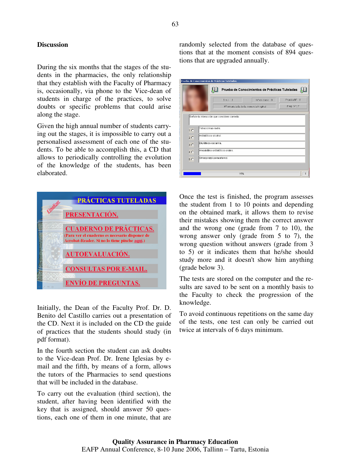### **Discussion**

During the six months that the stages of the students in the pharmacies, the only relationship that they establish with the Faculty of Pharmacy is, occasionally, via phone to the Vice-dean of students in charge of the practices, to solve doubts or specific problems that could arise along the stage.

Given the high annual number of students carrying out the stages, it is impossible to carry out a personalised assessment of each one of the students. To be able to accomplish this, a CD that allows to periodically controlling the evolution of the knowledge of the students, has been elaborated.



Initially, the Dean of the Faculty Prof. Dr. D. Benito del Castillo carries out a presentation of the CD. Next it is included on the CD the guide of practices that the students should study (in pdf format).

In the fourth section the student can ask doubts to the Vice-dean Prof. Dr. Irene Iglesias by email and the fifth, by means of a form, allows the tutors of the Pharmacies to send questions that will be included in the database.

To carry out the evaluation (third section), the student, after having been identified with the key that is assigned, should answer 50 questions, each one of them in one minute, that are randomly selected from the database of questions that at the moment consists of 894 questions that are upgraded annually.

|             | Prueba de Conocimientos de Prácticas Tuteladas.                       |                                                |                                        |              |  |  |
|-------------|-----------------------------------------------------------------------|------------------------------------------------|----------------------------------------|--------------|--|--|
|             |                                                                       | Prueba de Conocimientos de Prácticas Tuteladas |                                        |              |  |  |
|             |                                                                       | D.N.L. : 0                                     | Nº de clase : 0                        | Prueba Nº: 8 |  |  |
|             |                                                                       |                                                | Mª Inmaculada de la Inocencia Virginal | Preg. N°: 7  |  |  |
| $1^\circ$   | Señale la interacción que considere correcta:<br>Tetraciclinas-leche. |                                                |                                        |              |  |  |
| $2^{\circ}$ | Antibióticos-alcohol.                                                 |                                                |                                        |              |  |  |
| $3^\circ$   | Diuréticos-sacarina.                                                  |                                                |                                        |              |  |  |
| 4 0         | Amoxicilina-antibióticos orales                                       |                                                |                                        |              |  |  |
| $5^\circ$   | Omeoprazol-paracetamol.                                               |                                                |                                        |              |  |  |
|             |                                                                       | 15%                                            |                                        | 9            |  |  |

Once the test is finished, the program assesses the student from 1 to 10 points and depending on the obtained mark, it allows them to revise their mistakes showing them the correct answer and the wrong one (grade from 7 to 10), the wrong answer only (grade from 5 to 7), the wrong question without answers (grade from 3 to 5) or it indicates them that he/she should study more and it doesn't show him anything (grade below 3).

The tests are stored on the computer and the results are saved to be sent on a monthly basis to the Faculty to check the progression of the knowledge.

To avoid continuous repetitions on the same day of the tests, one test can only be carried out twice at intervals of 6 days minimum.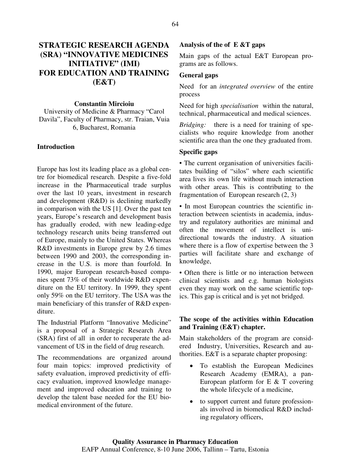# **INITIATIVE" (IMI) FOR EDUCATION AND TRAINING (E&T)**

## **Constantin Mircioiu**

University of Medicine & Pharmacy "Carol Davila", Faculty of Pharmacy, str. Traian, Vuia 6, Bucharest, Romania

## **Introduction**

Europe has lost its leading place as a global centre for biomedical research. Despite a five-fold increase in the Pharmaceutical trade surplus over the last 10 years, investment in research and development (R&D) is declining markedly in comparison with the US [1]. Over the past ten years, Europe's research and development basis has gradually eroded, with new leading-edge technology research units being transferred out of Europe, mainly to the United States. Whereas R&D investments in Europe grew by 2.6 times between 1990 and 2003, the corresponding increase in the U.S. is more than fourfold. In 1990, major European research-based companies spent 73% of their worldwide R&D expenditure on the EU territory. In 1999, they spent only 59% on the EU territory. The USA was the main beneficiary of this transfer of R&D expenditure.

The Industrial Platform "Innovative Medicine" is a proposal of a Strategic Research Area (SRA) first of all in order to recuperate the advancement of US in the field of drug research.

The recommendations are organized around four main topics: improved predictivity of safety evaluation, improved predictivity of efficacy evaluation, improved knowledge management and improved education and training to develop the talent base needed for the EU biomedical environment of the future.

# **Analysis of the of E &T gaps**

Main gaps of the actual E&T European programs are as follows.

# **General gaps**

Need for an *integrated overview* of the entire process

Need for high *specialisation* within the natural, technical, pharmaceutical and medical sciences.

*Bridging:* there is a need for training of specialists who require knowledge from another scientific area than the one they graduated from.

### **Specific gaps**

• The current organisation of universities facilitates building of "silos" where each scientific area lives its own life without much interaction with other areas. This is contributing to the fragmentation of European research (2, 3)

• In most European countries the scientific interaction between scientists in academia, industry and regulatory authorities are minimal and often the movement of intellect is unidirectional towards the industry. A situation where there is a flow of expertise between the 3 parties will facilitate share and exchange of knowledge,

• Often there is little or no interaction between clinical scientists and e.g. human biologists even they may work on the same scientific topics. This gap is critical and is yet not bridged.

# **The scope of the activities within Education and Training (E&T) chapter.**

Main stakeholders of the program are considered Industry, Universities, Research and authorities. E&T is a separate chapter proposing:

- To establish the European Medicines Research Academy (EMRA), a pan-European platform for E & T covering the whole lifecycle of a medicine,
- to support current and future professionals involved in biomedical R&D including regulatory officers,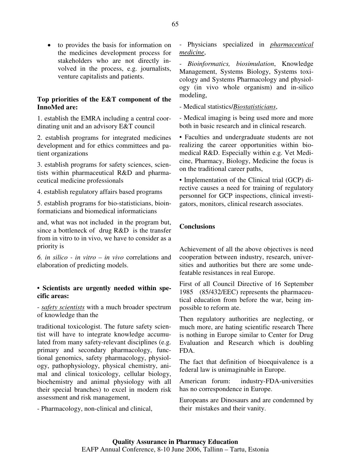• to provides the basis for information on the medicines development process for stakeholders who are not directly involved in the process, e.g. journalists, venture capitalists and patients.

# **Top priorities of the E&T component of the InnoMed are:**

1. establish the EMRA including a central coordinating unit and an advisory E&T council

2. establish programs for integrated medicines development and for ethics committees and patient organizations

3. establish programs for safety sciences, scientists within pharmaceutical R&D and pharmaceutical medicine professionals

4. establish regulatory affairs based programs

5. establish programs for bio-statisticians, bioinformaticians and biomedical informaticians

and, what was not included in the program but, since a bottleneck of drug R&D is the transfer from in vitro to in vivo, we have to consider as a priority is

*6. in silico - in vitro – in vivo* correlations and elaboration of predicting models.

# **• Scientists are urgently needed within specific areas:**

- *safety scientists* with a much broader spectrum of knowledge than the

traditional toxicologist. The future safety scientist will have to integrate knowledge accumulated from many safety-relevant disciplines (e.g. primary and secondary pharmacology, functional genomics, safety pharmacology, physiology, pathophysiology, physical chemistry, animal and clinical toxicology, cellular biology, biochemistry and animal physiology with all their special branches) to excel in modern risk assessment and risk management,

- Pharmacology, non-clinical and clinical,

- Physicians specialized in *pharmaceutical medicine*,

- *Bioinformatics, biosimulation*, Knowledge Management, Systems Biology, Systems toxicology and Systems Pharmacology and physiology (in vivo whole organism) and in-silico modeling,

- Medical statistics/*Biostatisticians*,

- Medical imaging is being used more and more both in basic research and in clinical research.

• Faculties and undergraduate students are not realizing the career opportunities within biomedical R&D. Especially within e.g. Vet Medicine, Pharmacy, Biology, Medicine the focus is on the traditional career paths,

• Implementation of the Clinical trial (GCP) directive causes a need for training of regulatory personnel for GCP inspections, clinical investigators, monitors, clinical research associates.

# **Conclusions**

Achievement of all the above objectives is need cooperation between industry, research, universities and authorities but there are some undefeatable resistances in real Europe.

First of all Council Directive of 16 September 1985(85/432/EEC) represents the pharmaceutical education from before the war, being impossible to reform ate.

Then regulatory authorities are neglecting, or much more, are hating scientific research There is nothing in Europe similar to Center for Drug Evaluation and Research which is doubling FDA.

The fact that definition of bioequivalence is a federal law is unimaginable in Europe.

American forum: industry-FDA-universities has no correspondence in Europe.

Europeans are Dinosaurs and are condemned by their mistakes and their vanity.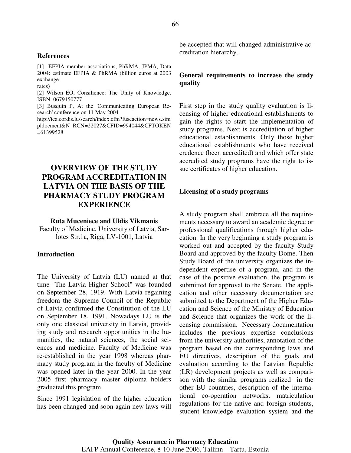### **References**

[1] EFPIA member associations, PhRMA, JPMA, Data 2004: estimate EFPIA & PhRMA (billion euros at 2003 exchange

rates)

[2] Wilson EO, Consilience: The Unity of Knowledge. ISBN: 0679450777

[3] Busquin P, At the 'Communicating European Research' conference on 11 May 2004

http://ica.cordis.lu/search/index.cfm?fuseaction=news.sim pldocment&N\_RCN=22027&CFID=994044&CFTOKEN =61399528

# **OVERVIEW OF THE STUDY PROGRAM ACCREDITATION IN LATVIA ON THE BASIS OF THE PHARMACY STUDY PROGRAM EXPERIENCE**

#### **Ruta Muceniece and Uldis Vikmanis**

Faculty of Medicine, University of Latvia, Sarlotes Str.1a, Riga, LV-1001, Latvia

### **Introduction**

The University of Latvia (LU) named at that time "The Latvia Higher School" was founded on September 28, 1919. With Latvia regaining freedom the Supreme Council of the Republic of Latvia confirmed the Constitution of the LU on September 18, 1991. Nowadays LU is the only one classical university in Latvia, providing study and research opportunities in the humanities, the natural sciences, the social sciences and medicine. Faculty of Medicine was re-established in the year 1998 whereas pharmacy study program in the faculty of Medicine was opened later in the year 2000. In the year 2005 first pharmacy master diploma holders graduated this program.

Since 1991 legislation of the higher education has been changed and soon again new laws will be accepted that will changed administrative accreditation hierarchy.

# **General requirements to increase the study quality**

First step in the study quality evaluation is licensing of higher educational establishments to gain the rights to start the implementation of study programs. Next is accreditation of higher educational establishments. Only those higher educational establishments who have received credence (been accredited) and which offer state accredited study programs have the right to issue certificates of higher education.

#### **Licensing of a study programs**

A study program shall embrace all the requirements necessary to award an academic degree or professional qualifications through higher education. In the very beginning a study program is worked out and accepted by the faculty Study Board and approved by the faculty Dome. Then Study Board of the university organizes the independent expertise of a program, and in the case of the positive evaluation, the program is submitted for approval to the Senate. The application and other necessary documentation are submitted to the Department of the Higher Education and Science of the Ministry of Education and Science that organizes the work of the licensing commission. Necessary documentation includes the previous expertise conclusions from the university authorities, annotation of the program based on the corresponding laws and EU directives, description of the goals and evaluation according to the Latvian Republic (LR) development projects as well as comparison with the similar programs realized in the other EU countries, description of the international co-operation networks, matriculation regulations for the native and foreign students, student knowledge evaluation system and the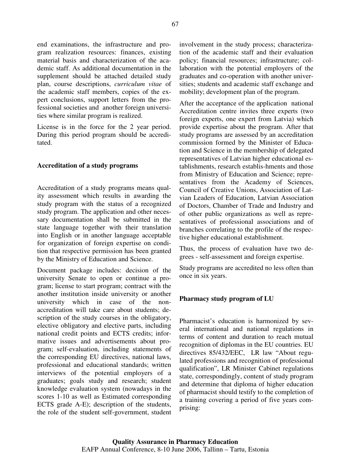end examinations, the infrastructure and program realization resources: finances, existing material basis and characterization of the academic staff. As additional documentation in the supplement should be attached detailed study plan, course descriptions, *curriculum vitae* of the academic staff members, copies of the expert conclusions, support letters from the professional societies and another foreign universities where similar program is realized.

License is in the force for the 2 year period. During this period program should be accreditated.

## **Accreditation of a study programs**

Accreditation of a study programs means quality assessment which results in awarding the study program with the status of a recognized study program. The application and other necessary documentation shall be submitted in the state language together with their translation into English or in another language acceptable for organization of foreign expertise on condition that respective permission has been granted by the Ministry of Education and Science.

Document package includes: decision of the university Senate to open or continue a program; license to start program; contract with the another institution inside university or another university which in case of the nonaccreditation will take care about students; description of the study courses in the obligatory, elective obligatory and elective parts, including national credit points and ECTS credits; informative issues and advertisements about program; self-evaluation, including statements of the corresponding EU directives, national laws, professional and educational standards; written interviews of the potential employers of a graduates; goals study and research; student knowledge evaluation system (nowadays in the scores 1-10 as well as Estimated corresponding ECTS grade A-E); description of the students, the role of the student self-government, student involvement in the study process; characterization of the academic staff and their evaluation policy; financial resources; infrastructure; collaboration with the potential employers of the graduates and co-operation with another universities; students and academic staff exchange and mobility; development plan of the program.

After the acceptance of the application national Accreditation centre invites three experts (two foreign experts, one expert from Latvia) which provide expertise about the program. After that study programs are assessed by an accreditation commission formed by the Minister of Education and Science in the membership of delegated representatives of Latvian higher educational establishments, research establis-hments and those from Ministry of Education and Science; representatives from the Academy of Sciences, Council of Creative Unions, Association of Latvian Leaders of Education, Latvian Association of Doctors, Chamber of Trade and Industry and of other public organizations as well as representatives of professional associations and of branches correlating to the profile of the respective higher educational establishment.

Thus, the process of evaluation have two degrees - self-assessment and foreign expertise.

Study programs are accredited no less often than once in six years.

# **Pharmacy study program of LU**

Pharmacist's education is harmonized by several international and national regulations in terms of content and duration to reach mutual recognition of diplomas in the EU countries. EU directives 85/432/EEC, LR law "About regulated professions and recognition of professional qualification", LR Minister Cabinet regulations state, correspondingly, content of study program and determine that diploma of higher education of pharmacist should testify to the completion of a training covering a period of five years comprising: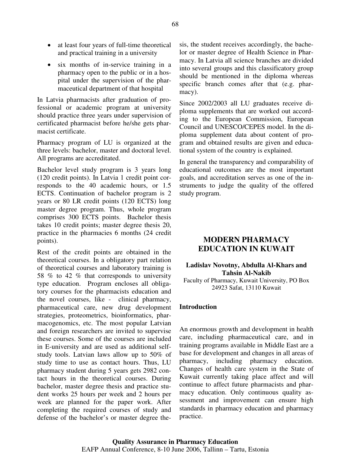- at least four years of full-time theoretical and practical training in a university
- six months of in-service training in a pharmacy open to the public or in a hospital under the supervision of the pharmaceutical department of that hospital

In Latvia pharmacists after graduation of professional or academic program at university should practice three years under supervision of certificated pharmacist before he/she gets pharmacist certificate.

Pharmacy program of LU is organized at the three levels: bachelor, master and doctoral level. All programs are accreditated.

Bachelor level study program is 3 years long (120 credit points). In Latvia 1 credit point corresponds to the 40 academic hours, or 1.5 ECTS. Continuation of bachelor program is 2 years or 80 LR credit points (120 ECTS) long master degree program. Thus, whole program comprises 300 ECTS points. Bachelor thesis takes 10 credit points; master degree thesis 20, practice in the pharmacies 6 months (24 credit points).

Rest of the credit points are obtained in the theoretical courses. In a obligatory part relation of theoretical courses and laboratory training is 58 % to 42 % that corresponds to university type education. Program encloses all obligatory courses for the pharmacists education and the novel courses, like - clinical pharmacy, pharmaceutical care, new drug development strategies, proteometrics, bioinformatics, pharmacogenomics, etc. The most popular Latvian and foreign researchers are invited to supervise these courses. Some of the courses are included in E-university and are used as additional selfstudy tools. Latvian laws allow up to 50% of study time to use as contact hours. Thus, LU pharmacy student during 5 years gets 2982 contact hours in the theoretical courses. During bachelor, master degree thesis and practice student works 25 hours per week and 2 hours per week are planned for the paper work. After completing the required courses of study and defense of the bachelor's or master degree thesis, the student receives accordingly, the bachelor or master degree of Health Science in Pharmacy. In Latvia all science branches are divided into several groups and this classificatory group should be mentioned in the diploma whereas specific branch comes after that (e.g. pharmacy).

Since 2002/2003 all LU graduates receive diploma supplements that are worked out according to the European Commission, European Council and UNESCO/CEPES model. In the diploma supplement data about content of program and obtained results are given and educational system of the country is explained.

In general the transparency and comparability of educational outcomes are the most important goals, and accreditation serves as one of the instruments to judge the quality of the offered study program.

# **MODERN PHARMACY EDUCATION IN KUWAIT**

# **Ladislav Novotny, Abdulla Al-Khars and Tahsin Al-Nakib**

Faculty of Pharmacy, Kuwait University, PO Box 24923 Safat, 13110 Kuwait

# **Introduction**

An enormous growth and development in health care, including pharmaceutical care, and in training programs available in Middle East are a base for development and changes in all areas of pharmacy, including pharmacy education. Changes of health care system in the State of Kuwait currently taking place affect and will continue to affect future pharmacists and pharmacy education. Only continuous quality assessment and improvement can ensure high standards in pharmacy education and pharmacy practice.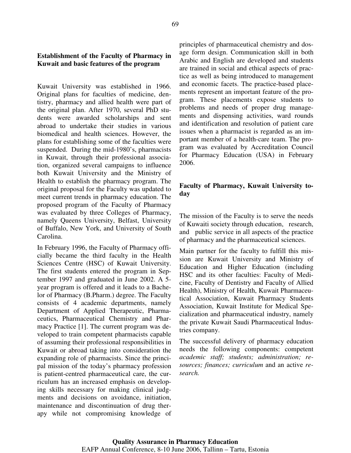# **Establishment of the Faculty of Pharmacy in Kuwait and basic features of the program**

Kuwait University was established in 1966. Original plans for faculties of medicine, dentistry, pharmacy and allied health were part of the original plan. After 1970, several PhD students were awarded scholarships and sent abroad to undertake their studies in various biomedical and health sciences. However, the plans for establishing some of the faculties were suspended. During the mid-1980's, pharmacists in Kuwait, through their professional association, organized several campaigns to influence both Kuwait University and the Ministry of Health to establish the pharmacy program. The original proposal for the Faculty was updated to meet current trends in pharmacy education. The proposed program of the Faculty of Pharmacy was evaluated by three Colleges of Pharmacy, namely Queens University, Belfast, University of Buffalo, New York, and University of South Carolina.

In February 1996, the Faculty of Pharmacy officially became the third faculty in the Health Sciences Centre (HSC) of Kuwait University. The first students entered the program in September 1997 and graduated in June 2002. A 5 year program is offered and it leads to a Bachelor of Pharmacy (B.Pharm.) degree. The Faculty consists of 4 academic departments, namely Department of Applied Therapeutic, Pharmaceutics, Pharmaceutical Chemistry and Pharmacy Practice [1]. The current program was developed to train competent pharmacists capable of assuming their professional responsibilities in Kuwait or abroad taking into consideration the expanding role of pharmacists. Since the principal mission of the today's pharmacy profession is patient-centred pharmaceutical care, the curriculum has an increased emphasis on developing skills necessary for making clinical judgments and decisions on avoidance, initiation, maintenance and discontinuation of drug therapy while not compromising knowledge of principles of pharmaceutical chemistry and dosage form design. Communication skill in both Arabic and English are developed and students are trained in social and ethical aspects of practice as well as being introduced to management and economic facets. The practice-based placements represent an important feature of the program. These placements expose students to problems and needs of proper drug managements and dispensing activities, ward rounds and identification and resolution of patient care issues when a pharmacist is regarded as an important member of a health-care team. The program was evaluated by Accreditation Council for Pharmacy Education (USA) in February 2006.

# **Faculty of Pharmacy, Kuwait University today**

The mission of the Faculty is to serve the needs of Kuwaiti society through education, research, and public service in all aspects of the practice of pharmacy and the pharmaceutical sciences.

Main partner for the faculty to fulfill this mission are Kuwait University and Ministry of Education and Higher Education (including HSC and its other faculties: Faculty of Medicine, Faculty of Dentistry and Faculty of Allied Health), Ministry of Health, Kuwait Pharmaceutical Association, Kuwait Pharmacy Students Association, Kuwait Institute for Medical Specialization and pharmaceutical industry, namely the private Kuwait Saudi Pharmaceutical Industries company.

The successful delivery of pharmacy education needs the following components: competent *academic staff; students; administration; resources; finances; curriculum* and an active *research.*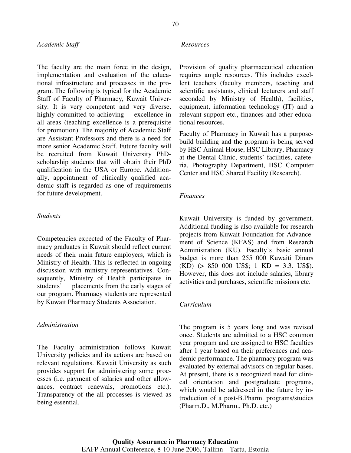#### *Academic Staff*

The faculty are the main force in the design, implementation and evaluation of the educational infrastructure and processes in the program. The following is typical for the Academic Staff of Faculty of Pharmacy, Kuwait University: It is very competent and very diverse, highly committed to achieving excellence in all areas (teaching excellence is a prerequisite for promotion). The majority of Academic Staff are Assistant Professors and there is a need for more senior Academic Staff. Future faculty will be recruited from Kuwait University PhDscholarship students that will obtain their PhD qualification in the USA or Europe. Additionally, appointment of clinically qualified academic staff is regarded as one of requirements for future development.

#### *Students*

Competencies expected of the Faculty of Pharmacy graduates in Kuwait should reflect current needs of their main future employers, which is Ministry of Health. This is reflected in ongoing discussion with ministry representatives. Consequently, Ministry of Health participates in students' placements from the early stages of our program. Pharmacy students are represented by Kuwait Pharmacy Students Association.

#### *Administration*

The Faculty administration follows Kuwait University policies and its actions are based on relevant regulations. Kuwait University as such provides support for administering some processes (i.e. payment of salaries and other allowances, contract renewals, promotions etc.). Transparency of the all processes is viewed as being essential.

#### *Resources*

Provision of quality pharmaceutical education requires ample resources. This includes excellent teachers (faculty members, teaching and scientific assistants, clinical lecturers and staff seconded by Ministry of Health), facilities, equipment, information technology (IT) and a relevant support etc., finances and other educational resources.

Faculty of Pharmacy in Kuwait has a purposebuild building and the program is being served by HSC Animal House, HSC Library, Pharmacy at the Dental Clinic, students' facilities, cafeteria, Photography Department, HSC Computer Center and HSC Shared Facility (Research).

#### *Finances*

Kuwait University is funded by government. Additional funding is also available for research projects from Kuwait Foundation for Advancement of Science (KFAS) and from Research Administration (KU). Faculty's basic annual budget is more than 255 000 Kuwaiti Dinars (KD) (> 850 000 US\$; 1 KD = 3.3. US\$). However, this does not include salaries, library activities and purchases, scientific missions etc.

#### *Curriculum*

The program is 5 years long and was revised once. Students are admitted to a HSC common year program and are assigned to HSC faculties after 1 year based on their preferences and academic performance. The pharmacy program was evaluated by external advisors on regular bases. At present, there is a recognized need for clinical orientation and postgraduate programs, which would be addressed in the future by introduction of a post-B.Pharm. programs/studies (Pharm.D., M.Pharm., Ph.D. etc.)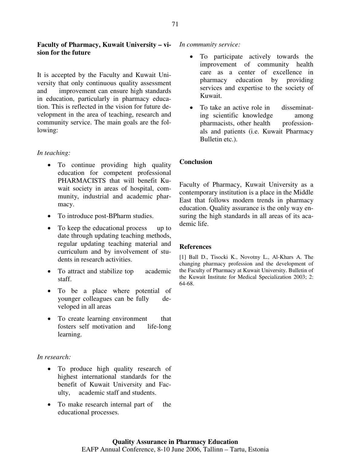# **Faculty of Pharmacy, Kuwait University – vision for the future**

It is accepted by the Faculty and Kuwait University that only continuous quality assessment and improvement can ensure high standards in education, particularly in pharmacy education. This is reflected in the vision for future development in the area of teaching, research and community service. The main goals are the following:

# *In teaching:*

- To continue providing high quality education for competent professional PHARMACISTS that will benefit Kuwait society in areas of hospital, community, industrial and academic pharmacy.
- To introduce post-BPharm studies.
- To keep the educational process up to date through updating teaching methods, regular updating teaching material and curriculum and by involvement of students in research activities.
- To attract and stabilize top academic staff.
- To be a place where potential of younger colleagues can be fully developed in all areas
- To create learning environment that fosters self motivation and life-long learning.

# *In research:*

- To produce high quality research of highest international standards for the benefit of Kuwait University and Faculty, academic staff and students.
- To make research internal part of the educational processes.

# *In community service:*

- To participate actively towards the improvement of community health care as a center of excellence in pharmacy education by providing services and expertise to the society of Kuwait.
- To take an active role in disseminating scientific knowledge among pharmacists, other health professionals and patients (i.e. Kuwait Pharmacy Bulletin etc.).

# **Conclusion**

Faculty of Pharmacy, Kuwait University as a contemporary institution is a place in the Middle East that follows modern trends in pharmacy education. Quality assurance is the only way ensuring the high standards in all areas of its academic life.

# **References**

[1] Ball D., Tisocki K., Novotny L., Al-Khars A. The changing pharmacy profession and the development of the Faculty of Pharmacy at Kuwait University. Bulletin of the Kuwait Institute for Medical Specialization 2003; 2: 64-68.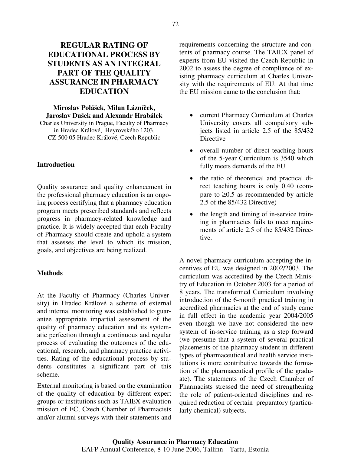# **REGULAR RATING OF EDUCATIONAL PROCESS BY STUDENTS AS AN INTEGRAL PART OF THE QUALITY ASSURANCE IN PHARMACY EDUCATION**

**Miroslav Polášek, Milan Lázní**č**ek, Jaroslav Dušek and Alexandr Hrabálek** Charles University in Prague, Faculty of Pharmacy in Hradec Králové, Heyrovského 1203, CZ-500 05 Hradec Králové, Czech Republic

### **Introduction**

Quality assurance and quality enhancement in the professional pharmacy education is an ongoing process certifying that a pharmacy education program meets prescribed standards and reflects progress in pharmacy-related knowledge and practice. It is widely accepted that each Faculty of Pharmacy should create and uphold a system that assesses the level to which its mission, goals, and objectives are being realized.

#### **Methods**

At the Faculty of Pharmacy (Charles University) in Hradec Králové a scheme of external and internal monitoring was established to guarantee appropriate impartial assessment of the quality of pharmacy education and its systematic perfection through a continuous and regular process of evaluating the outcomes of the educational, research, and pharmacy practice activities. Rating of the educational process by students constitutes a significant part of this scheme.

External monitoring is based on the examination of the quality of education by different expert groups or institutions such as TAIEX evaluation mission of EC, Czech Chamber of Pharmacists and/or alumni surveys with their statements and requirements concerning the structure and contents of pharmacy course. The TAIEX panel of experts from EU visited the Czech Republic in 2002 to assess the degree of compliance of existing pharmacy curriculum at Charles University with the requirements of EU. At that time the EU mission came to the conclusion that:

- current Pharmacy Curriculum at Charles University covers all compulsory subjects listed in article 2.5 of the 85/432 Directive
- overall number of direct teaching hours of the 5-year Curriculum is 3540 which fully meets demands of the EU
- the ratio of theoretical and practical direct teaching hours is only 0.40 (compare to  $\geq 0.5$  as recommended by article 2.5 of the 85/432 Directive)
- the length and timing of in-service training in pharmacies fails to meet requirements of article 2.5 of the 85/432 Directive.

A novel pharmacy curriculum accepting the incentives of EU was designed in 2002/2003. The curriculum was accredited by the Czech Ministry of Education in October 2003 for a period of 8 years. The transformed Curriculum involving introduction of the 6-month practical training in accredited pharmacies at the end of study came in full effect in the academic year 2004/2005 even though we have not considered the new system of in-service training as a step forward (we presume that a system of several practical placements of the pharmacy student in different types of pharmaceutical and health service institutions is more contributive towards the formation of the pharmaceutical profile of the graduate). The statements of the Czech Chamber of Pharmacists stressed the need of strengthening the role of patient-oriented disciplines and required reduction of certain preparatory (particularly chemical) subjects.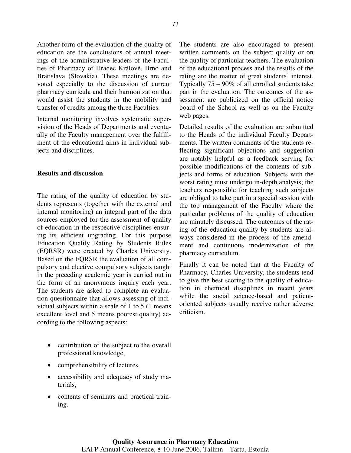Another form of the evaluation of the quality of education are the conclusions of annual meetings of the administrative leaders of the Faculties of Pharmacy of Hradec Králové, Brno and Bratislava (Slovakia). These meetings are devoted especially to the discussion of current pharmacy curricula and their harmonization that would assist the students in the mobility and transfer of credits among the three Faculties.

Internal monitoring involves systematic supervision of the Heads of Departments and eventually of the Faculty management over the fulfillment of the educational aims in individual subjects and disciplines.

### **Results and discussion**

The rating of the quality of education by students represents (together with the external and internal monitoring) an integral part of the data sources employed for the assessment of quality of education in the respective disciplines ensuring its efficient upgrading. For this purpose Education Quality Rating by Students Rules (EQRSR) were created by Charles University. Based on the EQRSR the evaluation of all compulsory and elective compulsory subjects taught in the preceding academic year is carried out in the form of an anonymous inquiry each year. The students are asked to complete an evaluation questionnaire that allows assessing of individual subjects within a scale of 1 to 5 (1 means excellent level and 5 means poorest quality) according to the following aspects:

- contribution of the subject to the overall professional knowledge,
- comprehensibility of lectures,
- accessibility and adequacy of study materials,
- contents of seminars and practical training.

73

The students are also encouraged to present written comments on the subject quality or on the quality of particular teachers. The evaluation of the educational process and the results of the rating are the matter of great students' interest. Typically 75 – 90% of all enrolled students take part in the evaluation. The outcomes of the assessment are publicized on the official notice board of the School as well as on the Faculty web pages.

Detailed results of the evaluation are submitted to the Heads of the individual Faculty Departments. The written comments of the students reflecting significant objections and suggestion are notably helpful as a feedback serving for possible modifications of the contents of subjects and forms of education. Subjects with the worst rating must undergo in-depth analysis; the teachers responsible for teaching such subjects are obliged to take part in a special session with the top management of the Faculty where the particular problems of the quality of education are minutely discussed. The outcomes of the rating of the education quality by students are always considered in the process of the amendment and continuous modernization of the pharmacy curriculum.

Finally it can be noted that at the Faculty of Pharmacy, Charles University, the students tend to give the best scoring to the quality of education in chemical disciplines in recent years while the social science-based and patientoriented subjects usually receive rather adverse criticism.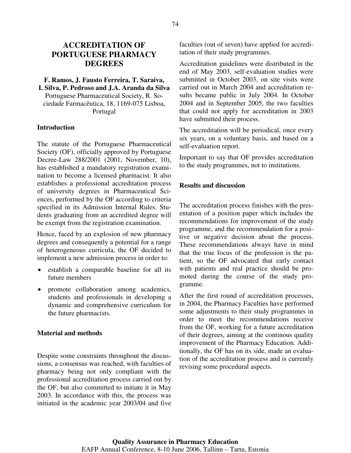## **ACCREDITATION OF PORTUGUESE PHARMACY DEGREES**

# **F. Ramos, J. Fausto Ferreira, T. Saraiva,**

**I. Silva, P. Pedroso and J.A. Aranda da Silva** Portuguese Pharmaceutical Society, R. Sociedade Farmacêutica, 18, 1169-075 Lisboa, Portugal

### **Introduction**

The statute of the Portuguese Pharmaceutical Society (OF), officially approved by Portuguese Decree-Law 288/2001 (2001, November, 10), has established a mandatory registration examination to become a licensed pharmacist. It also establishes a professional accreditation process of university degrees in Pharmaceutical Sciences, performed by the OF according to criteria specified in its Admission Internal Rules. Students graduating from an accredited degree will be exempt from the registration examination.

Hence, faced by an explosion of new pharmacy degrees and consequently a potential for a range of heterogeneous curricula, the OF decided to implement a new admission process in order to:

- establish a comparable baseline for all its future members
- promote collaboration among academics, students and professionals in developing a dynamic and comprehensive curriculum for the future pharmacists.

#### **Material and methods**

Despite some constraints throughout the discussions, a consensus was reached, with faculties of pharmacy being not only compliant with the professional accreditation process carried out by the OF, but also committed to initiate it in May 2003. In accordance with this, the process was initiated in the academic year 2003/04 and five faculties (out of seven) have applied for accreditation of their study programmes.

Accreditation guidelines were distributed in the end of May 2003, self-evaluation studies were submitted in October 2003, on site visits were carried out in March 2004 and accreditation results became public in July 2004. In October 2004 and in September 2005, the two faculties that could not apply for accreditation in 2003 have submitted their process.

The accreditation will be periodical, once every six years, on a voluntary basis, and based on a self-evaluation report.

Important to say that OF provides accreditation to the study programmes, not to institutions.

### **Results and discussion**

The accreditation process finishes with the presentation of a position paper which includes the recommendations for improvement of the study programme, and the recommendation for a positive or negative decision about the process. These recommendations always have in mind that the true focus of the profession is the patient, so the OF advocated that early contact with patients and real practice should be promoted during the course of the study programme.

After the first round of accreditation processes, in 2004, the Pharmacy Faculties have performed some adjustments to their study programmes in order to meet the recommendations receive from the OF, working for a future accreditation of their degrees, aiming at the continous quality improvement of the Pharmacy Education. Additionally, the OF has on its side, made an evaluation of the accreditation process and is currently revising some procedural aspects.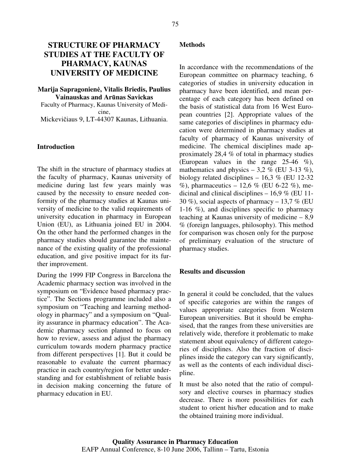# **STRUCTURE OF PHARMACY STUDIES AT THE FACULTY OF PHARMACY, KAUNAS UNIVERSITY OF MEDICINE**

### **Marija Sapragonien**÷**, Vitalis Briedis, Paulius Vainauskas and Ar**ū**nas Savickas**

Faculty of Pharmacy, Kaunas University of Medicine,

Mickevičiaus 9, LT-44307 Kaunas, Lithuania.

#### **Introduction**

The shift in the structure of pharmacy studies at the faculty of pharmacy, Kaunas university of medicine during last few years mainly was caused by the necessity to ensure needed conformity of the pharmacy studies at Kaunas university of medicine to the valid requirements of university education in pharmacy in European Union (EU), as Lithuania joined EU in 2004. On the other hand the performed changes in the pharmacy studies should guarantee the maintenance of the existing quality of the professional education, and give positive impact for its further improvement.

During the 1999 FIP Congress in Barcelona the Academic pharmacy section was involved in the symposium on "Evidence based pharmacy practice". The Sections programme included also a symposium on "Teaching and learning methodology in pharmacy" and a symposium on "Quality assurance in pharmacy education". The Academic pharmacy section planned to focus on how to review, assess and adjust the pharmacy curriculum towards modern pharmacy practice from different perspectives [1]. But it could be reasonable to evaluate the current pharmacy practice in each country/region for better understanding and for establishment of reliable basis in decision making concerning the future of pharmacy education in EU.

### **Methods**

In accordance with the recommendations of the European committee on pharmacy teaching, 6 categories of studies in university education in pharmacy have been identified, and mean percentage of each category has been defined on the basis of statistical data from 16 West European countries [2]. Appropriate values of the same categories of disciplines in pharmacy education were determined in pharmacy studies at faculty of pharmacy of Kaunas university of medicine. The chemical disciplines made approximately 28,4 % of total in pharmacy studies (European values in the range 25-46 %), mathematics and physics  $-3.2$  % (EU 3-13 %), biology related disciplines  $-16,3\%$  (EU 12-32) %), pharmaceutics  $-12,6$  % (EU 6-22 %), medicinal and clinical disciplines  $-16.9\%$  (EU 11-30 %), social aspects of pharmacy  $-13.7$  % (EU) 1-16 %), and disciplines specific to pharmacy teaching at Kaunas university of medicine – 8,9 % (foreign languages, philosophy). This method for comparison was chosen only for the purpose of preliminary evaluation of the structure of pharmacy studies.

### **Results and discussion**

In general it could be concluded, that the values of specific categories are within the ranges of values appropriate categories from Western European universities. But it should be emphasised, that the ranges from these universities are relatively wide, therefore it problematic to make statement about equivalency of different categories of disciplines. Also the fraction of disciplines inside the category can vary significantly, as well as the contents of each individual discipline.

It must be also noted that the ratio of compulsory and elective courses in pharmacy studies decrease. There is more possibilities for each student to orient his/her education and to make the obtained training more individual.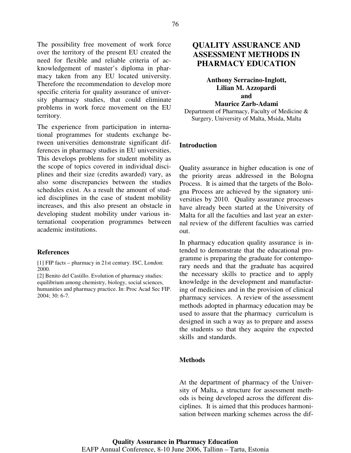The possibility free movement of work force over the territory of the present EU created the need for flexible and reliable criteria of acknowledgement of master's diploma in pharmacy taken from any EU located university. Therefore the recommendation to develop more specific criteria for quality assurance of university pharmacy studies, that could eliminate problems in work force movement on the EU territory.

The experience from participation in international programmes for students exchange between universities demonstrate significant differences in pharmacy studies in EU universities. This develops problems for student mobility as the scope of topics covered in individual disciplines and their size (credits awarded) vary, as also some discrepancies between the studies schedules exist. As a result the amount of studied disciplines in the case of student mobility increases, and this also present an obstacle in developing student mobility under various international cooperation programmes between academic institutions.

### **References**

[1] FIP facts – pharmacy in 21st century. ISC, London: 2000.

[2] Benito del Castillo. Evolution of pharmacy studies: equilibrium among chemistry, biology, social sciences, humanities and pharmacy practice. In: Proc Acad Sec FIP. 2004; 30: 6-7.

# **QUALITY ASSURANCE AND ASSESSMENT METHODS IN PHARMACY EDUCATION**

## **Anthony Serracino-Inglott, Lilian M. Azzopardi and**

#### **Maurice Zarb-Adami**

Department of Pharmacy, Faculty of Medicine & Surgery, University of Malta, Msida, Malta

#### **Introduction**

Quality assurance in higher education is one of the priority areas addressed in the Bologna Process. It is aimed that the targets of the Bologna Process are achieved by the signatory universities by 2010. Quality assurance processes have already been started at the University of Malta for all the faculties and last year an external review of the different faculties was carried out.

In pharmacy education quality assurance is intended to demonstrate that the educational programme is preparing the graduate for contemporary needs and that the graduate has acquired the necessary skills to practice and to apply knowledge in the development and manufacturing of medicines and in the provision of clinical pharmacy services. A review of the assessment methods adopted in pharmacy education may be used to assure that the pharmacy curriculum is designed in such a way as to prepare and assess the students so that they acquire the expected skills and standards.

### **Methods**

At the department of pharmacy of the University of Malta, a structure for assessment methods is being developed across the different disciplines. It is aimed that this produces harmonisation between marking schemes across the dif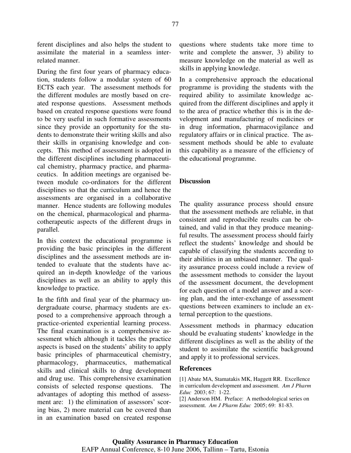ferent disciplines and also helps the student to assimilate the material in a seamless interrelated manner.

During the first four years of pharmacy education, students follow a modular system of 60 ECTS each year. The assessment methods for the different modules are mostly based on created response questions. Assessment methods based on created response questions were found to be very useful in such formative assessments since they provide an opportunity for the students to demonstrate their writing skills and also their skills in organising knowledge and concepts. This method of assessment is adopted in the different disciplines including pharmaceutical chemistry, pharmacy practice, and pharmaceutics. In addition meetings are organised between module co-ordinators for the different disciplines so that the curriculum and hence the assessments are organised in a collaborative manner. Hence students are following modules on the chemical, pharmacological and pharmacotherapeutic aspects of the different drugs in parallel.

In this context the educational programme is providing the basic principles in the different disciplines and the assessment methods are intended to evaluate that the students have acquired an in-depth knowledge of the various disciplines as well as an ability to apply this knowledge to practice.

In the fifth and final year of the pharmacy undergraduate course, pharmacy students are exposed to a comprehensive approach through a practice-oriented experiential learning process. The final examination is a comprehensive assessment which although it tackles the practice aspects is based on the students' ability to apply basic principles of pharmaceutical chemistry, pharmacology, pharmaceutics, mathematical skills and clinical skills to drug development and drug use. This comprehensive examination consists of selected response questions. The advantages of adopting this method of assessment are: 1) the elimination of assessors' scoring bias, 2) more material can be covered than in an examination based on created response questions where students take more time to write and complete the answer, 3) ability to measure knowledge on the material as well as skills in applying knowledge.

In a comprehensive approach the educational programme is providing the students with the required ability to assimilate knowledge acquired from the different disciplines and apply it to the area of practice whether this is in the development and manufacturing of medicines or in drug information, pharmacovigilance and regulatory affairs or in clinical practice. The assessment methods should be able to evaluate this capability as a measure of the efficiency of the educational programme.

#### **Discussion**

The quality assurance process should ensure that the assessment methods are reliable, in that consistent and reproducible results can be obtained, and valid in that they produce meaningful results. The assessment process should fairly reflect the students' knowledge and should be capable of classifying the students according to their abilities in an unbiased manner. The quality assurance process could include a review of the assessment methods to consider the layout of the assessment document, the development for each question of a model answer and a scoring plan, and the inter-exchange of assessment questions between examiners to include an external perception to the questions.

Assessment methods in pharmacy education should be evaluating students' knowledge in the different disciplines as well as the ability of the student to assimilate the scientific background and apply it to professional services.

#### **References**

[1] Abate MA, Stamatakis MK, Haggett RR. Excellence in curriculum development and assessment. *Am J Pharm Educ* 2003; 67: 1-22.

[2] Anderson HM. Preface: A methodological series on assessment. *Am J Pharm Educ* 2005; 69: 81-83.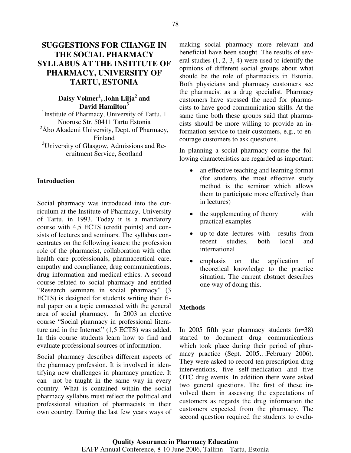# **SUGGESTIONS FOR CHANGE IN THE SOCIAL PHARMACY SYLLABUS AT THE INSTITUTE OF PHARMACY, UNIVERSITY OF TARTU, ESTONIA**

### **Daisy Volmer<sup>1</sup> , John Lilja<sup>2</sup> and David Hamilton<sup>3</sup>**

<sup>1</sup> Institute of Pharmacy, University of Tartu, 1 Nooruse Str. 50411 Tartu Estonia  $^{2}$ Åbo Akademi University, Dept. of Pharmacy, Finland <sup>3</sup>University of Glasgow, Admissions and Recruitment Service, Scotland

### **Introduction**

Social pharmacy was introduced into the curriculum at the Institute of Pharmacy, University of Tartu, in 1993. Today it is a mandatory course with 4,5 ECTS (credit points) and consists of lectures and seminars. The syllabus concentrates on the following issues: the profession role of the pharmacist, collaboration with other health care professionals, pharmaceutical care, empathy and compliance, drug communications, drug information and medical ethics. A second course related to social pharmacy and entitled "Research seminars in social pharmacy" (3 ECTS) is designed for students writing their final paper on a topic connected with the general area of social pharmacy. In 2003 an elective course "Social pharmacy in professional literature and in the Internet" (1,5 ECTS) was added. In this course students learn how to find and evaluate professional sources of information.

Social pharmacy describes different aspects of the pharmacy profession. It is involved in identifying new challenges in pharmacy practice. It can not be taught in the same way in every country. What is contained within the social pharmacy syllabus must reflect the political and professional situation of pharmacists in their own country. During the last few years ways of making social pharmacy more relevant and beneficial have been sought. The results of several studies (1, 2, 3, 4) were used to identify the opinions of different social groups about what should be the role of pharmacists in Estonia. Both physicians and pharmacy customers see the pharmacist as a drug specialist. Pharmacy customers have stressed the need for pharmacists to have good communication skills. At the same time both these groups said that pharmacists should be more willing to provide an information service to their customers, e.g., to encourage customers to ask questions.

In planning a social pharmacy course the following characteristics are regarded as important:

- an effective teaching and learning format (for students the most effective study method is the seminar which allows them to participate more effectively than in lectures)
- the supplementing of theory with practical examples
- up-to-date lectures with results from recent studies, both local and international
- emphasis on the application of theoretical knowledge to the practice situation. The current abstract describes one way of doing this.

### **Methods**

In 2005 fifth year pharmacy students (n=38) started to document drug communications which took place during their period of pharmacy practice (Sept. 2005…February 2006). They were asked to record ten prescription drug interventions, five self-medication and five OTC drug events. In addition there were asked two general questions. The first of these involved them in assessing the expectations of customers as regards the drug information the customers expected from the pharmacy. The second question required the students to evalu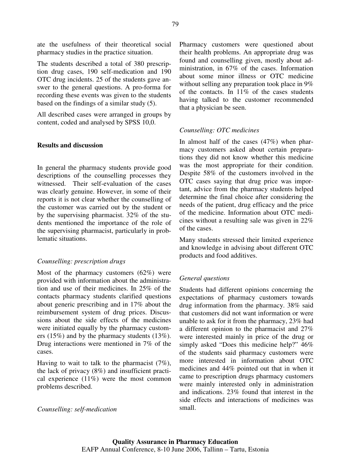ate the usefulness of their theoretical social pharmacy studies in the practice situation.

The students described a total of 380 prescription drug cases, 190 self-medication and 190 OTC drug incidents. 25 of the students gave answer to the general questions. A pro-forma for recording these events was given to the students based on the findings of a similar study (5).

All described cases were arranged in groups by content, coded and analysed by SPSS 10,0.

#### **Results and discussion**

In general the pharmacy students provide good descriptions of the counselling processes they witnessed. Their self-evaluation of the cases was clearly genuine. However, in some of their reports it is not clear whether the counselling of the customer was carried out by the student or by the supervising pharmacist. 32% of the students mentioned the importance of the role of the supervising pharmacist, particularly in problematic situations.

#### *Counselling: prescription drugs*

Most of the pharmacy customers  $(62\%)$  were provided with information about the administration and use of their medicines. In 25% of the contacts pharmacy students clarified questions about generic prescribing and in 17% about the reimbursement system of drug prices. Discussions about the side effects of the medicines were initiated equally by the pharmacy customers (15%) and by the pharmacy students (13%). Drug interactions were mentioned in 7% of the cases.

Having to wait to talk to the pharmacist (7%), the lack of privacy (8%) and insufficient practical experience (11%) were the most common problems described.

### *Counselling: self-medication*

Pharmacy customers were questioned about their health problems. An appropriate drug was found and counselling given, mostly about administration, in 67% of the cases. Information about some minor illness or OTC medicine without selling any preparation took place in  $9\%$ of the contacts. In  $11\%$  of the cases students having talked to the customer recommended that a physician be seen.

#### *Counselling: OTC medicines*

In almost half of the cases (47%) when pharmacy customers asked about certain preparations they did not know whether this medicine was the most appropriate for their condition. Despite 58% of the customers involved in the OTC cases saying that drug price was important, advice from the pharmacy students helped determine the final choice after considering the needs of the patient, drug efficacy and the price of the medicine. Information about OTC medicines without a resulting sale was given in 22% of the cases.

Many students stressed their limited experience and knowledge in advising about different OTC products and food additives.

#### *General questions*

Students had different opinions concerning the expectations of pharmacy customers towards drug information from the pharmacy. 38% said that customers did not want information or were unable to ask for it from the pharmacy, 23% had a different opinion to the pharmacist and 27% were interested mainly in price of the drug or simply asked "Does this medicine help?" 46% of the students said pharmacy customers were more interested in information about OTC medicines and 44% pointed out that in when it came to prescription drugs pharmacy customers were mainly interested only in administration and indications. 23% found that interest in the side effects and interactions of medicines was small.